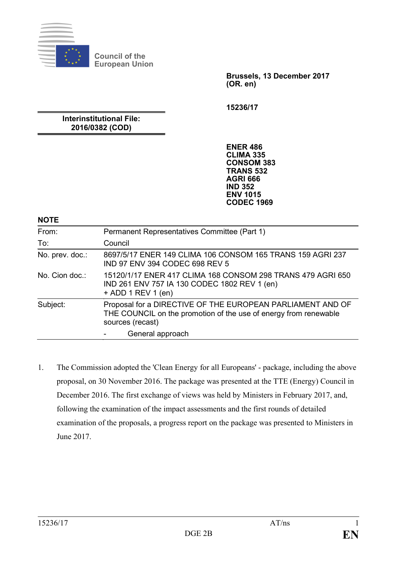

**Council of the European Union**

> **Brussels, 13 December 2017 (OR. en)**

**15236/17**

**Interinstitutional File: 2016/0382 (COD)**

> **ENER 486 CLIMA 335 CONSOM 383 TRANS 532 AGRI 666 IND 352 ENV 1015 CODEC 1969**

**NOTE**

| From:           | Permanent Representatives Committee (Part 1)                                                                                                       |
|-----------------|----------------------------------------------------------------------------------------------------------------------------------------------------|
| To:             | Council                                                                                                                                            |
| No. prev. doc.: | 8697/5/17 ENER 149 CLIMA 106 CONSOM 165 TRANS 159 AGRI 237<br>IND 97 ENV 394 CODEC 698 REV 5                                                       |
| No. Cion doc.   | 15120/1/17 ENER 417 CLIMA 168 CONSOM 298 TRANS 479 AGRI 650<br>IND 261 ENV 757 IA 130 CODEC 1802 REV 1 (en)<br>$+$ ADD 1 REV 1 (en)                |
| Subject:        | Proposal for a DIRECTIVE OF THE EUROPEAN PARLIAMENT AND OF<br>THE COUNCIL on the promotion of the use of energy from renewable<br>sources (recast) |
|                 | General approach                                                                                                                                   |

1. The Commission adopted the 'Clean Energy for all Europeans' - package, including the above proposal, on 30 November 2016. The package was presented at the TTE (Energy) Council in December 2016. The first exchange of views was held by Ministers in February 2017, and, following the examination of the impact assessments and the first rounds of detailed examination of the proposals, a progress report on the package was presented to Ministers in June 2017.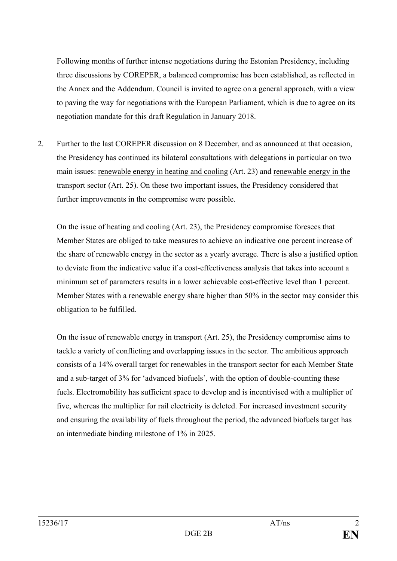Following months of further intense negotiations during the Estonian Presidency, including three discussions by COREPER, a balanced compromise has been established, as reflected in the Annex and the Addendum. Council is invited to agree on a general approach, with a view to paving the way for negotiations with the European Parliament, which is due to agree on its negotiation mandate for this draft Regulation in January 2018.

2. Further to the last COREPER discussion on 8 December, and as announced at that occasion, the Presidency has continued its bilateral consultations with delegations in particular on two main issues: renewable energy in heating and cooling (Art. 23) and renewable energy in the transport sector (Art. 25). On these two important issues, the Presidency considered that further improvements in the compromise were possible.

On the issue of heating and cooling (Art. 23), the Presidency compromise foresees that Member States are obliged to take measures to achieve an indicative one percent increase of the share of renewable energy in the sector as a yearly average. There is also a justified option to deviate from the indicative value if a cost-effectiveness analysis that takes into account a minimum set of parameters results in a lower achievable cost-effective level than 1 percent. Member States with a renewable energy share higher than 50% in the sector may consider this obligation to be fulfilled.

On the issue of renewable energy in transport (Art. 25), the Presidency compromise aims to tackle a variety of conflicting and overlapping issues in the sector. The ambitious approach consists of a 14% overall target for renewables in the transport sector for each Member State and a sub-target of 3% for 'advanced biofuels', with the option of double-counting these fuels. Electromobility has sufficient space to develop and is incentivised with a multiplier of five, whereas the multiplier for rail electricity is deleted. For increased investment security and ensuring the availability of fuels throughout the period, the advanced biofuels target has an intermediate binding milestone of 1% in 2025.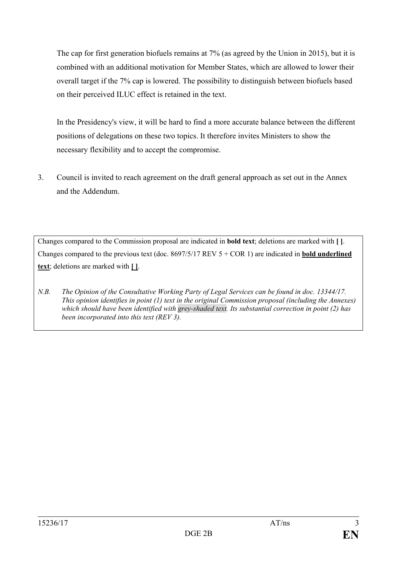The cap for first generation biofuels remains at 7% (as agreed by the Union in 2015), but it is combined with an additional motivation for Member States, which are allowed to lower their overall target if the 7% cap is lowered. The possibility to distinguish between biofuels based on their perceived ILUC effect is retained in the text.

In the Presidency's view, it will be hard to find a more accurate balance between the different positions of delegations on these two topics. It therefore invites Ministers to show the necessary flexibility and to accept the compromise.

3. Council is invited to reach agreement on the draft general approach as set out in the Annex and the Addendum.

Changes compared to the Commission proposal are indicated in **bold text**; deletions are marked with **[ ]**. Changes compared to the previous text (doc. 8697/5/17 REV 5 + COR 1) are indicated in **bold underlined text**; deletions are marked with **[ ]**.

*N.B. The Opinion of the Consultative Working Party of Legal Services can be found in doc. 13344/17. This opinion identifies in point (1) text in the original Commission proposal (including the Annexes) which should have been identified with grey-shaded text. Its substantial correction in point (2) has been incorporated into this text (REV 3).*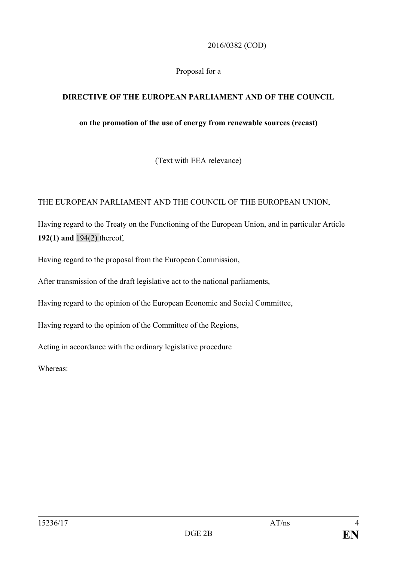2016/0382 (COD)

Proposal for a

## **DIRECTIVE OF THE EUROPEAN PARLIAMENT AND OF THE COUNCIL**

## **on the promotion of the use of energy from renewable sources (recast)**

(Text with EEA relevance)

## THE EUROPEAN PARLIAMENT AND THE COUNCIL OF THE EUROPEAN UNION,

Having regard to the Treaty on the Functioning of the European Union, and in particular Article **192(1) and** 194(2) thereof,

Having regard to the proposal from the European Commission,

After transmission of the draft legislative act to the national parliaments,

Having regard to the opinion of the European Economic and Social Committee,

Having regard to the opinion of the Committee of the Regions,

Acting in accordance with the ordinary legislative procedure

Whereas: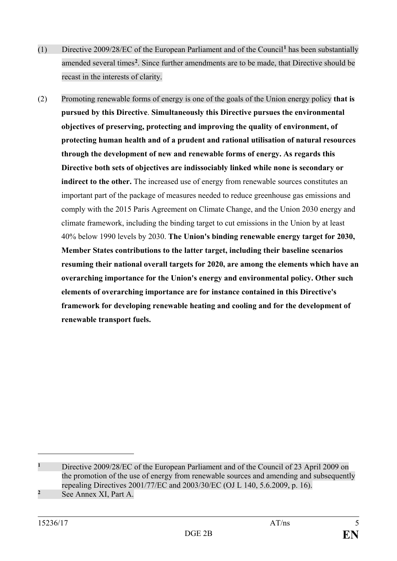- (1) Directive 2009/28/EC of the European Parliament and of the Council**[1](#page-4-0)** has been substantially amended several times**[2](#page-4-1)** . Since further amendments are to be made, that Directive should be recast in the interests of clarity.
- (2) Promoting renewable forms of energy is one of the goals of the Union energy policy **that is pursued by this Directive**. **Simultaneously this Directive pursues the environmental objectives of preserving, protecting and improving the quality of environment, of protecting human health and of a prudent and rational utilisation of natural resources through the development of new and renewable forms of energy. As regards this Directive both sets of objectives are indissociably linked while none is secondary or indirect to the other.** The increased use of energy from renewable sources constitutes an important part of the package of measures needed to reduce greenhouse gas emissions and comply with the 2015 Paris Agreement on Climate Change, and the Union 2030 energy and climate framework, including the binding target to cut emissions in the Union by at least 40% below 1990 levels by 2030. **The Union's binding renewable energy target for 2030, Member States contributions to the latter target, including their baseline scenarios resuming their national overall targets for 2020, are among the elements which have an overarching importance for the Union's energy and environmental policy. Other such elements of overarching importance are for instance contained in this Directive's framework for developing renewable heating and cooling and for the development of renewable transport fuels.**

<span id="page-4-1"></span><span id="page-4-0"></span>**<sup>1</sup>** Directive 2009/28/EC of the European Parliament and of the Council of 23 April 2009 on the promotion of the use of energy from renewable sources and amending and subsequently repealing Directives 2001/77/EC and 2003/30/EC (OJ L 140, 5.6.2009, p. 16). **<sup>2</sup>** See Annex XI, Part A.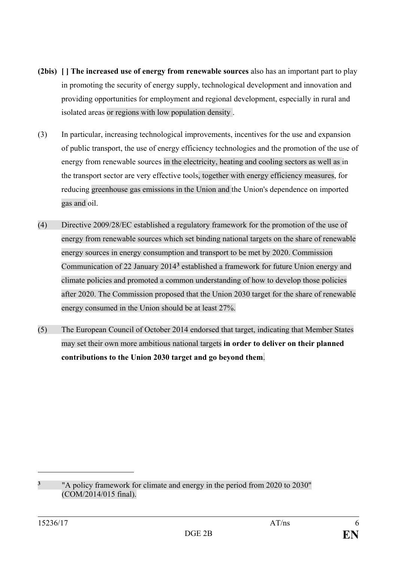- **(2bis) [ ] The increased use of energy from renewable sources** also has an important part to play in promoting the security of energy supply, technological development and innovation and providing opportunities for employment and regional development, especially in rural and isolated areas or regions with low population density .
- (3) In particular, increasing technological improvements, incentives for the use and expansion of public transport, the use of energy efficiency technologies and the promotion of the use of energy from renewable sources in the electricity, heating and cooling sectors as well as in the transport sector are very effective tools, together with energy efficiency measures, for reducing greenhouse gas emissions in the Union and the Union's dependence on imported gas and oil.
- (4) Directive 2009/28/EC established a regulatory framework for the promotion of the use of energy from renewable sources which set binding national targets on the share of renewable energy sources in energy consumption and transport to be met by 2020. Commission Communication of 22 January 2014**[3](#page-5-0)** established a framework for future Union energy and climate policies and promoted a common understanding of how to develop those policies after 2020. The Commission proposed that the Union 2030 target for the share of renewable energy consumed in the Union should be at least 27%.
- (5) The European Council of October 2014 endorsed that target, indicating that Member States may set their own more ambitious national targets **in order to deliver on their planned contributions to the Union 2030 target and go beyond them**.

<span id="page-5-0"></span><sup>&</sup>lt;sup>3</sup> "A policy framework for climate and energy in the period from 2020 to 2030" (COM/2014/015 final).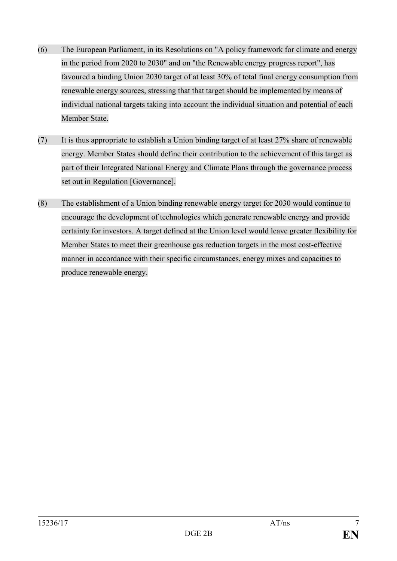- (6) The European Parliament, in its Resolutions on "A policy framework for climate and energy in the period from 2020 to 2030" and on "the Renewable energy progress report", has favoured a binding Union 2030 target of at least 30% of total final energy consumption from renewable energy sources, stressing that that target should be implemented by means of individual national targets taking into account the individual situation and potential of each Member State.
- (7) It is thus appropriate to establish a Union binding target of at least 27% share of renewable energy. Member States should define their contribution to the achievement of this target as part of their Integrated National Energy and Climate Plans through the governance process set out in Regulation [Governance].
- (8) The establishment of a Union binding renewable energy target for 2030 would continue to encourage the development of technologies which generate renewable energy and provide certainty for investors. A target defined at the Union level would leave greater flexibility for Member States to meet their greenhouse gas reduction targets in the most cost-effective manner in accordance with their specific circumstances, energy mixes and capacities to produce renewable energy.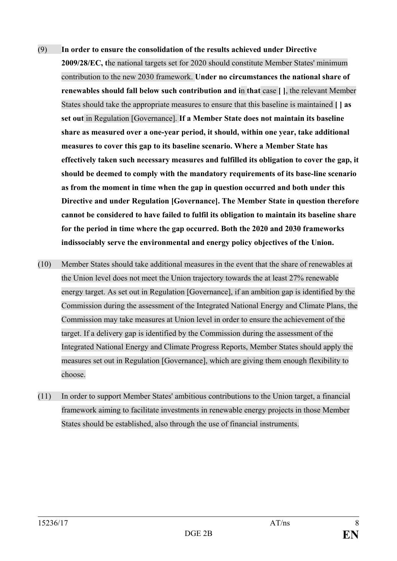- (9) **In order to ensure the consolidation of the results achieved under Directive 2009/28/EC, t**he national targets set for 2020 should constitute Member States' minimum contribution to the new 2030 framework. **Under no circumstances the national share of renewables should fall below such contribution and i**n **that** case **[ ]**, the relevant Member States should take the appropriate measures to ensure that this baseline is maintained **[ ] as set out** in Regulation [Governance]. **If a Member State does not maintain its baseline share as measured over a one-year period, it should, within one year, take additional measures to cover this gap to its baseline scenario. Where a Member State has effectively taken such necessary measures and fulfilled its obligation to cover the gap, it should be deemed to comply with the mandatory requirements of its base-line scenario as from the moment in time when the gap in question occurred and both under this Directive and under Regulation [Governance]. The Member State in question therefore cannot be considered to have failed to fulfil its obligation to maintain its baseline share for the period in time where the gap occurred. Both the 2020 and 2030 frameworks indissociably serve the environmental and energy policy objectives of the Union.**
- (10) Member States should take additional measures in the event that the share of renewables at the Union level does not meet the Union trajectory towards the at least 27% renewable energy target. As set out in Regulation [Governance], if an ambition gap is identified by the Commission during the assessment of the Integrated National Energy and Climate Plans, the Commission may take measures at Union level in order to ensure the achievement of the target. If a delivery gap is identified by the Commission during the assessment of the Integrated National Energy and Climate Progress Reports, Member States should apply the measures set out in Regulation [Governance], which are giving them enough flexibility to choose.
- (11) In order to support Member States' ambitious contributions to the Union target, a financial framework aiming to facilitate investments in renewable energy projects in those Member States should be established, also through the use of financial instruments.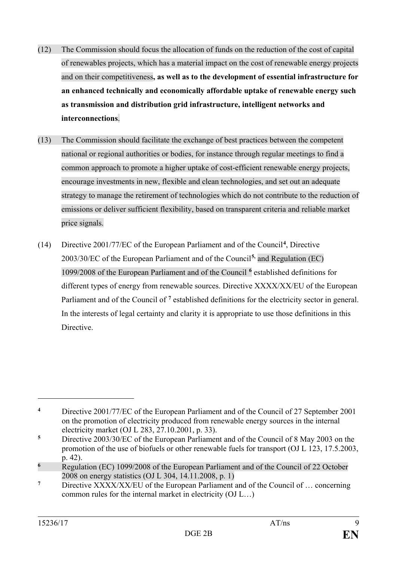- (12) The Commission should focus the allocation of funds on the reduction of the cost of capital of renewables projects, which has a material impact on the cost of renewable energy projects and on their competitiveness**, as well as to the development of essential infrastructure for an enhanced technically and economically affordable uptake of renewable energy such as transmission and distribution grid infrastructure, intelligent networks and interconnections**.
- (13) The Commission should facilitate the exchange of best practices between the competent national or regional authorities or bodies, for instance through regular meetings to find a common approach to promote a higher uptake of cost-efficient renewable energy projects, encourage investments in new, flexible and clean technologies, and set out an adequate strategy to manage the retirement of technologies which do not contribute to the reduction of emissions or deliver sufficient flexibility, based on transparent criteria and reliable market price signals.
- (14) Directive 2001/77/EC of the European Parliament and of the Council**[4](#page-8-0)**, Directive 2003/30/EC of the European Parliament and of the Council**[5](#page-8-1),** and Regulation (EC) 1099/2008 of the European Parliament and of the Council **[6](#page-8-2)** established definitions for different types of energy from renewable sources. Directive XXXX/XX/EU of the European Parliament and of the Council of <sup>[7](#page-8-3)</sup> established definitions for the electricity sector in general. In the interests of legal certainty and clarity it is appropriate to use those definitions in this Directive.

<span id="page-8-0"></span>**<sup>4</sup>** [Directive 2001/77/EC of the European Parliament and of the Council of 27 September 2001](http://eur-lex.europa.eu/legal-content/AUTO/?uri=CELEX:32001L0077&qid=1487580338772&rid=1)  [on the promotion of electricity produced from renewable energy sources in the internal](http://eur-lex.europa.eu/legal-content/AUTO/?uri=CELEX:32001L0077&qid=1487580338772&rid=1)  [electricity market](http://eur-lex.europa.eu/legal-content/AUTO/?uri=CELEX:32001L0077&qid=1487580338772&rid=1) (OJ L 283, 27.10.2001, p. 33).

<span id="page-8-1"></span>**<sup>5</sup>** Directive 2003/30/EC of the European Parliament and of the Council of 8 May 2003 on the promotion of the use of biofuels or other renewable fuels for transport (OJ L 123, 17.5.2003, p. 42).

<span id="page-8-2"></span><sup>&</sup>lt;sup>6</sup> Regulation (EC) 1099/2008 of the European Parliament and of the Council of 22 October 2008 on energy statistics (OJ L 304, 14.11.2008, p. 1)

<span id="page-8-3"></span>**<sup>7</sup>** Directive XXXX/XX/EU of the European Parliament and of the Council of … concerning common rules for the internal market in electricity (OJ L…)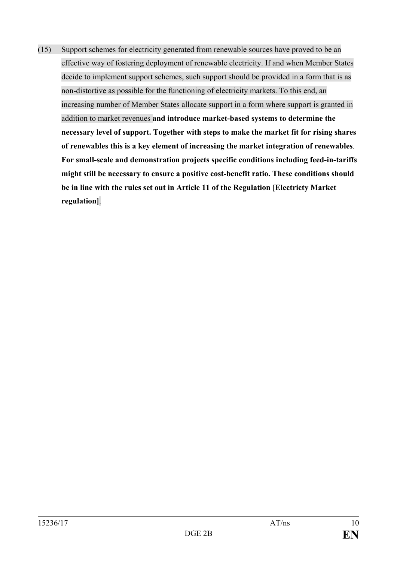(15) Support schemes for electricity generated from renewable sources have proved to be an effective way of fostering deployment of renewable electricity. If and when Member States decide to implement support schemes, such support should be provided in a form that is as non-distortive as possible for the functioning of electricity markets. To this end, an increasing number of Member States allocate support in a form where support is granted in addition to market revenues **and introduce market-based systems to determine the necessary level of support. Together with steps to make the market fit for rising shares of renewables this is a key element of increasing the market integration of renewables**. **For small-scale and demonstration projects specific conditions including feed-in-tariffs might still be necessary to ensure a positive cost-benefit ratio. These conditions should be in line with the rules set out in Article 11 of the Regulation [Electricty Market regulation]**.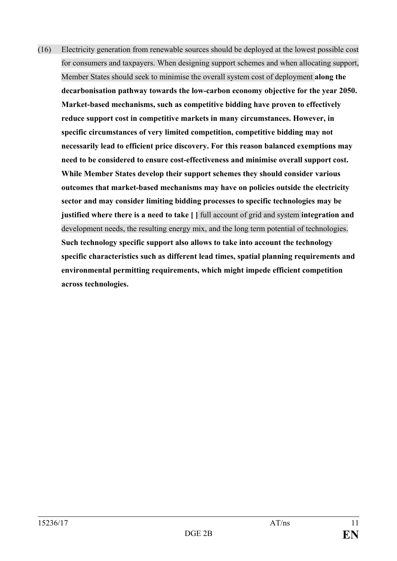(16) Electricity generation from renewable sources should be deployed at the lowest possible cost for consumers and taxpayers. When designing support schemes and when allocating support, Member States should seek to minimise the overall system cost of deployment **along the decarbonisation pathway towards the low-carbon economy objective for the year 2050. Market-based mechanisms, such as competitive bidding have proven to effectively reduce support cost in competitive markets in many circumstances. However, in specific circumstances of very limited competition, competitive bidding may not necessarily lead to efficient price discovery. For this reason balanced exemptions may need to be considered to ensure cost-effectiveness and minimise overall support cost. While Member States develop their support schemes they should consider various outcomes that market-based mechanisms may have on policies outside the electricity sector and may consider limiting bidding processes to specific technologies may be justified where there is a need to take [ ]** full account of grid and system **integration and** development needs, the resulting energy mix, and the long term potential of technologies. **Such technology specific support also allows to take into account the technology specific characteristics such as different lead times, spatial planning requirements and environmental permitting requirements, which might impede efficient competition across technologies.**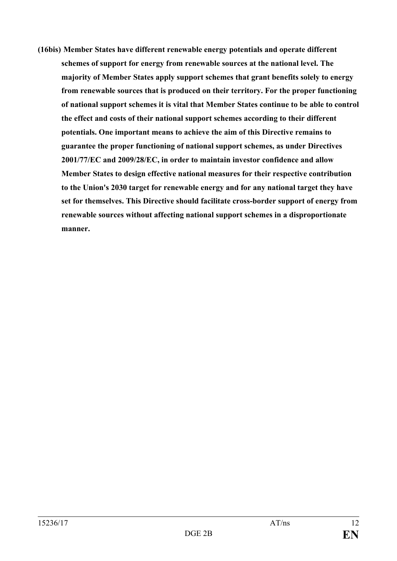**(16bis) Member States have different renewable energy potentials and operate different schemes of support for energy from renewable sources at the national level. The majority of Member States apply support schemes that grant benefits solely to energy from renewable sources that is produced on their territory. For the proper functioning of national support schemes it is vital that Member States continue to be able to control the effect and costs of their national support schemes according to their different potentials. One important means to achieve the aim of this Directive remains to guarantee the proper functioning of national support schemes, as under Directives 2001/77/EC and 2009/28/EC, in order to maintain investor confidence and allow Member States to design effective national measures for their respective contribution to the Union's 2030 target for renewable energy and for any national target they have set for themselves. This Directive should facilitate cross-border support of energy from renewable sources without affecting national support schemes in a disproportionate manner.**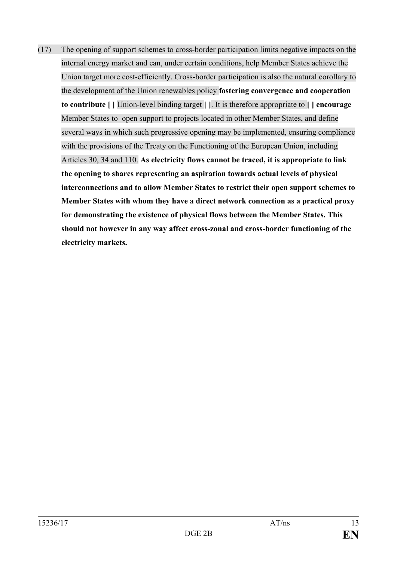(17) The opening of support schemes to cross-border participation limits negative impacts on the internal energy market and can, under certain conditions, help Member States achieve the Union target more cost-efficiently. Cross-border participation is also the natural corollary to the development of the Union renewables policy **fostering convergence and cooperation to contribute [ ]** Union-level binding target **[ ]**. It is therefore appropriate to **[ ] encourage** Member States to open support to projects located in other Member States, and define several ways in which such progressive opening may be implemented, ensuring compliance with the provisions of the Treaty on the Functioning of the European Union, including Articles 30, 34 and 110. **As electricity flows cannot be traced, it is appropriate to link the opening to shares representing an aspiration towards actual levels of physical interconnections and to allow Member States to restrict their open support schemes to Member States with whom they have a direct network connection as a practical proxy for demonstrating the existence of physical flows between the Member States. This should not however in any way affect cross-zonal and cross-border functioning of the electricity markets.**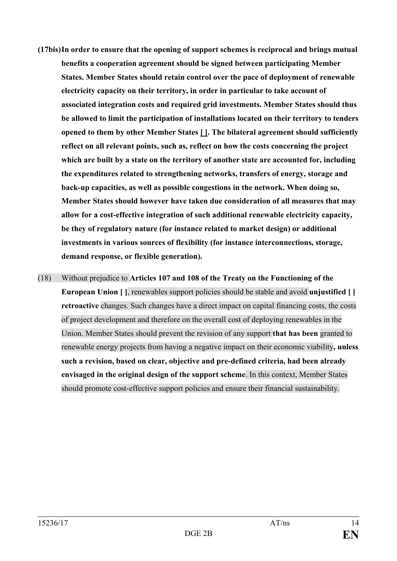- **(17bis)In order to ensure that the opening of support schemes is reciprocal and brings mutual benefits a cooperation agreement should be signed between participating Member States. Member States should retain control over the pace of deployment of renewable electricity capacity on their territory, in order in particular to take account of associated integration costs and required grid investments. Member States should thus be allowed to limit the participation of installations located on their territory to tenders opened to them by other Member States [ ]. The bilateral agreement should sufficiently reflect on all relevant points, such as, reflect on how the costs concerning the project which are built by a state on the territory of another state are accounted for, including the expenditures related to strengthening networks, transfers of energy, storage and back-up capacities, as well as possible congestions in the network. When doing so, Member States should however have taken due consideration of all measures that may allow for a cost-effective integration of such additional renewable electricity capacity, be they of regulatory nature (for instance related to market design) or additional investments in various sources of flexibility (for instance interconnections, storage, demand response, or flexible generation).**
- (18) Without prejudice to **Articles 107 and 108 of the Treaty on the Functioning of the European Union [ ]**, renewables support policies should be stable and avoid **unjustified [ ] retroactive** changes. Such changes have a direct impact on capital financing costs, the costs of project development and therefore on the overall cost of deploying renewables in the Union. Member States should prevent the revision of any support **that has been** granted to renewable energy projects from having a negative impact on their economic viability**, unless such a revision, based on clear, objective and pre-defined criteria, had been already envisaged in the original design of the support scheme**. In this context, Member States should promote cost-effective support policies and ensure their financial sustainability.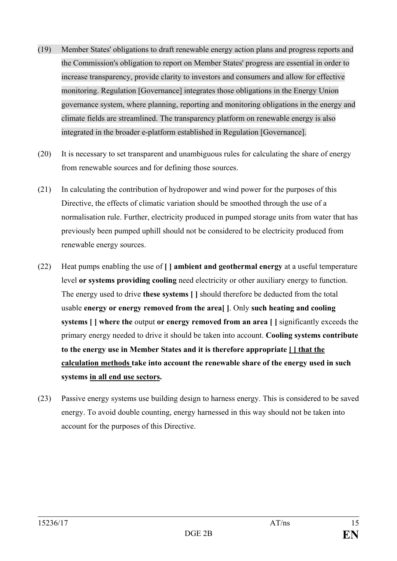- (19) Member States' obligations to draft renewable energy action plans and progress reports and the Commission's obligation to report on Member States' progress are essential in order to increase transparency, provide clarity to investors and consumers and allow for effective monitoring. Regulation [Governance] integrates those obligations in the Energy Union governance system, where planning, reporting and monitoring obligations in the energy and climate fields are streamlined. The transparency platform on renewable energy is also integrated in the broader e-platform established in Regulation [Governance].
- (20) It is necessary to set transparent and unambiguous rules for calculating the share of energy from renewable sources and for defining those sources.
- (21) In calculating the contribution of hydropower and wind power for the purposes of this Directive, the effects of climatic variation should be smoothed through the use of a normalisation rule. Further, electricity produced in pumped storage units from water that has previously been pumped uphill should not be considered to be electricity produced from renewable energy sources.
- (22) Heat pumps enabling the use of **[ ] ambient and geothermal energy** at a useful temperature level **or systems providing cooling** need electricity or other auxiliary energy to function. The energy used to drive **these systems [ ]** should therefore be deducted from the total usable **energy or energy removed from the area[ ]**. Only **such heating and cooling systems [ ] where the** output **or energy removed from an area [ ]** significantly exceeds the primary energy needed to drive it should be taken into account. **Cooling systems contribute to the energy use in Member States and it is therefore appropriate [ ] that the calculation methods take into account the renewable share of the energy used in such systems in all end use sectors.**
- (23) Passive energy systems use building design to harness energy. This is considered to be saved energy. To avoid double counting, energy harnessed in this way should not be taken into account for the purposes of this Directive.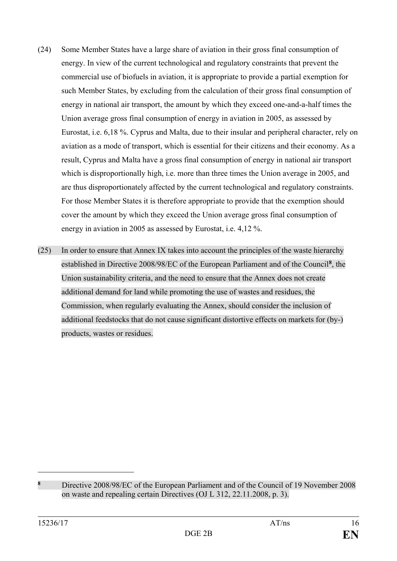- (24) Some Member States have a large share of aviation in their gross final consumption of energy. In view of the current technological and regulatory constraints that prevent the commercial use of biofuels in aviation, it is appropriate to provide a partial exemption for such Member States, by excluding from the calculation of their gross final consumption of energy in national air transport, the amount by which they exceed one-and-a-half times the Union average gross final consumption of energy in aviation in 2005, as assessed by Eurostat, i.e. 6,18 %. Cyprus and Malta, due to their insular and peripheral character, rely on aviation as a mode of transport, which is essential for their citizens and their economy. As a result, Cyprus and Malta have a gross final consumption of energy in national air transport which is disproportionally high, i.e. more than three times the Union average in 2005, and are thus disproportionately affected by the current technological and regulatory constraints. For those Member States it is therefore appropriate to provide that the exemption should cover the amount by which they exceed the Union average gross final consumption of energy in aviation in 2005 as assessed by Eurostat, i.e. 4,12 %.
- (25) In order to ensure that Annex IX takes into account the principles of the waste hierarchy established in Directive 2008/98/EC of the European Parliament and of the Council**[8](#page-15-0)**, the Union sustainability criteria, and the need to ensure that the Annex does not create additional demand for land while promoting the use of wastes and residues, the Commission, when regularly evaluating the Annex, should consider the inclusion of additional feedstocks that do not cause significant distortive effects on markets for (by-) products, wastes or residues.

<span id="page-15-0"></span>**<sup>8</sup>** Directive 2008/98/EC of the European Parliament and of the Council of 19 November 2008 on waste and repealing certain Directives (OJ L 312, 22.11.2008, p. 3).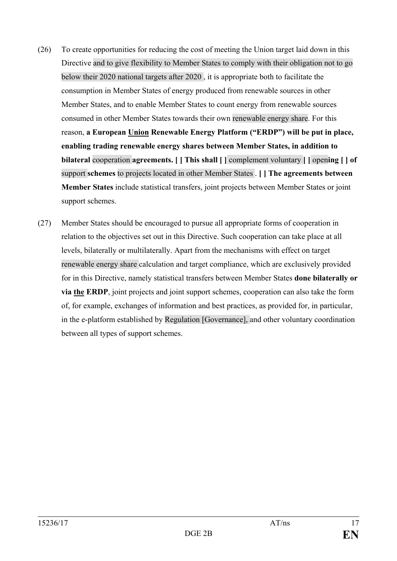- (26) To create opportunities for reducing the cost of meeting the Union target laid down in this Directive and to give flexibility to Member States to comply with their obligation not to go below their 2020 national targets after 2020 , it is appropriate both to facilitate the consumption in Member States of energy produced from renewable sources in other Member States, and to enable Member States to count energy from renewable sources consumed in other Member States towards their own renewable energy share. For this reason, **a European Union Renewable Energy Platform ("ERDP") will be put in place, enabling trading renewable energy shares between Member States, in addition to bilateral** cooperation **agreements. [ ] This shall [ ]** complement voluntary **[ ]** open**ing [ ] of** support **schemes** to projects located in other Member States . **[ ] The agreements between Member States** include statistical transfers, joint projects between Member States or joint support schemes.
- (27) Member States should be encouraged to pursue all appropriate forms of cooperation in relation to the objectives set out in this Directive. Such cooperation can take place at all levels, bilaterally or multilaterally. Apart from the mechanisms with effect on target renewable energy share calculation and target compliance, which are exclusively provided for in this Directive, namely statistical transfers between Member States **done bilaterally or via the ERDP**, joint projects and joint support schemes, cooperation can also take the form of, for example, exchanges of information and best practices, as provided for, in particular, in the e-platform established by Regulation [Governance], and other voluntary coordination between all types of support schemes.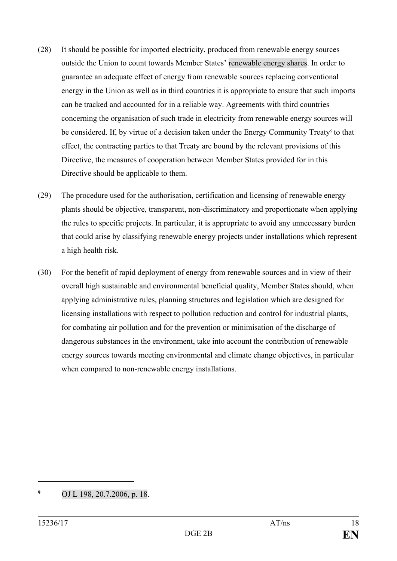- (28) It should be possible for imported electricity, produced from renewable energy sources outside the Union to count towards Member States' renewable energy shares. In order to guarantee an adequate effect of energy from renewable sources replacing conventional energy in the Union as well as in third countries it is appropriate to ensure that such imports can be tracked and accounted for in a reliable way. Agreements with third countries concerning the organisation of such trade in electricity from renewable energy sources will be considered. If, by virtue of a decision taken under the Energy Community Treaty<sup>9</sup> to that effect, the contracting parties to that Treaty are bound by the relevant provisions of this Directive, the measures of cooperation between Member States provided for in this Directive should be applicable to them.
- (29) The procedure used for the authorisation, certification and licensing of renewable energy plants should be objective, transparent, non-discriminatory and proportionate when applying the rules to specific projects. In particular, it is appropriate to avoid any unnecessary burden that could arise by classifying renewable energy projects under installations which represent a high health risk.
- (30) For the benefit of rapid deployment of energy from renewable sources and in view of their overall high sustainable and environmental beneficial quality, Member States should, when applying administrative rules, planning structures and legislation which are designed for licensing installations with respect to pollution reduction and control for industrial plants, for combating air pollution and for the prevention or minimisation of the discharge of dangerous substances in the environment, take into account the contribution of renewable energy sources towards meeting environmental and climate change objectives, in particular when compared to non-renewable energy installations.

<span id="page-17-0"></span>**<sup>9</sup>** OJ L 198, 20.7.2006, p. 18.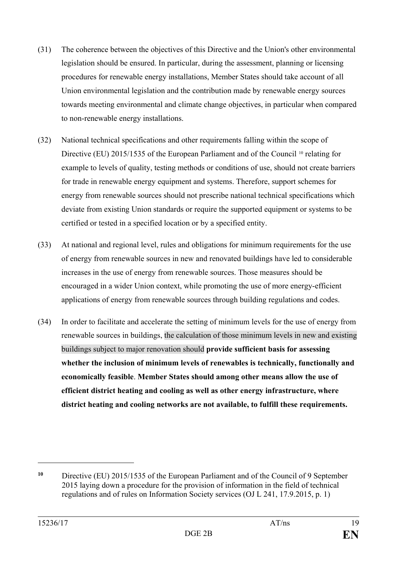- (31) The coherence between the objectives of this Directive and the Union's other environmental legislation should be ensured. In particular, during the assessment, planning or licensing procedures for renewable energy installations, Member States should take account of all Union environmental legislation and the contribution made by renewable energy sources towards meeting environmental and climate change objectives, in particular when compared to non-renewable energy installations.
- (32) National technical specifications and other requirements falling within the scope of Directive (EU) 2015/1535 of the European Parliament and of the Council <sup>[10](#page-18-0)</sup> relating for example to levels of quality, testing methods or conditions of use, should not create barriers for trade in renewable energy equipment and systems. Therefore, support schemes for energy from renewable sources should not prescribe national technical specifications which deviate from existing Union standards or require the supported equipment or systems to be certified or tested in a specified location or by a specified entity.
- (33) At national and regional level, rules and obligations for minimum requirements for the use of energy from renewable sources in new and renovated buildings have led to considerable increases in the use of energy from renewable sources. Those measures should be encouraged in a wider Union context, while promoting the use of more energy-efficient applications of energy from renewable sources through building regulations and codes.
- (34) In order to facilitate and accelerate the setting of minimum levels for the use of energy from renewable sources in buildings, the calculation of those minimum levels in new and existing buildings subject to major renovation should **provide sufficient basis for assessing whether the inclusion of minimum levels of renewables is technically, functionally and economically feasible**. **Member States should among other means allow the use of efficient district heating and cooling as well as other energy infrastructure, where district heating and cooling networks are not available, to fulfill these requirements.**

<span id="page-18-0"></span>**<sup>10</sup>** Directive (EU) 2015/1535 of the European Parliament and of the Council of 9 September 2015 laying down a procedure for the provision of information in the field of technical regulations and of rules on Information Society services (OJ L 241, 17.9.2015, p. 1)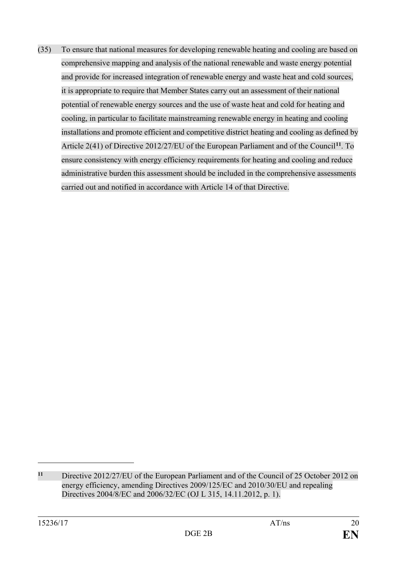(35) To ensure that national measures for developing renewable heating and cooling are based on comprehensive mapping and analysis of the national renewable and waste energy potential and provide for increased integration of renewable energy and waste heat and cold sources, it is appropriate to require that Member States carry out an assessment of their national potential of renewable energy sources and the use of waste heat and cold for heating and cooling, in particular to facilitate mainstreaming renewable energy in heating and cooling installations and promote efficient and competitive district heating and cooling as defined by Article 2(41) of Directive 2012/27/EU of the European Parliament and of the Council**[11](#page-19-0)**. To ensure consistency with energy efficiency requirements for heating and cooling and reduce administrative burden this assessment should be included in the comprehensive assessments carried out and notified in accordance with Article 14 of that Directive.

<span id="page-19-0"></span>**<sup>11</sup>** Directive 2012/27/EU of the European Parliament and of the Council of 25 October 2012 [on](http://eur-lex.europa.eu/legal-content/AUTO/?uri=CELEX:32012L0027&qid=1487581538960&rid=1)  [energy efficiency, amending Directives 2009/125/EC and 2010/30/EU and repealing](http://eur-lex.europa.eu/legal-content/AUTO/?uri=CELEX:32012L0027&qid=1487581538960&rid=1)  [Directives 2004/8/EC and 2006/32/EC \(](http://eur-lex.europa.eu/legal-content/AUTO/?uri=CELEX:32012L0027&qid=1487581538960&rid=1)OJ L 315, 14.11.2012, p. 1).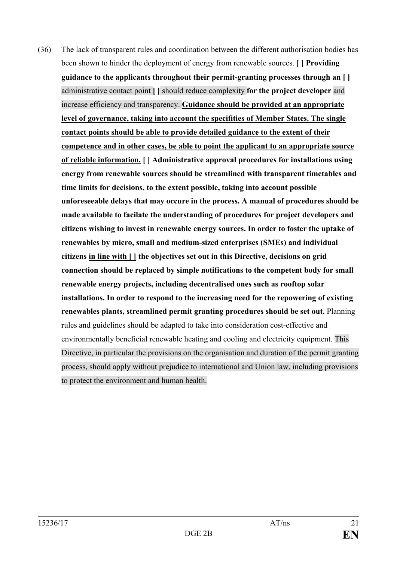(36) The lack of transparent rules and coordination between the different authorisation bodies has been shown to hinder the deployment of energy from renewable sources. **[ ] Providing guidance to the applicants throughout their permit-granting processes through an [ ]** administrative contact point **[ ]** should reduce complexity **for the project developer** and increase efficiency and transparency. **Guidance should be provided at an appropriate level of governance, taking into account the specifities of Member States. The single contact points should be able to provide detailed guidance to the extent of their competence and in other cases, be able to point the applicant to an appropriate source of reliable information. [ ] Administrative approval procedures for installations using energy from renewable sources should be streamlined with transparent timetables and time limits for decisions, to the extent possible, taking into account possible unforeseeable delays that may occure in the process. A manual of procedures should be made available to facilate the understanding of procedures for project developers and citizens wishing to invest in renewable energy sources. In order to foster the uptake of renewables by micro, small and medium-sized enterprises (SMEs) and individual citizens in line with [ ] the objectives set out in this Directive, decisions on grid connection should be replaced by simple notifications to the competent body for small renewable energy projects, including decentralised ones such as rooftop solar installations. In order to respond to the increasing need for the repowering of existing renewables plants, streamlined permit granting procedures should be set out.** Planning rules and guidelines should be adapted to take into consideration cost-effective and environmentally beneficial renewable heating and cooling and electricity equipment. This Directive, in particular the provisions on the organisation and duration of the permit granting process, should apply without prejudice to international and Union law, including provisions to protect the environment and human health.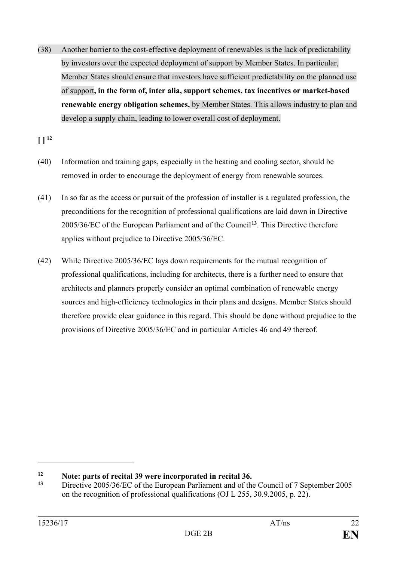(38) Another barrier to the cost-effective deployment of renewables is the lack of predictability by investors over the expected deployment of support by Member States. In particular, Member States should ensure that investors have sufficient predictability on the planned use of support**, in the form of, inter alia, support schemes, tax incentives or market-based renewable energy obligation schemes,** by Member States. This allows industry to plan and develop a supply chain, leading to lower overall cost of deployment.

 $[ ]$ <sup>[12](#page-21-0)</sup>

- (40) Information and training gaps, especially in the heating and cooling sector, should be removed in order to encourage the deployment of energy from renewable sources.
- (41) In so far as the access or pursuit of the profession of installer is a regulated profession, the preconditions for the recognition of professional qualifications are laid down in Directive 2005/36/EC of the European Parliament and of the Council**[13](#page-21-1)**. This Directive therefore applies without prejudice to Directive 2005/36/EC.
- (42) While Directive 2005/36/EC lays down requirements for the mutual recognition of professional qualifications, including for architects, there is a further need to ensure that architects and planners properly consider an optimal combination of renewable energy sources and high-efficiency technologies in their plans and designs. Member States should therefore provide clear guidance in this regard. This should be done without prejudice to the provisions of Directive 2005/36/EC and in particular Articles 46 and 49 thereof.

<span id="page-21-0"></span>**<sup>12</sup> Note: parts of recital 39 were incorporated in recital 36.**<br>13 **Directive 2005/36/EC** of the European Parliament and of the

<span id="page-21-1"></span>**<sup>13</sup>** Directive 2005/36/EC of the European Parliament and of the Council of 7 September 2005 on the recognition of professional qualifications (OJ L 255, 30.9.2005, p. 22).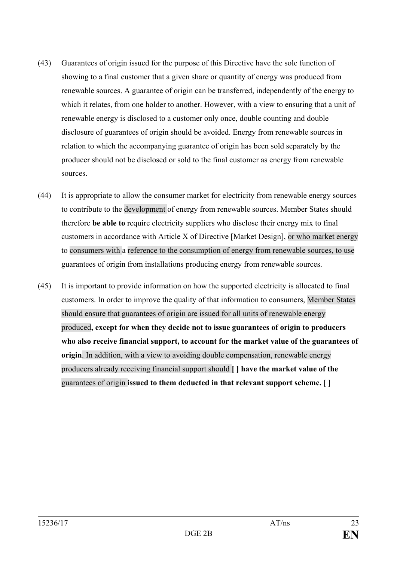- (43) Guarantees of origin issued for the purpose of this Directive have the sole function of showing to a final customer that a given share or quantity of energy was produced from renewable sources. A guarantee of origin can be transferred, independently of the energy to which it relates, from one holder to another. However, with a view to ensuring that a unit of renewable energy is disclosed to a customer only once, double counting and double disclosure of guarantees of origin should be avoided. Energy from renewable sources in relation to which the accompanying guarantee of origin has been sold separately by the producer should not be disclosed or sold to the final customer as energy from renewable sources.
- (44) It is appropriate to allow the consumer market for electricity from renewable energy sources to contribute to the development of energy from renewable sources. Member States should therefore **be able to** require electricity suppliers who disclose their energy mix to final customers in accordance with Article X of Directive [Market Design], or who market energy to consumers with a reference to the consumption of energy from renewable sources, to use guarantees of origin from installations producing energy from renewable sources.
- (45) It is important to provide information on how the supported electricity is allocated to final customers. In order to improve the quality of that information to consumers, Member States should ensure that guarantees of origin are issued for all units of renewable energy produced**, except for when they decide not to issue guarantees of origin to producers who also receive financial support, to account for the market value of the guarantees of origin**. In addition, with a view to avoiding double compensation, renewable energy producers already receiving financial support should **[ ] have the market value of the** guarantees of origin **issued to them deducted in that relevant support scheme. [ ]**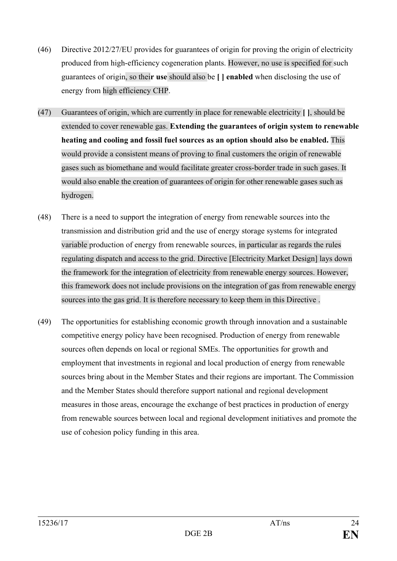- (46) Directive 2012/27/EU provides for guarantees of origin for proving the origin of electricity produced from high-efficiency cogeneration plants. However, no use is specified for such guarantees of origin, so thei**r use** should also be **[ ] enabled** when disclosing the use of energy from high efficiency CHP.
- (47) Guarantees of origin, which are currently in place for renewable electricity **[ ]**, should be extended to cover renewable gas. **Extending the guarantees of origin system to renewable heating and cooling and fossil fuel sources as an option should also be enabled.** This would provide a consistent means of proving to final customers the origin of renewable gases such as biomethane and would facilitate greater cross-border trade in such gases. It would also enable the creation of guarantees of origin for other renewable gases such as hydrogen.
- (48) There is a need to support the integration of energy from renewable sources into the transmission and distribution grid and the use of energy storage systems for integrated variable production of energy from renewable sources, in particular as regards the rules regulating dispatch and access to the grid. Directive [Electricity Market Design] lays down the framework for the integration of electricity from renewable energy sources. However, this framework does not include provisions on the integration of gas from renewable energy sources into the gas grid. It is therefore necessary to keep them in this Directive .
- (49) The opportunities for establishing economic growth through innovation and a sustainable competitive energy policy have been recognised. Production of energy from renewable sources often depends on local or regional SMEs. The opportunities for growth and employment that investments in regional and local production of energy from renewable sources bring about in the Member States and their regions are important. The Commission and the Member States should therefore support national and regional development measures in those areas, encourage the exchange of best practices in production of energy from renewable sources between local and regional development initiatives and promote the use of cohesion policy funding in this area.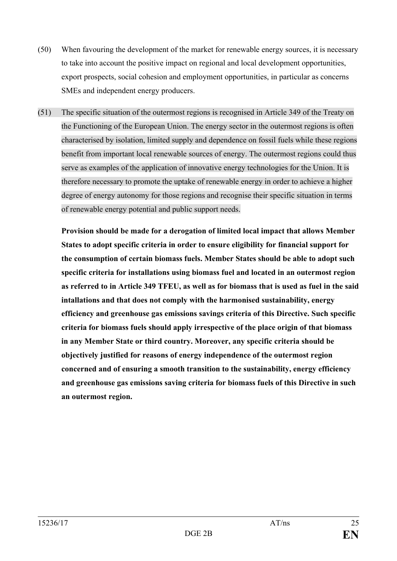- (50) When favouring the development of the market for renewable energy sources, it is necessary to take into account the positive impact on regional and local development opportunities, export prospects, social cohesion and employment opportunities, in particular as concerns SMEs and independent energy producers.
- (51) The specific situation of the outermost regions is recognised in Article 349 of the Treaty on the Functioning of the European Union. The energy sector in the outermost regions is often characterised by isolation, limited supply and dependence on fossil fuels while these regions benefit from important local renewable sources of energy. The outermost regions could thus serve as examples of the application of innovative energy technologies for the Union. It is therefore necessary to promote the uptake of renewable energy in order to achieve a higher degree of energy autonomy for those regions and recognise their specific situation in terms of renewable energy potential and public support needs.

**Provision should be made for a derogation of limited local impact that allows Member States to adopt specific criteria in order to ensure eligibility for financial support for the consumption of certain biomass fuels. Member States should be able to adopt such specific criteria for installations using biomass fuel and located in an outermost region as referred to in Article 349 TFEU, as well as for biomass that is used as fuel in the said intallations and that does not comply with the harmonised sustainability, energy efficiency and greenhouse gas emissions savings criteria of this Directive. Such specific criteria for biomass fuels should apply irrespective of the place origin of that biomass in any Member State or third country. Moreover, any specific criteria should be objectively justified for reasons of energy independence of the outermost region concerned and of ensuring a smooth transition to the sustainability, energy efficiency and greenhouse gas emissions saving criteria for biomass fuels of this Directive in such an outermost region.**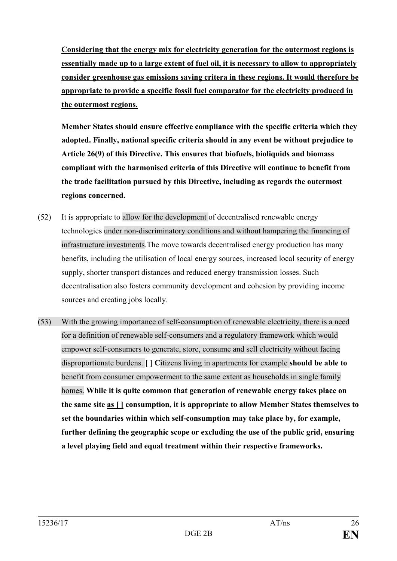**Considering that the energy mix for electricity generation for the outermost regions is essentially made up to a large extent of fuel oil, it is necessary to allow to appropriately consider greenhouse gas emissions saving critera in these regions. It would therefore be appropriate to provide a specific fossil fuel comparator for the electricity produced in the outermost regions.**

**Member States should ensure effective compliance with the specific criteria which they adopted. Finally, national specific criteria should in any event be without prejudice to Article 26(9) of this Directive. This ensures that biofuels, bioliquids and biomass compliant with the harmonised criteria of this Directive will continue to benefit from the trade facilitation pursued by this Directive, including as regards the outermost regions concerned.**

- (52) It is appropriate to allow for the development of decentralised renewable energy technologies under non-discriminatory conditions and without hampering the financing of infrastructure investments.The move towards decentralised energy production has many benefits, including the utilisation of local energy sources, increased local security of energy supply, shorter transport distances and reduced energy transmission losses. Such decentralisation also fosters community development and cohesion by providing income sources and creating jobs locally.
- (53) With the growing importance of self-consumption of renewable electricity, there is a need for a definition of renewable self-consumers and a regulatory framework which would empower self-consumers to generate, store, consume and sell electricity without facing disproportionate burdens. **[ ] C**itizens living in apartments for example **should be able to** benefit from consumer empowerment to the same extent as households in single family homes. **While it is quite common that generation of renewable energy takes place on the same site as [ ] consumption, it is appropriate to allow Member States themselves to set the boundaries within which self-consumption may take place by, for example, further defining the geographic scope or excluding the use of the public grid, ensuring a level playing field and equal treatment within their respective frameworks.**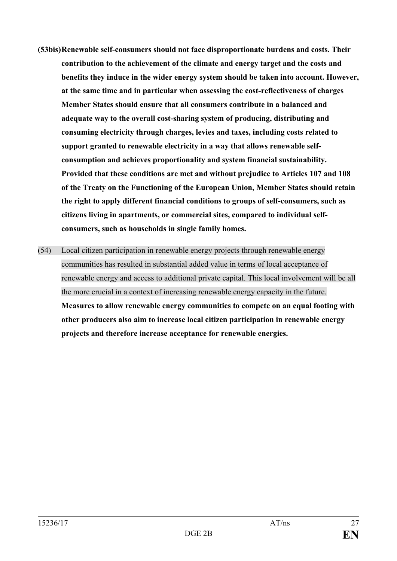- **(53bis)Renewable self-consumers should not face disproportionate burdens and costs. Their contribution to the achievement of the climate and energy target and the costs and benefits they induce in the wider energy system should be taken into account. However, at the same time and in particular when assessing the cost-reflectiveness of charges Member States should ensure that all consumers contribute in a balanced and adequate way to the overall cost-sharing system of producing, distributing and consuming electricity through charges, levies and taxes, including costs related to support granted to renewable electricity in a way that allows renewable selfconsumption and achieves proportionality and system financial sustainability. Provided that these conditions are met and without prejudice to Articles 107 and 108 of the Treaty on the Functioning of the European Union, Member States should retain the right to apply different financial conditions to groups of self-consumers, such as citizens living in apartments, or commercial sites, compared to individual selfconsumers, such as households in single family homes.**
- (54) Local citizen participation in renewable energy projects through renewable energy communities has resulted in substantial added value in terms of local acceptance of renewable energy and access to additional private capital. This local involvement will be all the more crucial in a context of increasing renewable energy capacity in the future. **Measures to allow renewable energy communities to compete on an equal footing with other producers also aim to increase local citizen participation in renewable energy projects and therefore increase acceptance for renewable energies.**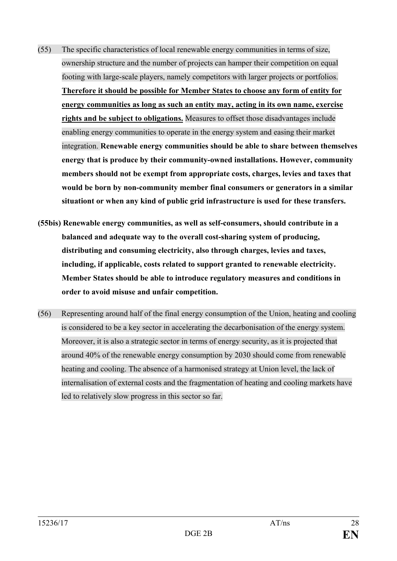- (55) The specific characteristics of local renewable energy communities in terms of size, ownership structure and the number of projects can hamper their competition on equal footing with large-scale players, namely competitors with larger projects or portfolios. **Therefore it should be possible for Member States to choose any form of entity for energy communities as long as such an entity may, acting in its own name, exercise rights and be subject to obligations.** Measures to offset those disadvantages include enabling energy communities to operate in the energy system and easing their market integration. **Renewable energy communities should be able to share between themselves energy that is produce by their community-owned installations. However, community members should not be exempt from appropriate costs, charges, levies and taxes that would be born by non-community member final consumers or generators in a similar situationt or when any kind of public grid infrastructure is used for these transfers.**
- **(55bis) Renewable energy communities, as well as self-consumers, should contribute in a balanced and adequate way to the overall cost-sharing system of producing, distributing and consuming electricity, also through charges, levies and taxes, including, if applicable, costs related to support granted to renewable electricity. Member States should be able to introduce regulatory measures and conditions in order to avoid misuse and unfair competition.**
- (56) Representing around half of the final energy consumption of the Union, heating and cooling is considered to be a key sector in accelerating the decarbonisation of the energy system. Moreover, it is also a strategic sector in terms of energy security, as it is projected that around 40% of the renewable energy consumption by 2030 should come from renewable heating and cooling. The absence of a harmonised strategy at Union level, the lack of internalisation of external costs and the fragmentation of heating and cooling markets have led to relatively slow progress in this sector so far.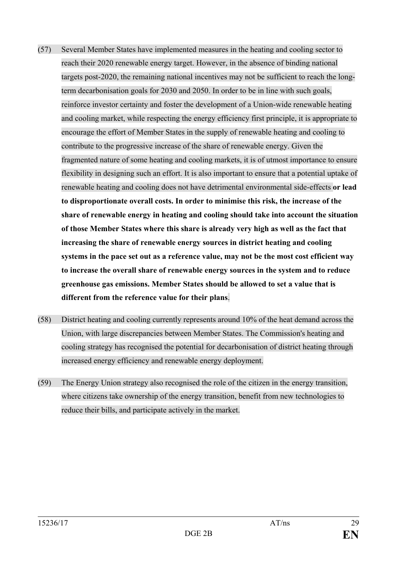- (57) Several Member States have implemented measures in the heating and cooling sector to reach their 2020 renewable energy target. However, in the absence of binding national targets post-2020, the remaining national incentives may not be sufficient to reach the longterm decarbonisation goals for 2030 and 2050. In order to be in line with such goals, reinforce investor certainty and foster the development of a Union-wide renewable heating and cooling market, while respecting the energy efficiency first principle, it is appropriate to encourage the effort of Member States in the supply of renewable heating and cooling to contribute to the progressive increase of the share of renewable energy. Given the fragmented nature of some heating and cooling markets, it is of utmost importance to ensure flexibility in designing such an effort. It is also important to ensure that a potential uptake of renewable heating and cooling does not have detrimental environmental side-effects **or lead to disproportionate overall costs. In order to minimise this risk, the increase of the share of renewable energy in heating and cooling should take into account the situation of those Member States where this share is already very high as well as the fact that increasing the share of renewable energy sources in district heating and cooling systems in the pace set out as a reference value, may not be the most cost efficient way to increase the overall share of renewable energy sources in the system and to reduce greenhouse gas emissions. Member States should be allowed to set a value that is different from the reference value for their plans**.
- (58) District heating and cooling currently represents around 10% of the heat demand across the Union, with large discrepancies between Member States. The Commission's heating and cooling strategy has recognised the potential for decarbonisation of district heating through increased energy efficiency and renewable energy deployment.
- (59) The Energy Union strategy also recognised the role of the citizen in the energy transition, where citizens take ownership of the energy transition, benefit from new technologies to reduce their bills, and participate actively in the market.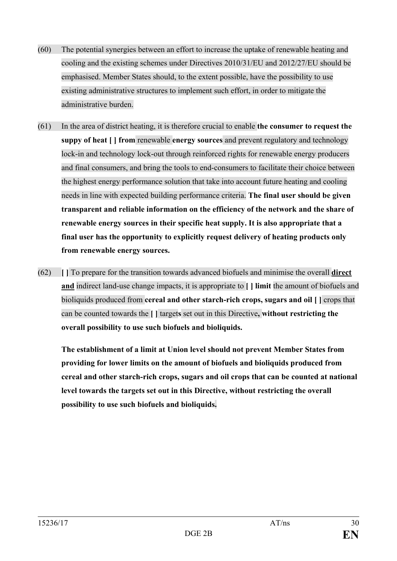- (60) The potential synergies between an effort to increase the uptake of renewable heating and cooling and the existing schemes under Directives 2010/31/EU and 2012/27/EU should be emphasised. Member States should, to the extent possible, have the possibility to use existing administrative structures to implement such effort, in order to mitigate the administrative burden.
- (61) In the area of district heating, it is therefore crucial to enable **the consumer to request the suppy of heat [ ] from** renewable **energy sources** and prevent regulatory and technology lock-in and technology lock-out through reinforced rights for renewable energy producers and final consumers, and bring the tools to end-consumers to facilitate their choice between the highest energy performance solution that take into account future heating and cooling needs in line with expected building performance criteria. **The final user should be given transparent and reliable information on the efficiency of the network and the share of renewable energy sources in their specific heat supply. It is also appropriate that a final user has the opportunity to explicitly request delivery of heating products only from renewable energy sources.**
- (62) **[ ]** To prepare for the transition towards advanced biofuels and minimise the overall **direct and** indirect land-use change impacts, it is appropriate to **[ ] limit** the amount of biofuels and bioliquids produced from **cereal and other starch-rich crops, sugars and oil [ ]** crops that can be counted towards the **[ ]** target**s** set out in this Directive**, without restricting the overall possibility to use such biofuels and bioliquids.**

**The establishment of a limit at Union level should not prevent Member States from providing for lower limits on the amount of biofuels and bioliquids produced from cereal and other starch-rich crops, sugars and oil crops that can be counted at national level towards the targets set out in this Directive, without restricting the overall possibility to use such biofuels and bioliquids.**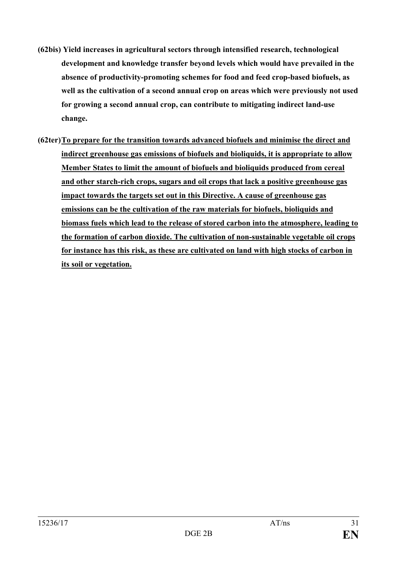- **(62bis) Yield increases in agricultural sectors through intensified research, technological development and knowledge transfer beyond levels which would have prevailed in the absence of productivity-promoting schemes for food and feed crop-based biofuels, as well as the cultivation of a second annual crop on areas which were previously not used for growing a second annual crop, can contribute to mitigating indirect land-use change.**
- **(62ter)To prepare for the transition towards advanced biofuels and minimise the direct and indirect greenhouse gas emissions of biofuels and bioliquids, it is appropriate to allow Member States to limit the amount of biofuels and bioliquids produced from cereal and other starch-rich crops, sugars and oil crops that lack a positive greenhouse gas impact towards the targets set out in this Directive. A cause of greenhouse gas emissions can be the cultivation of the raw materials for biofuels, bioliquids and biomass fuels which lead to the release of stored carbon into the atmosphere, leading to the formation of carbon dioxide. The cultivation of non-sustainable vegetable oil crops for instance has this risk, as these are cultivated on land with high stocks of carbon in its soil or vegetation.**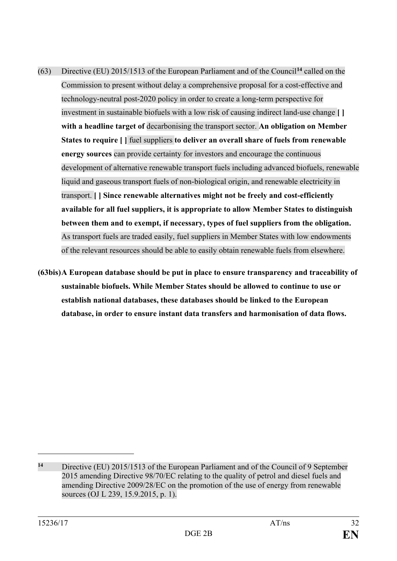- (63) Directive (EU) 2015/1513 of the European Parliament and of the Council**[14](#page-31-0)** called on the Commission to present without delay a comprehensive proposal for a cost-effective and technology-neutral post-2020 policy in order to create a long-term perspective for investment in sustainable biofuels with a low risk of causing indirect land-use change **[ ] with a headline target of** decarbonising the transport sector. **An obligation on Member States to require [ ]** fuel suppliers **to deliver an overall share of fuels from renewable energy sources** can provide certainty for investors and encourage the continuous development of alternative renewable transport fuels including advanced biofuels, renewable liquid and gaseous transport fuels of non-biological origin, and renewable electricity in transport. **[ ] Since renewable alternatives might not be freely and cost-efficiently available for all fuel suppliers, it is appropriate to allow Member States to distinguish between them and to exempt, if necessary, types of fuel suppliers from the obligation.** As transport fuels are traded easily, fuel suppliers in Member States with low endowments of the relevant resources should be able to easily obtain renewable fuels from elsewhere.
- **(63bis)A European database should be put in place to ensure transparency and traceability of sustainable biofuels. While Member States should be allowed to continue to use or establish national databases, these databases should be linked to the European database, in order to ensure instant data transfers and harmonisation of data flows.**

<span id="page-31-0"></span>**<sup>14</sup>** Directive (EU) 2015/1513 of the European Parliament and of the Council of 9 September 2015 amending Directive 98/70/EC relating to the quality of petrol and diesel fuels and amending Directive 2009/28/EC on the promotion of the use of energy from renewable sources (OJ L 239, 15.9.2015, p. 1).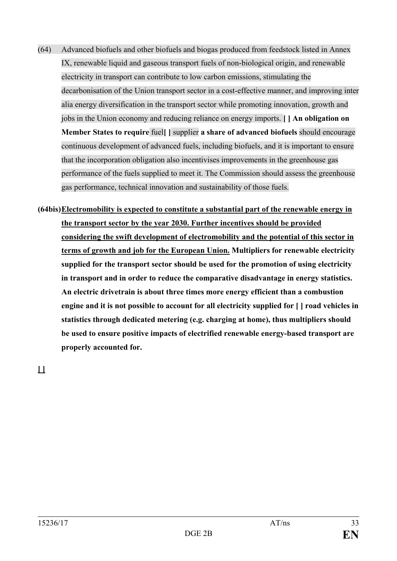- (64) Advanced biofuels and other biofuels and biogas produced from feedstock listed in Annex IX, renewable liquid and gaseous transport fuels of non-biological origin, and renewable electricity in transport can contribute to low carbon emissions, stimulating the decarbonisation of the Union transport sector in a cost-effective manner, and improving inter alia energy diversification in the transport sector while promoting innovation, growth and jobs in the Union economy and reducing reliance on energy imports. **[ ] An obligation on Member States to require** fuel**[ ]** supplier **a share of advanced biofuels** should encourage continuous development of advanced fuels, including biofuels, and it is important to ensure that the incorporation obligation also incentivises improvements in the greenhouse gas performance of the fuels supplied to meet it. The Commission should assess the greenhouse gas performance, technical innovation and sustainability of those fuels.
- **(64bis)Electromobility is expected to constitute a substantial part of the renewable energy in the transport sector by the year 2030. Further incentives should be provided considering the swift development of electromobility and the potential of this sector in terms of growth and job for the European Union. Multipliers for renewable electricity supplied for the transport sector should be used for the promotion of using electricity in transport and in order to reduce the comparative disadvantage in energy statistics. An electric drivetrain is about three times more energy efficient than a combustion engine and it is not possible to account for all electricity supplied for [ ] road vehicles in statistics through dedicated metering (e.g. charging at home), thus multipliers should be used to ensure positive impacts of electrified renewable energy-based transport are properly accounted for.**

**[ ]**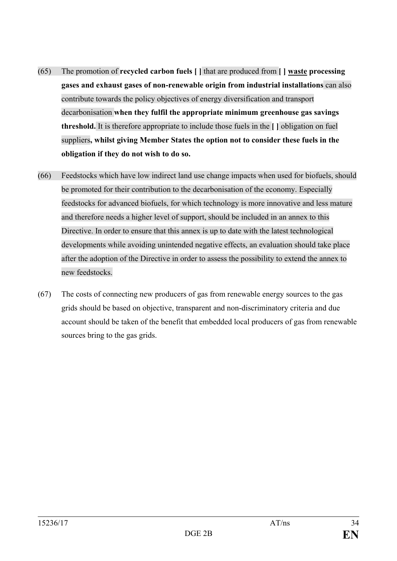- (65) The promotion of **recycled carbon fuels [ ]** that are produced from **[ ] waste processing gases and exhaust gases of non-renewable origin from industrial installations** can also contribute towards the policy objectives of energy diversification and transport decarbonisation **when they fulfil the appropriate minimum greenhouse gas savings threshold.** It is therefore appropriate to include those fuels in the **[ ]** obligation on fuel suppliers**, whilst giving Member States the option not to consider these fuels in the obligation if they do not wish to do so.**
- (66) Feedstocks which have low indirect land use change impacts when used for biofuels, should be promoted for their contribution to the decarbonisation of the economy. Especially feedstocks for advanced biofuels, for which technology is more innovative and less mature and therefore needs a higher level of support, should be included in an annex to this Directive. In order to ensure that this annex is up to date with the latest technological developments while avoiding unintended negative effects, an evaluation should take place after the adoption of the Directive in order to assess the possibility to extend the annex to new feedstocks.
- (67) The costs of connecting new producers of gas from renewable energy sources to the gas grids should be based on objective, transparent and non-discriminatory criteria and due account should be taken of the benefit that embedded local producers of gas from renewable sources bring to the gas grids.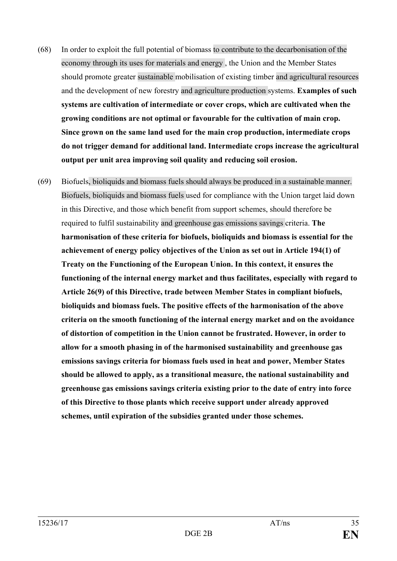- (68) In order to exploit the full potential of biomass to contribute to the decarbonisation of the economy through its uses for materials and energy , the Union and the Member States should promote greater sustainable mobilisation of existing timber and agricultural resources and the development of new forestry and agriculture production systems. **Examples of such systems are cultivation of intermediate or cover crops, which are cultivated when the growing conditions are not optimal or favourable for the cultivation of main crop. Since grown on the same land used for the main crop production, intermediate crops do not trigger demand for additional land. Intermediate crops increase the agricultural output per unit area improving soil quality and reducing soil erosion.**
- (69) Biofuels, bioliquids and biomass fuels should always be produced in a sustainable manner. Biofuels, bioliquids and biomass fuels used for compliance with the Union target laid down in this Directive, and those which benefit from support schemes, should therefore be required to fulfil sustainability and greenhouse gas emissions savings criteria. **The harmonisation of these criteria for biofuels, bioliquids and biomass is essential for the achievement of energy policy objectives of the Union as set out in Article 194(1) of Treaty on the Functioning of the European Union. In this context, it ensures the functioning of the internal energy market and thus facilitates, especially with regard to Article 26(9) of this Directive, trade between Member States in compliant biofuels, bioliquids and biomass fuels. The positive effects of the harmonisation of the above criteria on the smooth functioning of the internal energy market and on the avoidance of distortion of competition in the Union cannot be frustrated. However, in order to allow for a smooth phasing in of the harmonised sustainability and greenhouse gas emissions savings criteria for biomass fuels used in heat and power, Member States should be allowed to apply, as a transitional measure, the national sustainability and greenhouse gas emissions savings criteria existing prior to the date of entry into force of this Directive to those plants which receive support under already approved schemes, until expiration of the subsidies granted under those schemes.**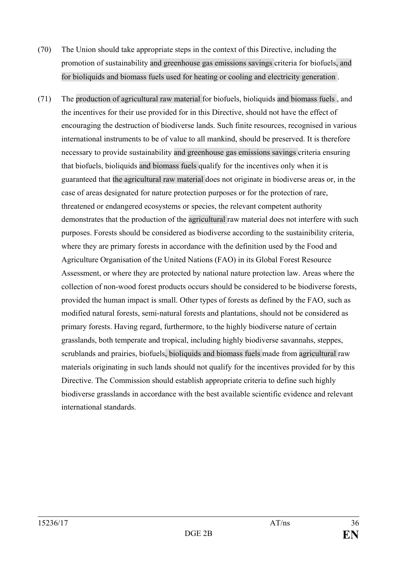- (70) The Union should take appropriate steps in the context of this Directive, including the promotion of sustainability and greenhouse gas emissions savings criteria for biofuels, and for bioliquids and biomass fuels used for heating or cooling and electricity generation .
- (71) The production of agricultural raw material for biofuels, bioliquids and biomass fuels , and the incentives for their use provided for in this Directive, should not have the effect of encouraging the destruction of biodiverse lands. Such finite resources, recognised in various international instruments to be of value to all mankind, should be preserved. It is therefore necessary to provide sustainability and greenhouse gas emissions savings criteria ensuring that biofuels, bioliquids and biomass fuels qualify for the incentives only when it is guaranteed that the agricultural raw material does not originate in biodiverse areas or, in the case of areas designated for nature protection purposes or for the protection of rare, threatened or endangered ecosystems or species, the relevant competent authority demonstrates that the production of the agricultural raw material does not interfere with such purposes. Forests should be considered as biodiverse according to the sustainibility criteria, where they are primary forests in accordance with the definition used by the Food and Agriculture Organisation of the United Nations (FAO) in its Global Forest Resource Assessment, or where they are protected by national nature protection law. Areas where the collection of non-wood forest products occurs should be considered to be biodiverse forests, provided the human impact is small. Other types of forests as defined by the FAO, such as modified natural forests, semi-natural forests and plantations, should not be considered as primary forests. Having regard, furthermore, to the highly biodiverse nature of certain grasslands, both temperate and tropical, including highly biodiverse savannahs, steppes, scrublands and prairies, biofuels, bioliquids and biomass fuels made from agricultural raw materials originating in such lands should not qualify for the incentives provided for by this Directive. The Commission should establish appropriate criteria to define such highly biodiverse grasslands in accordance with the best available scientific evidence and relevant international standards.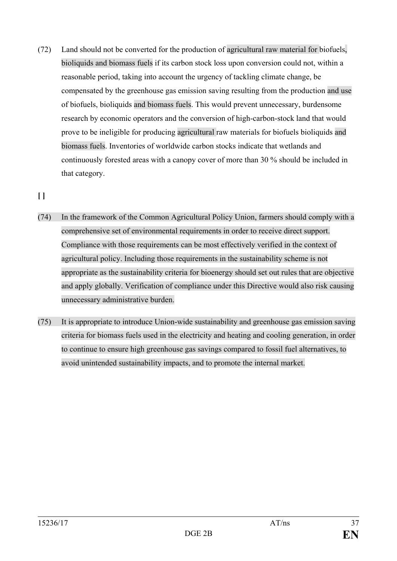(72) Land should not be converted for the production of agricultural raw material for biofuels, bioliquids and biomass fuels if its carbon stock loss upon conversion could not, within a reasonable period, taking into account the urgency of tackling climate change, be compensated by the greenhouse gas emission saving resulting from the production and use of biofuels, bioliquids and biomass fuels. This would prevent unnecessary, burdensome research by economic operators and the conversion of high-carbon-stock land that would prove to be ineligible for producing agricultural raw materials for biofuels bioliquids and biomass fuels. Inventories of worldwide carbon stocks indicate that wetlands and continuously forested areas with a canopy cover of more than 30 % should be included in that category.

# **[ ]**

- (74) In the framework of the Common Agricultural Policy Union, farmers should comply with a comprehensive set of environmental requirements in order to receive direct support. Compliance with those requirements can be most effectively verified in the context of agricultural policy. Including those requirements in the sustainability scheme is not appropriate as the sustainability criteria for bioenergy should set out rules that are objective and apply globally. Verification of compliance under this Directive would also risk causing unnecessary administrative burden.
- (75) It is appropriate to introduce Union-wide sustainability and greenhouse gas emission saving criteria for biomass fuels used in the electricity and heating and cooling generation, in order to continue to ensure high greenhouse gas savings compared to fossil fuel alternatives, to avoid unintended sustainability impacts, and to promote the internal market.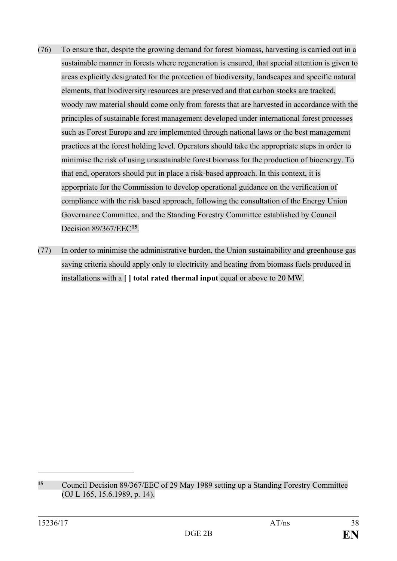- (76) To ensure that, despite the growing demand for forest biomass, harvesting is carried out in a sustainable manner in forests where regeneration is ensured, that special attention is given to areas explicitly designated for the protection of biodiversity, landscapes and specific natural elements, that biodiversity resources are preserved and that carbon stocks are tracked, woody raw material should come only from forests that are harvested in accordance with the principles of sustainable forest management developed under international forest processes such as Forest Europe and are implemented through national laws or the best management practices at the forest holding level. Operators should take the appropriate steps in order to minimise the risk of using unsustainable forest biomass for the production of bioenergy. To that end, operators should put in place a risk-based approach. In this context, it is apporpriate for the Commission to develop operational guidance on the verification of compliance with the risk based approach, following the consultation of the Energy Union Governance Committee, and the Standing Forestry Committee established by Council Decision 89/367/EEC**[15](#page-37-0)**.
- (77) In order to minimise the administrative burden, the Union sustainability and greenhouse gas saving criteria should apply only to electricity and heating from biomass fuels produced in installations with a **[ ] total rated thermal input** equal or above to 20 MW.

<span id="page-37-0"></span>**<sup>15</sup>** Council Decision 89/367/EEC of 29 May 1989 setting up a Standing Forestry Committee (OJ L 165, 15.6.1989, p. 14).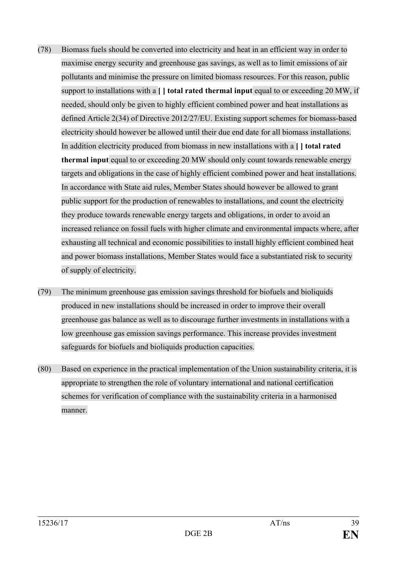- (78) Biomass fuels should be converted into electricity and heat in an efficient way in order to maximise energy security and greenhouse gas savings, as well as to limit emissions of air pollutants and minimise the pressure on limited biomass resources. For this reason, public support to installations with a **[ ] total rated thermal input** equal to or exceeding 20 MW, if needed, should only be given to highly efficient combined power and heat installations as defined Article 2(34) of Directive 2012/27/EU. Existing support schemes for biomass-based electricity should however be allowed until their due end date for all biomass installations. In addition electricity produced from biomass in new installations with a **[ ] total rated thermal input** equal to or exceeding 20 MW should only count towards renewable energy targets and obligations in the case of highly efficient combined power and heat installations. In accordance with State aid rules, Member States should however be allowed to grant public support for the production of renewables to installations, and count the electricity they produce towards renewable energy targets and obligations, in order to avoid an increased reliance on fossil fuels with higher climate and environmental impacts where, after exhausting all technical and economic possibilities to install highly efficient combined heat and power biomass installations, Member States would face a substantiated risk to security of supply of electricity.
- (79) The minimum greenhouse gas emission savings threshold for biofuels and bioliquids produced in new installations should be increased in order to improve their overall greenhouse gas balance as well as to discourage further investments in installations with a low greenhouse gas emission savings performance. This increase provides investment safeguards for biofuels and bioliquids production capacities.
- (80) Based on experience in the practical implementation of the Union sustainability criteria, it is appropriate to strengthen the role of voluntary international and national certification schemes for verification of compliance with the sustainability criteria in a harmonised manner.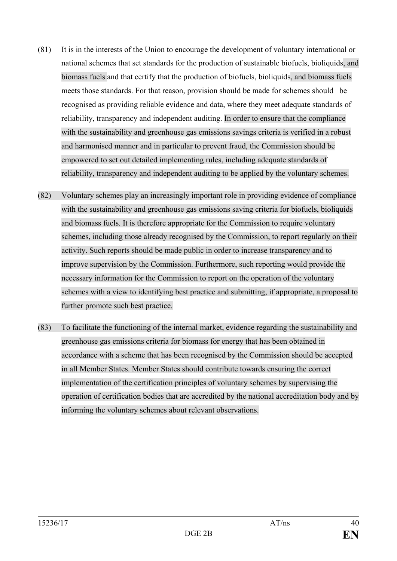- (81) It is in the interests of the Union to encourage the development of voluntary international or national schemes that set standards for the production of sustainable biofuels, bioliquids, and biomass fuels and that certify that the production of biofuels, bioliquids, and biomass fuels meets those standards. For that reason, provision should be made for schemes should be recognised as providing reliable evidence and data, where they meet adequate standards of reliability, transparency and independent auditing. In order to ensure that the compliance with the sustainability and greenhouse gas emissions savings criteria is verified in a robust and harmonised manner and in particular to prevent fraud, the Commission should be empowered to set out detailed implementing rules, including adequate standards of reliability, transparency and independent auditing to be applied by the voluntary schemes.
- (82) Voluntary schemes play an increasingly important role in providing evidence of compliance with the sustainability and greenhouse gas emissions saving criteria for biofuels, bioliquids and biomass fuels. It is therefore appropriate for the Commission to require voluntary schemes, including those already recognised by the Commission, to report regularly on their activity. Such reports should be made public in order to increase transparency and to improve supervision by the Commission. Furthermore, such reporting would provide the necessary information for the Commission to report on the operation of the voluntary schemes with a view to identifying best practice and submitting, if appropriate, a proposal to further promote such best practice.
- (83) To facilitate the functioning of the internal market, evidence regarding the sustainability and greenhouse gas emissions criteria for biomass for energy that has been obtained in accordance with a scheme that has been recognised by the Commission should be accepted in all Member States. Member States should contribute towards ensuring the correct implementation of the certification principles of voluntary schemes by supervising the operation of certification bodies that are accredited by the national accreditation body and by informing the voluntary schemes about relevant observations.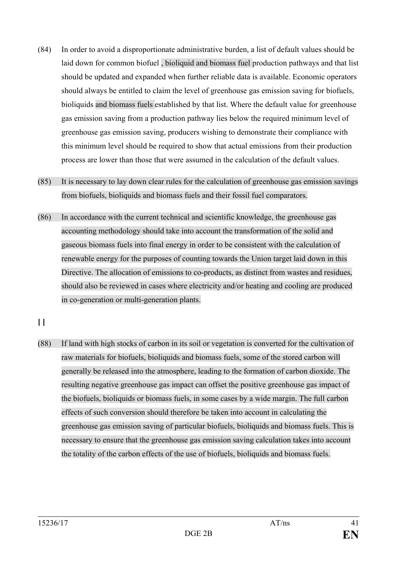- (84) In order to avoid a disproportionate administrative burden, a list of default values should be laid down for common biofuel , bioliquid and biomass fuel production pathways and that list should be updated and expanded when further reliable data is available. Economic operators should always be entitled to claim the level of greenhouse gas emission saving for biofuels, bioliquids and biomass fuels established by that list. Where the default value for greenhouse gas emission saving from a production pathway lies below the required minimum level of greenhouse gas emission saving, producers wishing to demonstrate their compliance with this minimum level should be required to show that actual emissions from their production process are lower than those that were assumed in the calculation of the default values.
- (85) It is necessary to lay down clear rules for the calculation of greenhouse gas emission savings from biofuels, bioliquids and biomass fuels and their fossil fuel comparators.
- (86) In accordance with the current technical and scientific knowledge, the greenhouse gas accounting methodology should take into account the transformation of the solid and gaseous biomass fuels into final energy in order to be consistent with the calculation of renewable energy for the purposes of counting towards the Union target laid down in this Directive. The allocation of emissions to co-products, as distinct from wastes and residues, should also be reviewed in cases where electricity and/or heating and cooling are produced in co-generation or multi-generation plants.
- **[ ]**
- (88) If land with high stocks of carbon in its soil or vegetation is converted for the cultivation of raw materials for biofuels, bioliquids and biomass fuels, some of the stored carbon will generally be released into the atmosphere, leading to the formation of carbon dioxide. The resulting negative greenhouse gas impact can offset the positive greenhouse gas impact of the biofuels, bioliquids or biomass fuels, in some cases by a wide margin. The full carbon effects of such conversion should therefore be taken into account in calculating the greenhouse gas emission saving of particular biofuels, bioliquids and biomass fuels. This is necessary to ensure that the greenhouse gas emission saving calculation takes into account the totality of the carbon effects of the use of biofuels, bioliquids and biomass fuels.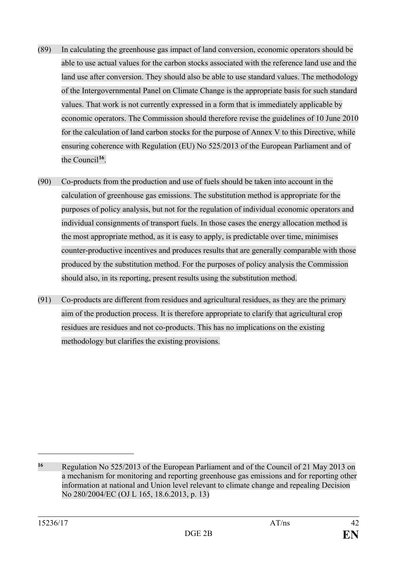- (89) In calculating the greenhouse gas impact of land conversion, economic operators should be able to use actual values for the carbon stocks associated with the reference land use and the land use after conversion. They should also be able to use standard values. The methodology of the Intergovernmental Panel on Climate Change is the appropriate basis for such standard values. That work is not currently expressed in a form that is immediately applicable by economic operators. The Commission should therefore revise the guidelines of 10 June 2010 for the calculation of land carbon stocks for the purpose of Annex V to this Directive, while ensuring coherence with Regulation (EU) No 525/2013 of the European Parliament and of the Council**[16](#page-41-0)**.
- (90) Co-products from the production and use of fuels should be taken into account in the calculation of greenhouse gas emissions. The substitution method is appropriate for the purposes of policy analysis, but not for the regulation of individual economic operators and individual consignments of transport fuels. In those cases the energy allocation method is the most appropriate method, as it is easy to apply, is predictable over time, minimises counter-productive incentives and produces results that are generally comparable with those produced by the substitution method. For the purposes of policy analysis the Commission should also, in its reporting, present results using the substitution method.
- (91) Co-products are different from residues and agricultural residues, as they are the primary aim of the production process. It is therefore appropriate to clarify that agricultural crop residues are residues and not co-products. This has no implications on the existing methodology but clarifies the existing provisions.

<span id="page-41-0"></span>**<sup>16</sup>** Regulation No 525/2013 of the European Parliament and of the Council of 21 May 2013 on a mechanism for monitoring and reporting greenhouse gas emissions and for reporting other information at national and Union level relevant to climate change and repealing Decision No 280/2004/EC (OJ L 165, 18.6.2013, p. 13)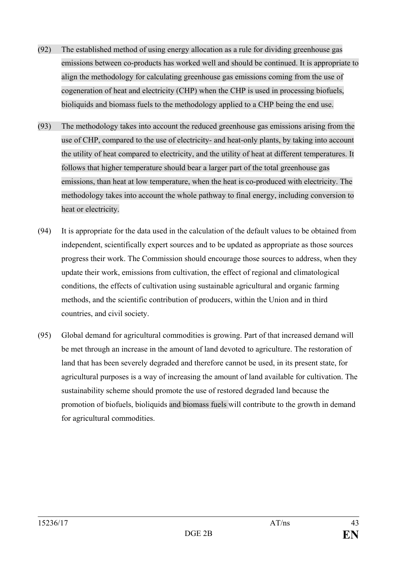- (92) The established method of using energy allocation as a rule for dividing greenhouse gas emissions between co-products has worked well and should be continued. It is appropriate to align the methodology for calculating greenhouse gas emissions coming from the use of cogeneration of heat and electricity (CHP) when the CHP is used in processing biofuels, bioliquids and biomass fuels to the methodology applied to a CHP being the end use.
- (93) The methodology takes into account the reduced greenhouse gas emissions arising from the use of CHP, compared to the use of electricity- and heat-only plants, by taking into account the utility of heat compared to electricity, and the utility of heat at different temperatures. It follows that higher temperature should bear a larger part of the total greenhouse gas emissions, than heat at low temperature, when the heat is co-produced with electricity. The methodology takes into account the whole pathway to final energy, including conversion to heat or electricity.
- (94) It is appropriate for the data used in the calculation of the default values to be obtained from independent, scientifically expert sources and to be updated as appropriate as those sources progress their work. The Commission should encourage those sources to address, when they update their work, emissions from cultivation, the effect of regional and climatological conditions, the effects of cultivation using sustainable agricultural and organic farming methods, and the scientific contribution of producers, within the Union and in third countries, and civil society.
- (95) Global demand for agricultural commodities is growing. Part of that increased demand will be met through an increase in the amount of land devoted to agriculture. The restoration of land that has been severely degraded and therefore cannot be used, in its present state, for agricultural purposes is a way of increasing the amount of land available for cultivation. The sustainability scheme should promote the use of restored degraded land because the promotion of biofuels, bioliquids and biomass fuels will contribute to the growth in demand for agricultural commodities.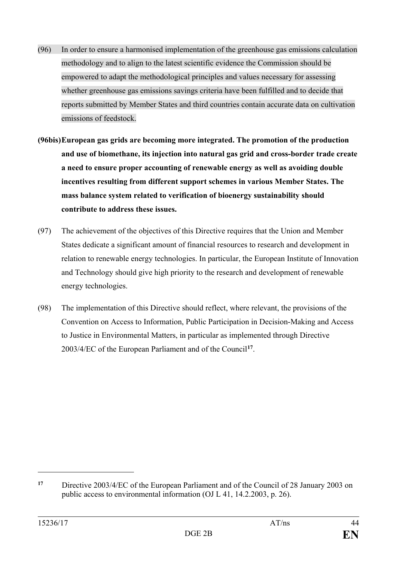- (96) In order to ensure a harmonised implementation of the greenhouse gas emissions calculation methodology and to align to the latest scientific evidence the Commission should be empowered to adapt the methodological principles and values necessary for assessing whether greenhouse gas emissions savings criteria have been fulfilled and to decide that reports submitted by Member States and third countries contain accurate data on cultivation emissions of feedstock.
- **(96bis)European gas grids are becoming more integrated. The promotion of the production and use of biomethane, its injection into natural gas grid and cross-border trade create a need to ensure proper accounting of renewable energy as well as avoiding double incentives resulting from different support schemes in various Member States. The mass balance system related to verification of bioenergy sustainability should contribute to address these issues.**
- (97) The achievement of the objectives of this Directive requires that the Union and Member States dedicate a significant amount of financial resources to research and development in relation to renewable energy technologies. In particular, the European Institute of Innovation and Technology should give high priority to the research and development of renewable energy technologies.
- (98) The implementation of this Directive should reflect, where relevant, the provisions of the Convention on Access to Information, Public Participation in Decision-Making and Access to Justice in Environmental Matters, in particular as implemented through Directive 2003/4/EC of the European Parliament and of the Council**[17](#page-43-0)**.

<span id="page-43-0"></span>**<sup>17</sup>** Directive 2003/4/EC of the European Parliament and of the Council of 28 January 2003 on public access to environmental information (OJ L 41, 14.2.2003, p. 26).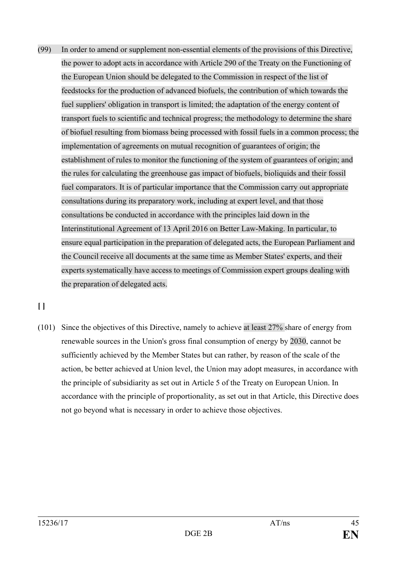(99) In order to amend or supplement non-essential elements of the provisions of this Directive, the power to adopt acts in accordance with Article 290 of the Treaty on the Functioning of the European Union should be delegated to the Commission in respect of the list of feedstocks for the production of advanced biofuels, the contribution of which towards the fuel suppliers' obligation in transport is limited; the adaptation of the energy content of transport fuels to scientific and technical progress; the methodology to determine the share of biofuel resulting from biomass being processed with fossil fuels in a common process; the implementation of agreements on mutual recognition of guarantees of origin; the establishment of rules to monitor the functioning of the system of guarantees of origin; and the rules for calculating the greenhouse gas impact of biofuels, bioliquids and their fossil fuel comparators. It is of particular importance that the Commission carry out appropriate consultations during its preparatory work, including at expert level, and that those consultations be conducted in accordance with the principles laid down in the Interinstitutional Agreement of 13 April 2016 on Better Law-Making. In particular, to ensure equal participation in the preparation of delegated acts, the European Parliament and the Council receive all documents at the same time as Member States' experts, and their experts systematically have access to meetings of Commission expert groups dealing with the preparation of delegated acts.

# **[ ]**

(101) Since the objectives of this Directive, namely to achieve at least 27% share of energy from renewable sources in the Union's gross final consumption of energy by 2030, cannot be sufficiently achieved by the Member States but can rather, by reason of the scale of the action, be better achieved at Union level, the Union may adopt measures, in accordance with the principle of subsidiarity as set out in Article 5 of the Treaty on European Union. In accordance with the principle of proportionality, as set out in that Article, this Directive does not go beyond what is necessary in order to achieve those objectives.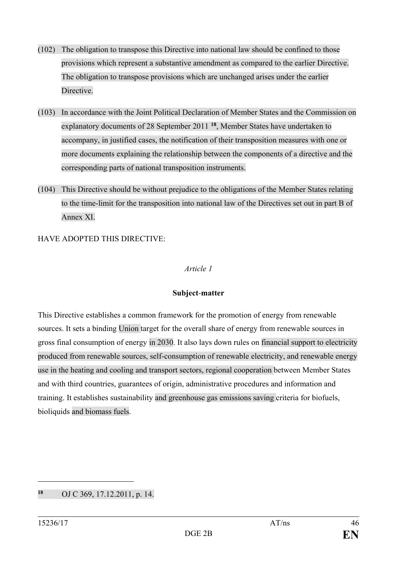- (102) The obligation to transpose this Directive into national law should be confined to those provisions which represent a substantive amendment as compared to the earlier Directive. The obligation to transpose provisions which are unchanged arises under the earlier Directive.
- (103) In accordance with the Joint Political Declaration of Member States and the Commission on explanatory documents of 28 September 2011 **[18](#page-45-0)**, Member States have undertaken to accompany, in justified cases, the notification of their transposition measures with one or more documents explaining the relationship between the components of a directive and the corresponding parts of national transposition instruments.
- (104) This Directive should be without prejudice to the obligations of the Member States relating to the time-limit for the transposition into national law of the Directives set out in part B of Annex XI.

HAVE ADOPTED THIS DIRECTIVE:

#### *Article 1*

### **Subject**-**matter**

This Directive establishes a common framework for the promotion of energy from renewable sources. It sets a binding Union target for the overall share of energy from renewable sources in gross final consumption of energy in 2030. It also lays down rules on financial support to electricity produced from renewable sources, self-consumption of renewable electricity, and renewable energy use in the heating and cooling and transport sectors, regional cooperation between Member States and with third countries, guarantees of origin, administrative procedures and information and training. It establishes sustainability and greenhouse gas emissions saving criteria for biofuels, bioliquids and biomass fuels.

<span id="page-45-0"></span>**<sup>18</sup>** OJ C 369, 17.12.2011, p. 14.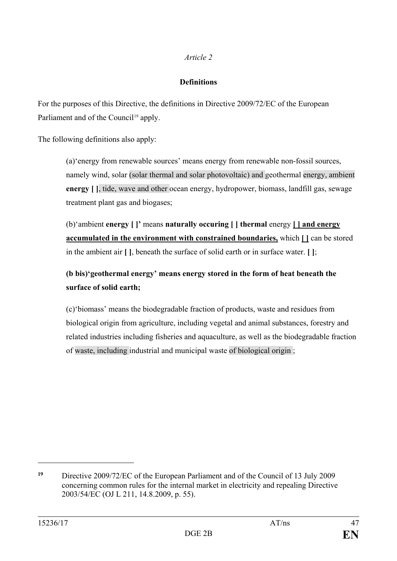## *Article 2*

## **Definitions**

For the purposes of this Directive, the definitions in Directive 2009/72/EC of the European Parliament and of the Council<sup>[19](#page-46-0)</sup> apply.

The following definitions also apply:

(a)'energy from renewable sources' means energy from renewable non-fossil sources, namely wind, solar (solar thermal and solar photovoltaic) and geothermal energy, ambient **energy [ ]**, tide, wave and other ocean energy, hydropower, biomass, landfill gas, sewage treatment plant gas and biogases;

(b)'ambient **energy [ ]'** means **naturally occuring [ ] thermal** energy **[ ] and energy accumulated in the environment with constrained boundaries,** which **[ ]** can be stored in the ambient air **[ ]**, beneath the surface of solid earth or in surface water. **[ ]**;

# **(b bis)'geothermal energy' means energy stored in the form of heat beneath the surface of solid earth;**

(c)'biomass' means the biodegradable fraction of products, waste and residues from biological origin from agriculture, including vegetal and animal substances, forestry and related industries including fisheries and aquaculture, as well as the biodegradable fraction of waste, including industrial and municipal waste of biological origin ;

<span id="page-46-0"></span>**<sup>19</sup>** Directive 2009/72/EC of the European Parliament and of the Council of 13 July 2009 concerning common rules for the internal market in electricity and repealing Directive 2003/54/EC (OJ L 211, 14.8.2009, p. 55).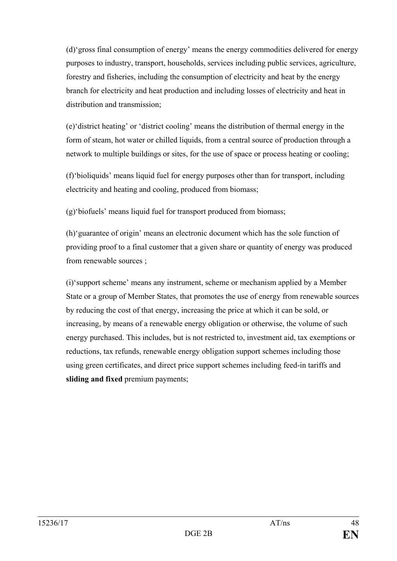(d)'gross final consumption of energy' means the energy commodities delivered for energy purposes to industry, transport, households, services including public services, agriculture, forestry and fisheries, including the consumption of electricity and heat by the energy branch for electricity and heat production and including losses of electricity and heat in distribution and transmission;

(e)'district heating' or 'district cooling' means the distribution of thermal energy in the form of steam, hot water or chilled liquids, from a central source of production through a network to multiple buildings or sites, for the use of space or process heating or cooling;

(f)'bioliquids' means liquid fuel for energy purposes other than for transport, including electricity and heating and cooling, produced from biomass;

(g)'biofuels' means liquid fuel for transport produced from biomass;

(h)'guarantee of origin' means an electronic document which has the sole function of providing proof to a final customer that a given share or quantity of energy was produced from renewable sources ;

(i)'support scheme' means any instrument, scheme or mechanism applied by a Member State or a group of Member States, that promotes the use of energy from renewable sources by reducing the cost of that energy, increasing the price at which it can be sold, or increasing, by means of a renewable energy obligation or otherwise, the volume of such energy purchased. This includes, but is not restricted to, investment aid, tax exemptions or reductions, tax refunds, renewable energy obligation support schemes including those using green certificates, and direct price support schemes including feed-in tariffs and **sliding and fixed** premium payments;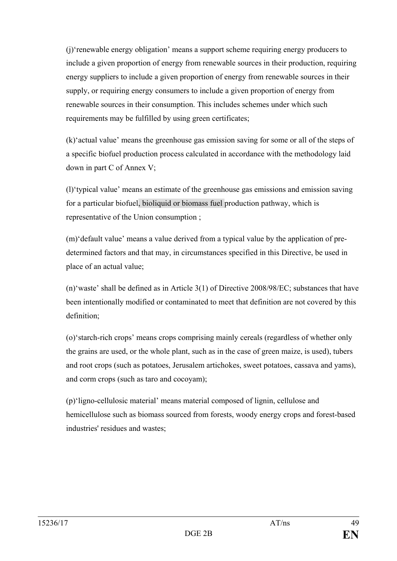(j)'renewable energy obligation' means a support scheme requiring energy producers to include a given proportion of energy from renewable sources in their production, requiring energy suppliers to include a given proportion of energy from renewable sources in their supply, or requiring energy consumers to include a given proportion of energy from renewable sources in their consumption. This includes schemes under which such requirements may be fulfilled by using green certificates;

(k)'actual value' means the greenhouse gas emission saving for some or all of the steps of a specific biofuel production process calculated in accordance with the methodology laid down in part C of Annex V;

(l)'typical value' means an estimate of the greenhouse gas emissions and emission saving for a particular biofuel, bioliquid or biomass fuel production pathway, which is representative of the Union consumption ;

(m)'default value' means a value derived from a typical value by the application of predetermined factors and that may, in circumstances specified in this Directive, be used in place of an actual value;

(n)'waste' shall be defined as in Article 3(1) of Directive 2008/98/EC; substances that have been intentionally modified or contaminated to meet that definition are not covered by this definition;

(o)'starch-rich crops' means crops comprising mainly cereals (regardless of whether only the grains are used, or the whole plant, such as in the case of green maize, is used), tubers and root crops (such as potatoes, Jerusalem artichokes, sweet potatoes, cassava and yams), and corm crops (such as taro and cocoyam);

(p)'ligno-cellulosic material' means material composed of lignin, cellulose and hemicellulose such as biomass sourced from forests, woody energy crops and forest-based industries' residues and wastes;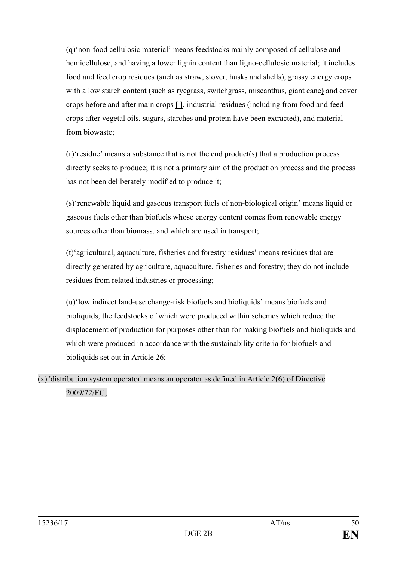(q)'non-food cellulosic material' means feedstocks mainly composed of cellulose and hemicellulose, and having a lower lignin content than ligno-cellulosic material; it includes food and feed crop residues (such as straw, stover, husks and shells), grassy energy crops with a low starch content (such as ryegrass, switchgrass, miscanthus, giant cane**)** and cover crops before and after main crops **[ ]**, industrial residues (including from food and feed crops after vegetal oils, sugars, starches and protein have been extracted), and material from biowaste;

(r)'residue' means a substance that is not the end product(s) that a production process directly seeks to produce; it is not a primary aim of the production process and the process has not been deliberately modified to produce it;

(s)'renewable liquid and gaseous transport fuels of non-biological origin' means liquid or gaseous fuels other than biofuels whose energy content comes from renewable energy sources other than biomass, and which are used in transport;

(t)'agricultural, aquaculture, fisheries and forestry residues' means residues that are directly generated by agriculture, aquaculture, fisheries and forestry; they do not include residues from related industries or processing;

(u)'low indirect land-use change-risk biofuels and bioliquids' means biofuels and bioliquids, the feedstocks of which were produced within schemes which reduce the displacement of production for purposes other than for making biofuels and bioliquids and which were produced in accordance with the sustainability criteria for biofuels and bioliquids set out in Article 26;

(x) 'distribution system operator' means an operator as defined in Article 2(6) of Directive 2009/72/EC;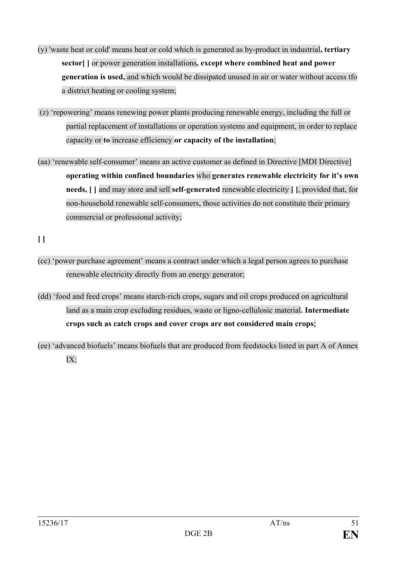- (y) 'waste heat or cold' means heat or cold which is generated as by-product in industrial**, tertiary sector[ ]** or power generation installations**, except where combined heat and power generation is used,** and which would be dissipated unused in air or water without access tfo a district heating or cooling system;
- (z) 'repowering' means renewing power plants producing renewable energy, including the full or partial replacement of installations or operation systems and equipment, in order to replace capacity or **to** increase efficiency **or capacity of the installation**;
- (aa) 'renewable self-consumer' means an active customer as defined in Directive [MDI Directive] **operating within confined boundaries** who **generates renewable electricity for it's own needs, [ ]** and may store and sell **self-generated** renewable electricity **[ ]**, provided that, for non-household renewable self-consumers, those activities do not constitute their primary commercial or professional activity;

**[ ]**

- (cc) 'power purchase agreement' means a contract under which a legal person agrees to purchase renewable electricity directly from an energy generator;
- (dd) 'food and feed crops' means starch-rich crops, sugars and oil crops produced on agricultural land as a main crop excluding residues, waste or ligno-cellulosic material**. Intermediate crops such as catch crops and cover crops are not considered main crops**;
- (ee) 'advanced biofuels' means biofuels that are produced from feedstocks listed in part A of Annex IX;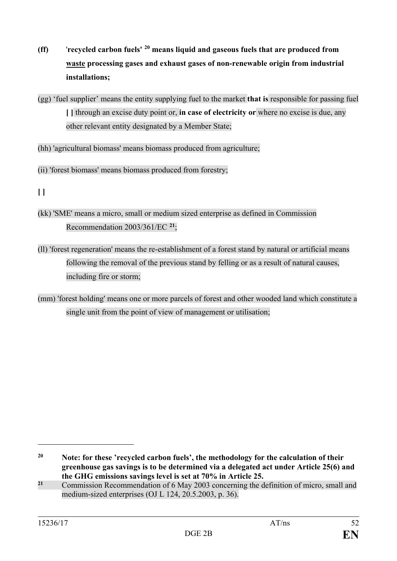- **(ff)** '**recycled carbon fuels' [20](#page-51-0) means liquid and gaseous fuels that are produced from waste processing gases and exhaust gases of non-renewable origin from industrial installations;**
- (gg) 'fuel supplier' means the entity supplying fuel to the market **that is** responsible for passing fuel **[ ]** through an excise duty point or, **in case of electricity or** where no excise is due, any other relevant entity designated by a Member State;
- (hh) 'agricultural biomass' means biomass produced from agriculture;
- (ii) 'forest biomass' means biomass produced from forestry;

- (kk) 'SME' means a micro, small or medium sized enterprise as defined in Commission Recommendation 2003/361/EC **[21](#page-51-1)**;
- (ll) 'forest regeneration' means the re-establishment of a forest stand by natural or artificial means following the removal of the previous stand by felling or as a result of natural causes, including fire or storm;
- (mm) 'forest holding' means one or more parcels of forest and other wooded land which constitute a single unit from the point of view of management or utilisation;

**<sup>[ ]</sup>**

<span id="page-51-0"></span>**<sup>20</sup> Note: for these 'recycled carbon fuels', the methodology for the calculation of their greenhouse gas savings is to be determined via a delegated act under Article 25(6) and the GHG emissions savings level is set at 70% in Article 25.**

<span id="page-51-1"></span>**<sup>21</sup>** Commission Recommendation of 6 May 2003 concerning the definition of micro, small and medium-sized enterprises (OJ L 124, 20.5.2003, p. 36).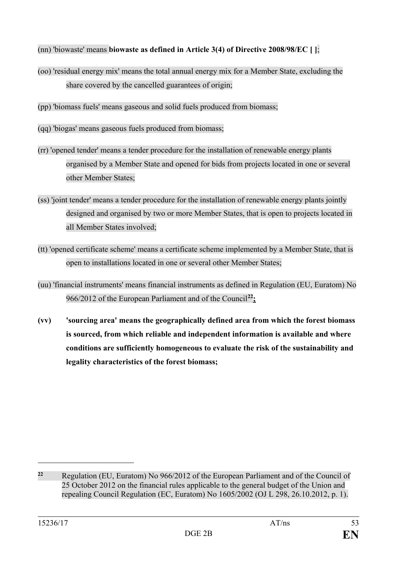- (nn) 'biowaste' means **biowaste as defined in Article 3(4) of Directive 2008/98/EC [ ]**;
- (oo) 'residual energy mix' means the total annual energy mix for a Member State, excluding the share covered by the cancelled guarantees of origin;
- (pp) 'biomass fuels' means gaseous and solid fuels produced from biomass;
- (qq) 'biogas' means gaseous fuels produced from biomass;
- (rr) 'opened tender' means a tender procedure for the installation of renewable energy plants organised by a Member State and opened for bids from projects located in one or several other Member States;
- (ss) 'joint tender' means a tender procedure for the installation of renewable energy plants jointly designed and organised by two or more Member States, that is open to projects located in all Member States involved;
- (tt) 'opened certificate scheme' means a certificate scheme implemented by a Member State, that is open to installations located in one or several other Member States;
- (uu) 'financial instruments' means financial instruments as defined in Regulation (EU, Euratom) No 966/2012 of the European Parliament and of the Council**[22;](#page-52-0)**
- **(vv) 'sourcing area' means the geographically defined area from which the forest biomass is sourced, from which reliable and independent information is available and where conditions are sufficiently homogeneous to evaluate the risk of the sustainability and legality characteristics of the forest biomass;**

<span id="page-52-0"></span>**<sup>22</sup>** Regulation (EU, Euratom) No 966/2012 of the European Parliament and of the Council of 25 October 2012 on the financial rules applicable to the general budget of the Union and repealing Council Regulation (EC, Euratom) No 1605/2002 [\(OJ L 298, 26.10.2012, p. 1\)](http://eur-lex.europa.eu/legal-content/EN/AUTO/?uri=OJ:L:2012:298:TOC).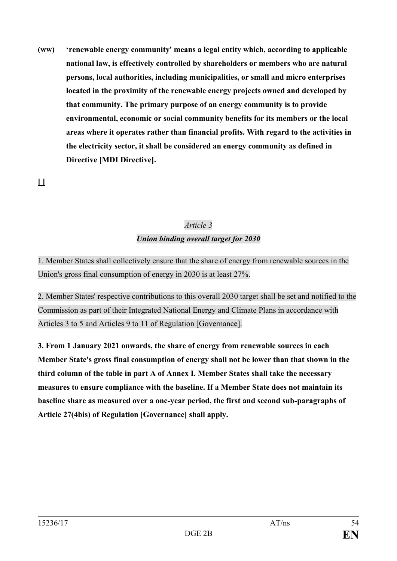**(ww) 'renewable energy community' means a legal entity which, according to applicable national law, is effectively controlled by shareholders or members who are natural persons, local authorities, including municipalities, or small and micro enterprises located in the proximity of the renewable energy projects owned and developed by that community. The primary purpose of an energy community is to provide environmental, economic or social community benefits for its members or the local areas where it operates rather than financial profits. With regard to the activities in the electricity sector, it shall be considered an energy community as defined in Directive [MDI Directive].**

**[ ]**

# *Article 3*

# *Union binding overall target for 2030*

1. Member States shall collectively ensure that the share of energy from renewable sources in the Union's gross final consumption of energy in 2030 is at least 27%.

2. Member States' respective contributions to this overall 2030 target shall be set and notified to the Commission as part of their Integrated National Energy and Climate Plans in accordance with Articles 3 to 5 and Articles 9 to 11 of Regulation [Governance].

**3. From 1 January 2021 onwards, the share of energy from renewable sources in each Member State's gross final consumption of energy shall not be lower than that shown in the third column of the table in part A of Annex I. Member States shall take the necessary measures to ensure compliance with the baseline. If a Member State does not maintain its baseline share as measured over a one-year period, the first and second sub-paragraphs of Article 27(4bis) of Regulation [Governance] shall apply.**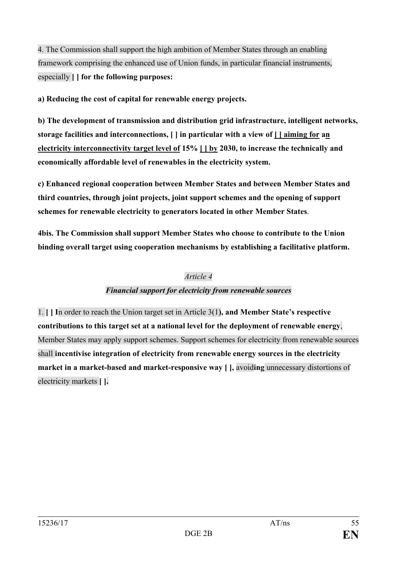4. The Commission shall support the high ambition of Member States through an enabling framework comprising the enhanced use of Union funds, in particular financial instruments, especially **[ ] for the following purposes:**

**a) Reducing the cost of capital for renewable energy projects.**

**b) The development of transmission and distribution grid infrastructure, intelligent networks, storage facilities and interconnections, [ ] in particular with a view of [ ] aiming for an electricity interconnectivity target level of 15% [ ] by 2030, to increase the technically and economically affordable level of renewables in the electricity system.**

**c) Enhanced regional cooperation between Member States and between Member States and third countries, through joint projects, joint support schemes and the opening of support schemes for renewable electricity to generators located in other Member States**.

**4bis. The Commission shall support Member States who choose to contribute to the Union binding overall target using cooperation mechanisms by establishing a facilitative platform.**

## *Article 4*

## *Financial support for electricity from renewable sources*

1. **[ ] I**n order to reach the Union target set in Article 3(1**), and Member State's respective contributions to this target set at a national level for the deployment of renewable energy**, Member States may apply support schemes. Support schemes for electricity from renewable sources shall **incentivise integration of electricity from renewable energy sources in the electricity market in a market-based and market-responsive way [ ],** avoid**ing** unnecessary distortions of electricity markets **[ ].**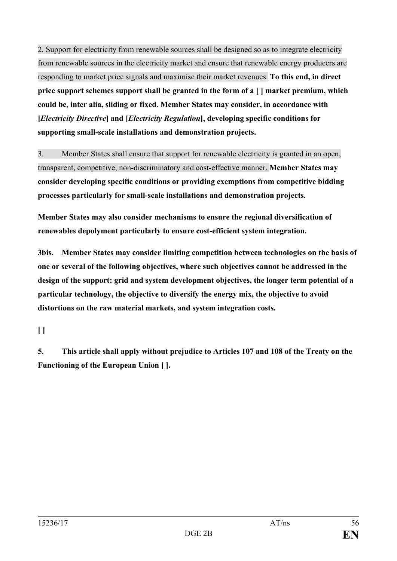2. Support for electricity from renewable sources shall be designed so as to integrate electricity from renewable sources in the electricity market and ensure that renewable energy producers are responding to market price signals and maximise their market revenues. **To this end, in direct price support schemes support shall be granted in the form of a [ ] market premium, which could be, inter alia, sliding or fixed. Member States may consider, in accordance with [***Electricity Directive***] and [***Electricity Regulation***], developing specific conditions for supporting small-scale installations and demonstration projects.**

3. Member States shall ensure that support for renewable electricity is granted in an open, transparent, competitive, non-discriminatory and cost-effective manner. **Member States may consider developing specific conditions or providing exemptions from competitive bidding processes particularly for small-scale installations and demonstration projects.**

**Member States may also consider mechanisms to ensure the regional diversification of renewables depolyment particularly to ensure cost-efficient system integration.**

**3bis. Member States may consider limiting competition between technologies on the basis of one or several of the following objectives, where such objectives cannot be addressed in the design of the support: grid and system development objectives, the longer term potential of a particular technology, the objective to diversify the energy mix, the objective to avoid distortions on the raw material markets, and system integration costs.**

**[ ]**

**5. This article shall apply without prejudice to Articles 107 and 108 of the Treaty on the Functioning of the European Union [ ].**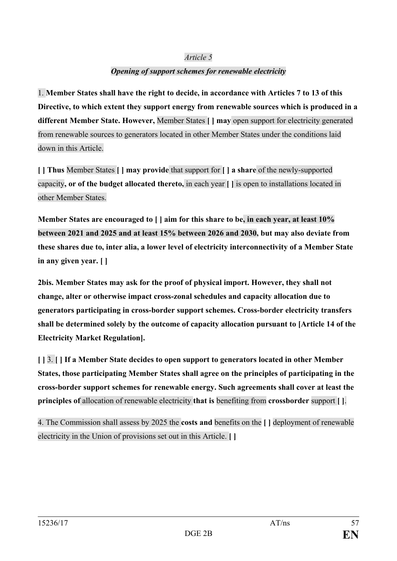### *Article 5*

## *Opening of support schemes for renewable electricity*

1. **Member States shall have the right to decide, in accordance with Articles 7 to 13 of this Directive, to which extent they support energy from renewable sources which is produced in a different Member State. However,** Member States **[ ] may** open support for electricity generated from renewable sources to generators located in other Member States under the conditions laid down in this Article.

**[ ] Thus** Member States **[ ] may provide** that support for **[ ] a share** of the newly-supported capacity**, or of the budget allocated thereto,** in each year **[ ]** is open to installations located in other Member States.

**Member States are encouraged to [ ] aim for this share to be, in each year, at least 10% between 2021 and 2025 and at least 15% between 2026 and 2030, but may also deviate from these shares due to, inter alia, a lower level of electricity interconnectivity of a Member State in any given year. [ ]**

**2bis. Member States may ask for the proof of physical import. However, they shall not change, alter or otherwise impact cross-zonal schedules and capacity allocation due to generators participating in cross-border support schemes. Cross-border electricity transfers shall be determined solely by the outcome of capacity allocation pursuant to [Article 14 of the Electricity Market Regulation].**

**[ ]** 3. **[ ] If a Member State decides to open support to generators located in other Member States, those participating Member States shall agree on the principles of participating in the cross-border support schemes for renewable energy. Such agreements shall cover at least the principles of** allocation of renewable electricity **that is** benefiting from **crossborder** support **[ ]**.

4. The Commission shall assess by 2025 the **costs and** benefits on the **[ ]** deployment of renewable electricity in the Union of provisions set out in this Article. **[ ]**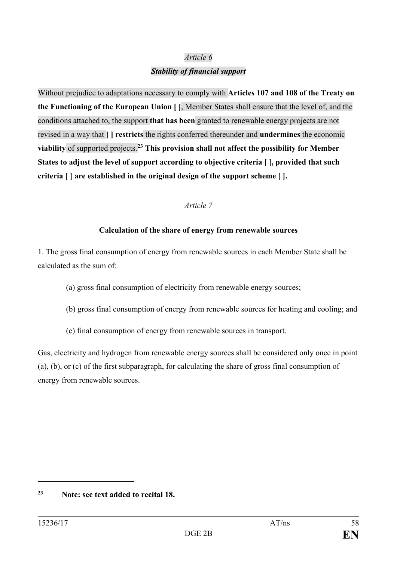### *Article 6*

### *Stability of financial support*

Without prejudice to adaptations necessary to comply with **Articles 107 and 108 of the Treaty on the Functioning of the European Union [ ]**, Member States shall ensure that the level of, and the conditions attached to, the support **that has been** granted to renewable energy projects are not revised in a way that **[ ] restricts** the rights conferred thereunder and **undermines** the economic **viability** of supported projects.**[23](#page-57-0) This provision shall not affect the possibility for Member States to adjust the level of support according to objective criteria [ ], provided that such criteria [ ] are established in the original design of the support scheme [ ].**

### *Article 7*

### **Calculation of the share of energy from renewable sources**

1. The gross final consumption of energy from renewable sources in each Member State shall be calculated as the sum of:

- (a) gross final consumption of electricity from renewable energy sources;
- (b) gross final consumption of energy from renewable sources for heating and cooling; and
- (c) final consumption of energy from renewable sources in transport.

Gas, electricity and hydrogen from renewable energy sources shall be considered only once in point (a), (b), or (c) of the first subparagraph, for calculating the share of gross final consumption of energy from renewable sources.

<span id="page-57-0"></span>**<sup>23</sup> Note: see text added to recital 18.**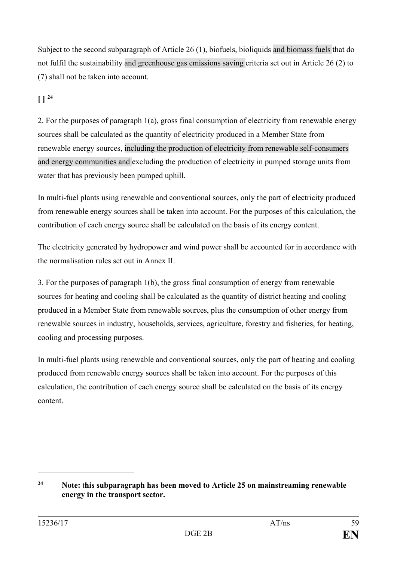Subject to the second subparagraph of Article 26 (1), biofuels, bioliquids and biomass fuels that do not fulfil the sustainability and greenhouse gas emissions saving criteria set out in Article 26 (2) to (7) shall not be taken into account.

# **[ ] [24](#page-58-0)**

2. For the purposes of paragraph 1(a), gross final consumption of electricity from renewable energy sources shall be calculated as the quantity of electricity produced in a Member State from renewable energy sources, including the production of electricity from renewable self-consumers and energy communities and excluding the production of electricity in pumped storage units from water that has previously been pumped uphill.

In multi-fuel plants using renewable and conventional sources, only the part of electricity produced from renewable energy sources shall be taken into account. For the purposes of this calculation, the contribution of each energy source shall be calculated on the basis of its energy content.

The electricity generated by hydropower and wind power shall be accounted for in accordance with the normalisation rules set out in Annex II.

3. For the purposes of paragraph 1(b), the gross final consumption of energy from renewable sources for heating and cooling shall be calculated as the quantity of district heating and cooling produced in a Member State from renewable sources, plus the consumption of other energy from renewable sources in industry, households, services, agriculture, forestry and fisheries, for heating, cooling and processing purposes.

In multi-fuel plants using renewable and conventional sources, only the part of heating and cooling produced from renewable energy sources shall be taken into account. For the purposes of this calculation, the contribution of each energy source shall be calculated on the basis of its energy content.

<span id="page-58-0"></span>**<sup>24</sup> Note:** t**his subparagraph has been moved to Article 25 on mainstreaming renewable energy in the transport sector.**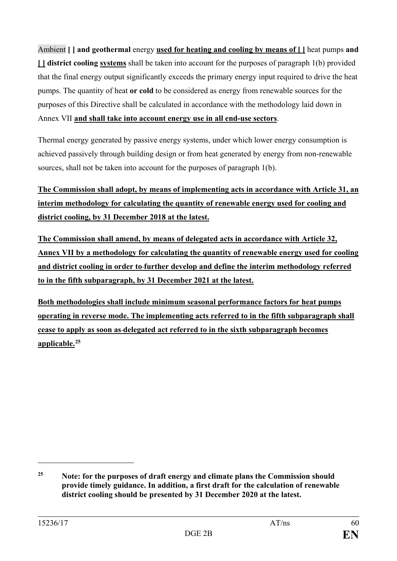Ambient **[ ] and geothermal** energy **used for heating and cooling by means of [ ]** heat pumps **and [ ] district cooling systems** shall be taken into account for the purposes of paragraph 1(b) provided that the final energy output significantly exceeds the primary energy input required to drive the heat pumps. The quantity of heat **or cold** to be considered as energy from renewable sources for the purposes of this Directive shall be calculated in accordance with the methodology laid down in Annex VII **and shall take into account energy use in all end-use sectors**.

Thermal energy generated by passive energy systems, under which lower energy consumption is achieved passively through building design or from heat generated by energy from non-renewable sources, shall not be taken into account for the purposes of paragraph 1(b).

**The Commission shall adopt, by means of implementing acts in accordance with Article 31, an interim methodology for calculating the quantity of renewable energy used for cooling and district cooling, by 31 December 2018 at the latest.**

**The Commission shall amend, by means of delegated acts in accordance with Article 32, Annex VII by a methodology for calculating the quantity of renewable energy used for cooling and district cooling in order to further develop and define the interim methodology referred to in the fifth subparagraph, by 31 December 2021 at the latest.** 

**Both methodologies shall include minimum seasonal performance factors for heat pumps operating in reverse mode. The implementing acts referred to in the fifth subparagraph shall cease to apply as soon as delegated act referred to in the sixth subparagraph becomes applicable. [25](#page-59-0)**

<span id="page-59-0"></span>**<sup>25</sup> Note: for the purposes of draft energy and climate plans the Commission should provide timely guidance. In addition, a first draft for the calculation of renewable district cooling should be presented by 31 December 2020 at the latest.**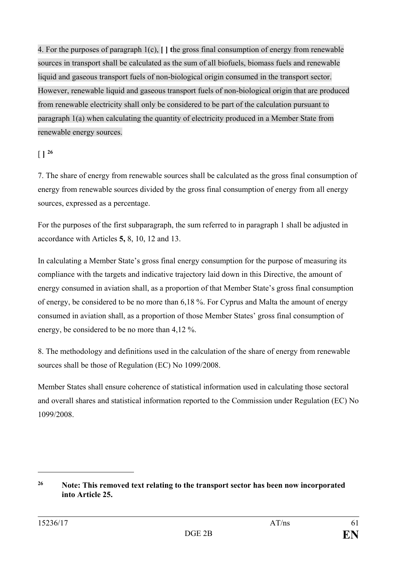4. For the purposes of paragraph 1(c), **[ ] t**he gross final consumption of energy from renewable sources in transport shall be calculated as the sum of all biofuels, biomass fuels and renewable liquid and gaseous transport fuels of non-biological origin consumed in the transport sector. However, renewable liquid and gaseous transport fuels of non-biological origin that are produced from renewable electricity shall only be considered to be part of the calculation pursuant to paragraph 1(a) when calculating the quantity of electricity produced in a Member State from renewable energy sources.

 $\lceil \, \rceil \cdot \rceil$ <sup>[26](#page-60-0)</sup>

7. The share of energy from renewable sources shall be calculated as the gross final consumption of energy from renewable sources divided by the gross final consumption of energy from all energy sources, expressed as a percentage.

For the purposes of the first subparagraph, the sum referred to in paragraph 1 shall be adjusted in accordance with Articles **5,** 8, 10, 12 and 13.

In calculating a Member State's gross final energy consumption for the purpose of measuring its compliance with the targets and indicative trajectory laid down in this Directive, the amount of energy consumed in aviation shall, as a proportion of that Member State's gross final consumption of energy, be considered to be no more than 6,18 %. For Cyprus and Malta the amount of energy consumed in aviation shall, as a proportion of those Member States' gross final consumption of energy, be considered to be no more than 4,12 %.

8. The methodology and definitions used in the calculation of the share of energy from renewable sources shall be those of Regulation (EC) No 1099/2008.

Member States shall ensure coherence of statistical information used in calculating those sectoral and overall shares and statistical information reported to the Commission under Regulation (EC) No 1099/2008.

<span id="page-60-0"></span>**<sup>26</sup> Note: This removed text relating to the transport sector has been now incorporated into Article 25.**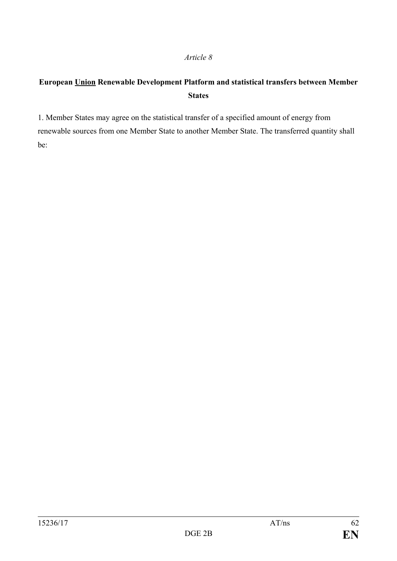#### *Article 8*

# **European Union Renewable Development Platform and statistical transfers between Member States**

1. Member States may agree on the statistical transfer of a specified amount of energy from renewable sources from one Member State to another Member State. The transferred quantity shall be: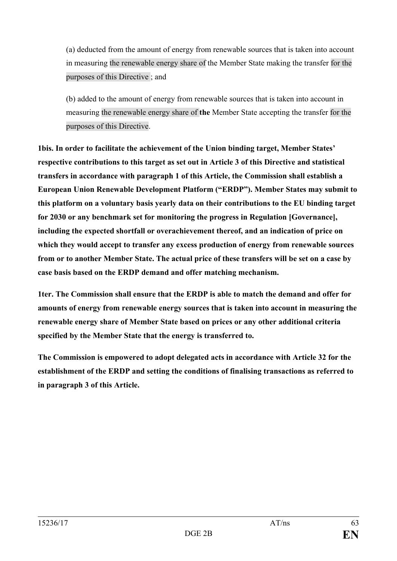(a) deducted from the amount of energy from renewable sources that is taken into account in measuring the renewable energy share of the Member State making the transfer for the purposes of this Directive ; and

(b) added to the amount of energy from renewable sources that is taken into account in measuring the renewable energy share of **the** Member State accepting the transfer for the purposes of this Directive.

**1bis. In order to facilitate the achievement of the Union binding target, Member States' respective contributions to this target as set out in Article 3 of this Directive and statistical transfers in accordance with paragraph 1 of this Article, the Commission shall establish a European Union Renewable Development Platform ("ERDP"). Member States may submit to this platform on a voluntary basis yearly data on their contributions to the EU binding target for 2030 or any benchmark set for monitoring the progress in Regulation [Governance], including the expected shortfall or overachievement thereof, and an indication of price on which they would accept to transfer any excess production of energy from renewable sources from or to another Member State. The actual price of these transfers will be set on a case by case basis based on the ERDP demand and offer matching mechanism.**

**1ter. The Commission shall ensure that the ERDP is able to match the demand and offer for amounts of energy from renewable energy sources that is taken into account in measuring the renewable energy share of Member State based on prices or any other additional criteria specified by the Member State that the energy is transferred to.**

**The Commission is empowered to adopt delegated acts in accordance with Article 32 for the establishment of the ERDP and setting the conditions of finalising transactions as referred to in paragraph 3 of this Article.**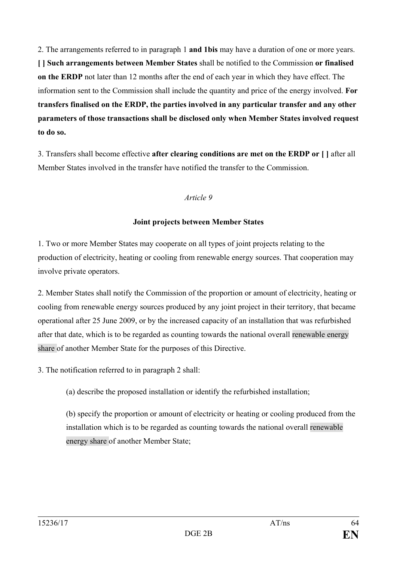2. The arrangements referred to in paragraph 1 **and 1bis** may have a duration of one or more years. **[ ] Such arrangements between Member States** shall be notified to the Commission **or finalised on the ERDP** not later than 12 months after the end of each year in which they have effect. The information sent to the Commission shall include the quantity and price of the energy involved. **For transfers finalised on the ERDP, the parties involved in any particular transfer and any other parameters of those transactions shall be disclosed only when Member States involved request to do so.**

3. Transfers shall become effective **after clearing conditions are met on the ERDP or [ ]** after all Member States involved in the transfer have notified the transfer to the Commission.

#### *Article 9*

### **Joint projects between Member States**

1. Two or more Member States may cooperate on all types of joint projects relating to the production of electricity, heating or cooling from renewable energy sources. That cooperation may involve private operators.

2. Member States shall notify the Commission of the proportion or amount of electricity, heating or cooling from renewable energy sources produced by any joint project in their territory, that became operational after 25 June 2009, or by the increased capacity of an installation that was refurbished after that date, which is to be regarded as counting towards the national overall renewable energy share of another Member State for the purposes of this Directive.

3. The notification referred to in paragraph 2 shall:

(a) describe the proposed installation or identify the refurbished installation;

(b) specify the proportion or amount of electricity or heating or cooling produced from the installation which is to be regarded as counting towards the national overall renewable energy share of another Member State;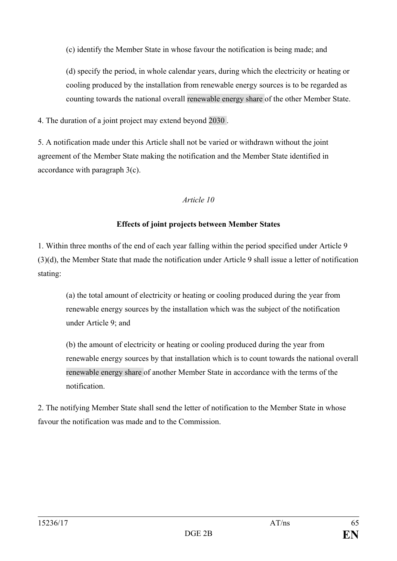(c) identify the Member State in whose favour the notification is being made; and

(d) specify the period, in whole calendar years, during which the electricity or heating or cooling produced by the installation from renewable energy sources is to be regarded as counting towards the national overall renewable energy share of the other Member State.

4. The duration of a joint project may extend beyond 2030 .

5. A notification made under this Article shall not be varied or withdrawn without the joint agreement of the Member State making the notification and the Member State identified in accordance with paragraph 3(c).

## *Article 10*

# **Effects of joint projects between Member States**

1. Within three months of the end of each year falling within the period specified under Article 9 (3)(d), the Member State that made the notification under Article 9 shall issue a letter of notification stating:

(a) the total amount of electricity or heating or cooling produced during the year from renewable energy sources by the installation which was the subject of the notification under Article 9; and

(b) the amount of electricity or heating or cooling produced during the year from renewable energy sources by that installation which is to count towards the national overall renewable energy share of another Member State in accordance with the terms of the notification.

2. The notifying Member State shall send the letter of notification to the Member State in whose favour the notification was made and to the Commission.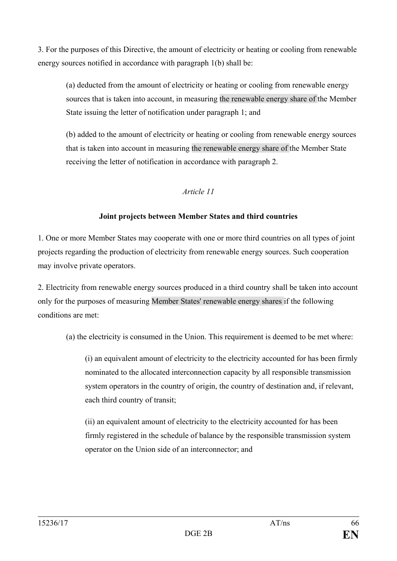3. For the purposes of this Directive, the amount of electricity or heating or cooling from renewable energy sources notified in accordance with paragraph 1(b) shall be:

(a) deducted from the amount of electricity or heating or cooling from renewable energy sources that is taken into account, in measuring the renewable energy share of the Member State issuing the letter of notification under paragraph 1; and

(b) added to the amount of electricity or heating or cooling from renewable energy sources that is taken into account in measuring the renewable energy share of the Member State receiving the letter of notification in accordance with paragraph 2.

### *Article 11*

## **Joint projects between Member States and third countries**

1. One or more Member States may cooperate with one or more third countries on all types of joint projects regarding the production of electricity from renewable energy sources. Such cooperation may involve private operators.

2. Electricity from renewable energy sources produced in a third country shall be taken into account only for the purposes of measuring Member States' renewable energy shares if the following conditions are met:

(a) the electricity is consumed in the Union. This requirement is deemed to be met where:

(i) an equivalent amount of electricity to the electricity accounted for has been firmly nominated to the allocated interconnection capacity by all responsible transmission system operators in the country of origin, the country of destination and, if relevant, each third country of transit;

(ii) an equivalent amount of electricity to the electricity accounted for has been firmly registered in the schedule of balance by the responsible transmission system operator on the Union side of an interconnector; and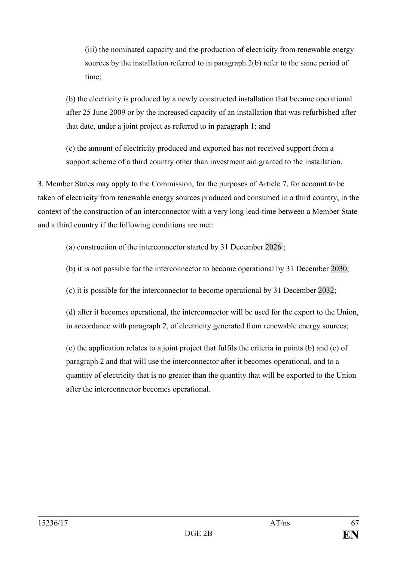(iii) the nominated capacity and the production of electricity from renewable energy sources by the installation referred to in paragraph 2(b) refer to the same period of time;

(b) the electricity is produced by a newly constructed installation that became operational after 25 June 2009 or by the increased capacity of an installation that was refurbished after that date, under a joint project as referred to in paragraph 1; and

(c) the amount of electricity produced and exported has not received support from a support scheme of a third country other than investment aid granted to the installation.

3. Member States may apply to the Commission, for the purposes of Article 7, for account to be taken of electricity from renewable energy sources produced and consumed in a third country, in the context of the construction of an interconnector with a very long lead-time between a Member State and a third country if the following conditions are met:

(a) construction of the interconnector started by 31 December 2026 ;

(b) it is not possible for the interconnector to become operational by 31 December 2030;

(c) it is possible for the interconnector to become operational by 31 December 2032;

(d) after it becomes operational, the interconnector will be used for the export to the Union, in accordance with paragraph 2, of electricity generated from renewable energy sources;

(e) the application relates to a joint project that fulfils the criteria in points (b) and (c) of paragraph 2 and that will use the interconnector after it becomes operational, and to a quantity of electricity that is no greater than the quantity that will be exported to the Union after the interconnector becomes operational.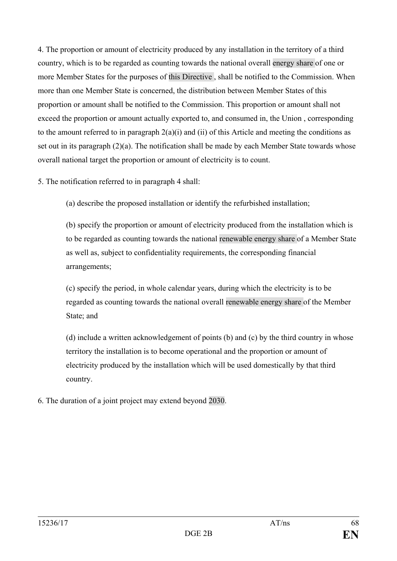4. The proportion or amount of electricity produced by any installation in the territory of a third country, which is to be regarded as counting towards the national overall energy share of one or more Member States for the purposes of this Directive , shall be notified to the Commission. When more than one Member State is concerned, the distribution between Member States of this proportion or amount shall be notified to the Commission. This proportion or amount shall not exceed the proportion or amount actually exported to, and consumed in, the Union , corresponding to the amount referred to in paragraph  $2(a)(i)$  and (ii) of this Article and meeting the conditions as set out in its paragraph (2)(a). The notification shall be made by each Member State towards whose overall national target the proportion or amount of electricity is to count.

5. The notification referred to in paragraph 4 shall:

(a) describe the proposed installation or identify the refurbished installation;

(b) specify the proportion or amount of electricity produced from the installation which is to be regarded as counting towards the national renewable energy share of a Member State as well as, subject to confidentiality requirements, the corresponding financial arrangements;

(c) specify the period, in whole calendar years, during which the electricity is to be regarded as counting towards the national overall renewable energy share of the Member State; and

(d) include a written acknowledgement of points (b) and (c) by the third country in whose territory the installation is to become operational and the proportion or amount of electricity produced by the installation which will be used domestically by that third country.

6. The duration of a joint project may extend beyond 2030.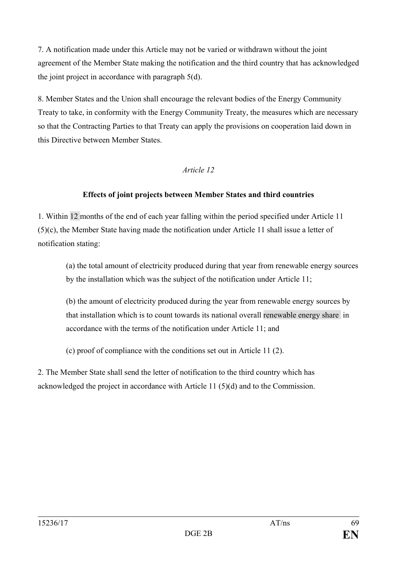7. A notification made under this Article may not be varied or withdrawn without the joint agreement of the Member State making the notification and the third country that has acknowledged the joint project in accordance with paragraph 5(d).

8. Member States and the Union shall encourage the relevant bodies of the Energy Community Treaty to take, in conformity with the Energy Community Treaty, the measures which are necessary so that the Contracting Parties to that Treaty can apply the provisions on cooperation laid down in this Directive between Member States.

## *Article 12*

## **Effects of joint projects between Member States and third countries**

1. Within 12 months of the end of each year falling within the period specified under Article 11 (5)(c), the Member State having made the notification under Article 11 shall issue a letter of notification stating:

(a) the total amount of electricity produced during that year from renewable energy sources by the installation which was the subject of the notification under Article 11;

(b) the amount of electricity produced during the year from renewable energy sources by that installation which is to count towards its national overall renewable energy share in accordance with the terms of the notification under Article 11; and

(c) proof of compliance with the conditions set out in Article 11 (2).

2. The Member State shall send the letter of notification to the third country which has acknowledged the project in accordance with Article 11 (5)(d) and to the Commission.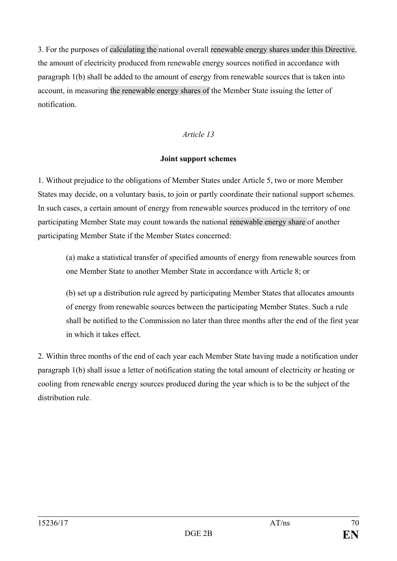3. For the purposes of calculating the national overall renewable energy shares under this Directive, the amount of electricity produced from renewable energy sources notified in accordance with paragraph 1(b) shall be added to the amount of energy from renewable sources that is taken into account, in measuring the renewable energy shares of the Member State issuing the letter of notification.

### *Article 13*

#### **Joint support schemes**

1. Without prejudice to the obligations of Member States under Article 5, two or more Member States may decide, on a voluntary basis, to join or partly coordinate their national support schemes. In such cases, a certain amount of energy from renewable sources produced in the territory of one participating Member State may count towards the national renewable energy share of another participating Member State if the Member States concerned:

(a) make a statistical transfer of specified amounts of energy from renewable sources from one Member State to another Member State in accordance with Article 8; or

(b) set up a distribution rule agreed by participating Member States that allocates amounts of energy from renewable sources between the participating Member States. Such a rule shall be notified to the Commission no later than three months after the end of the first year in which it takes effect.

2. Within three months of the end of each year each Member State having made a notification under paragraph 1(b) shall issue a letter of notification stating the total amount of electricity or heating or cooling from renewable energy sources produced during the year which is to be the subject of the distribution rule.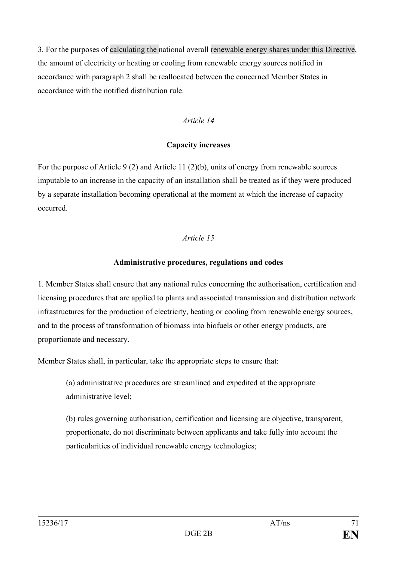3. For the purposes of calculating the national overall renewable energy shares under this Directive, the amount of electricity or heating or cooling from renewable energy sources notified in accordance with paragraph 2 shall be reallocated between the concerned Member States in accordance with the notified distribution rule.

### *Article 14*

## **Capacity increases**

For the purpose of Article 9 (2) and Article 11 (2)(b), units of energy from renewable sources imputable to an increase in the capacity of an installation shall be treated as if they were produced by a separate installation becoming operational at the moment at which the increase of capacity occurred.

## *Article 15*

## **Administrative procedures, regulations and codes**

1. Member States shall ensure that any national rules concerning the authorisation, certification and licensing procedures that are applied to plants and associated transmission and distribution network infrastructures for the production of electricity, heating or cooling from renewable energy sources, and to the process of transformation of biomass into biofuels or other energy products, are proportionate and necessary.

Member States shall, in particular, take the appropriate steps to ensure that:

(a) administrative procedures are streamlined and expedited at the appropriate administrative level;

(b) rules governing authorisation, certification and licensing are objective, transparent, proportionate, do not discriminate between applicants and take fully into account the particularities of individual renewable energy technologies;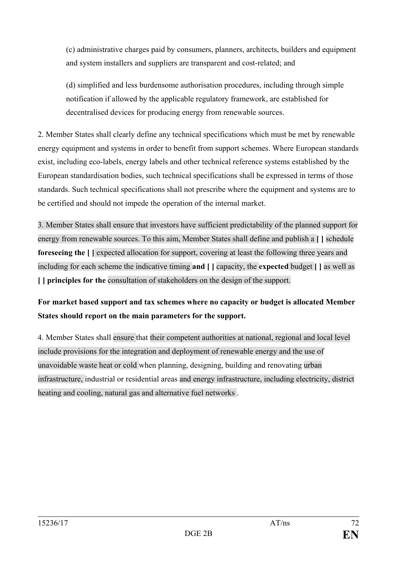(c) administrative charges paid by consumers, planners, architects, builders and equipment and system installers and suppliers are transparent and cost-related; and

(d) simplified and less burdensome authorisation procedures, including through simple notification if allowed by the applicable regulatory framework, are established for decentralised devices for producing energy from renewable sources.

2. Member States shall clearly define any technical specifications which must be met by renewable energy equipment and systems in order to benefit from support schemes. Where European standards exist, including eco-labels, energy labels and other technical reference systems established by the European standardisation bodies, such technical specifications shall be expressed in terms of those standards. Such technical specifications shall not prescribe where the equipment and systems are to be certified and should not impede the operation of the internal market.

3. Member States shall ensure that investors have sufficient predictability of the planned support for energy from renewable sources. To this aim, Member States shall define and publish a **[ ]** schedule **foreseeing the [ ]** expected allocation for support, covering at least the following three years and including for each scheme the indicative timing **and [ ]** capacity, the **expected** budget **[ ]** as well as **[ ] principles for the** consultation of stakeholders on the design of the support.

# **For market based support and tax schemes where no capacity or budget is allocated Member States should report on the main parameters for the support.**

4. Member States shall ensure that their competent authorities at national, regional and local level include provisions for the integration and deployment of renewable energy and the use of unavoidable waste heat or cold when planning, designing, building and renovating urban infrastructure, industrial or residential areas and energy infrastructure, including electricity, district heating and cooling, natural gas and alternative fuel networks .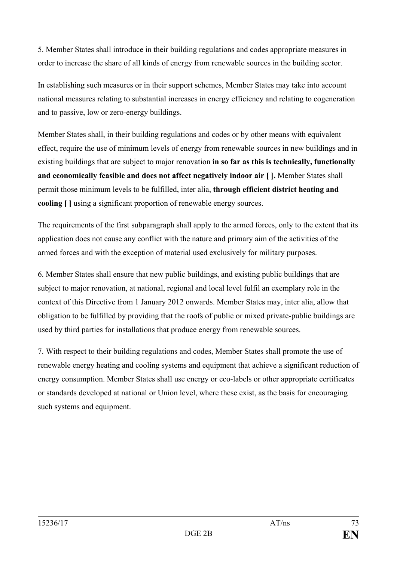5. Member States shall introduce in their building regulations and codes appropriate measures in order to increase the share of all kinds of energy from renewable sources in the building sector.

In establishing such measures or in their support schemes, Member States may take into account national measures relating to substantial increases in energy efficiency and relating to cogeneration and to passive, low or zero-energy buildings.

Member States shall, in their building regulations and codes or by other means with equivalent effect, require the use of minimum levels of energy from renewable sources in new buildings and in existing buildings that are subject to major renovation **in so far as this is technically, functionally and economically feasible and does not affect negatively indoor air [ ].** Member States shall permit those minimum levels to be fulfilled, inter alia, **through efficient district heating and cooling [ ]** using a significant proportion of renewable energy sources.

The requirements of the first subparagraph shall apply to the armed forces, only to the extent that its application does not cause any conflict with the nature and primary aim of the activities of the armed forces and with the exception of material used exclusively for military purposes.

6. Member States shall ensure that new public buildings, and existing public buildings that are subject to major renovation, at national, regional and local level fulfil an exemplary role in the context of this Directive from 1 January 2012 onwards. Member States may, inter alia, allow that obligation to be fulfilled by providing that the roofs of public or mixed private-public buildings are used by third parties for installations that produce energy from renewable sources.

7. With respect to their building regulations and codes, Member States shall promote the use of renewable energy heating and cooling systems and equipment that achieve a significant reduction of energy consumption. Member States shall use energy or eco-labels or other appropriate certificates or standards developed at national or Union level, where these exist, as the basis for encouraging such systems and equipment.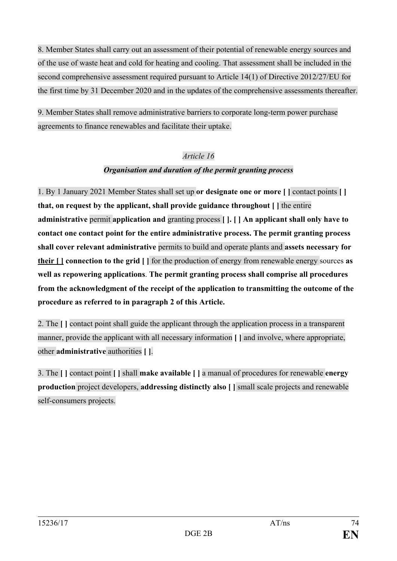8. Member States shall carry out an assessment of their potential of renewable energy sources and of the use of waste heat and cold for heating and cooling. That assessment shall be included in the second comprehensive assessment required pursuant to Article 14(1) of Directive 2012/27/EU for the first time by 31 December 2020 and in the updates of the comprehensive assessments thereafter.

9. Member States shall remove administrative barriers to corporate long-term power purchase agreements to finance renewables and facilitate their uptake.

### *Article 16*

### *Organisation and duration of the permit granting process*

1. By 1 January 2021 Member States shall set up **or designate one or more [ ]** contact points **[ ] that, on request by the applicant, shall provide guidance throughout [ ]** the entire **administrative** permit **application and** granting process **[ ]. [ ] An applicant shall only have to contact one contact point for the entire administrative process. The permit granting process shall cover relevant administrative** permits to build and operate plants and **assets necessary for their [ ] connection to the grid [ ]** for the production of energy from renewable energy sources **as well as repowering applications**. **The permit granting process shall comprise all procedures from the acknowledgment of the receipt of the application to transmitting the outcome of the procedure as referred to in paragraph 2 of this Article.**

2. The **[ ]** contact point shall guide the applicant through the application process in a transparent manner, provide the applicant with all necessary information **[ ]** and involve, where appropriate, other **administrative** authorities **[ ]**.

3. The **[ ]** contact point **[ ]** shall **make available [ ]** a manual of procedures for renewable **energy production** project developers, **addressing distinctly also [ ]** small scale projects and renewable self-consumers projects.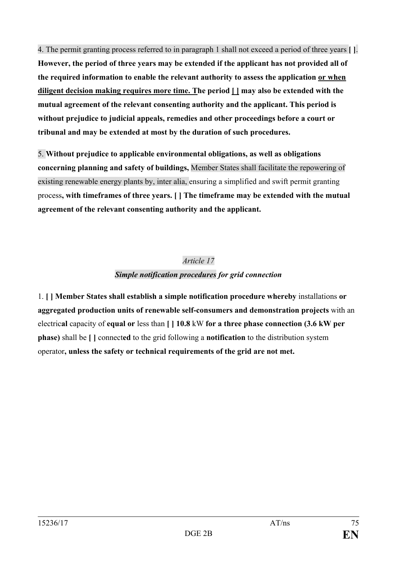4. The permit granting process referred to in paragraph 1 shall not exceed a period of three years **[ ]**.

**However, the period of three years may be extended if the applicant has not provided all of the required information to enable the relevant authority to assess the application or when diligent decision making requires more time. The period [ ] may also be extended with the mutual agreement of the relevant consenting authority and the applicant. This period is without prejudice to judicial appeals, remedies and other proceedings before a court or tribunal and may be extended at most by the duration of such procedures.**

5. **Without prejudice to applicable environmental obligations, as well as obligations concerning planning and safety of buildings,** Member States shall facilitate the repowering of existing renewable energy plants by, inter alia, ensuring a simplified and swift permit granting process**, with timeframes of three years. [ ] The timeframe may be extended with the mutual agreement of the relevant consenting authority and the applicant.**

# *Article 17 Simple notification procedures for grid connection*

1. **[ ] Member States shall establish a simple notification procedure whereby** installations **or aggregated production units of renewable self-consumers and demonstration projects** with an electric**al** capacity of **equal or** less than **[ ] 10.8** kW **for a three phase connection (3.6 kW per phase)** shall be **[ ]** connect**ed** to the grid following a **notification** to the distribution system operator**, unless the safety or technical requirements of the grid are not met.**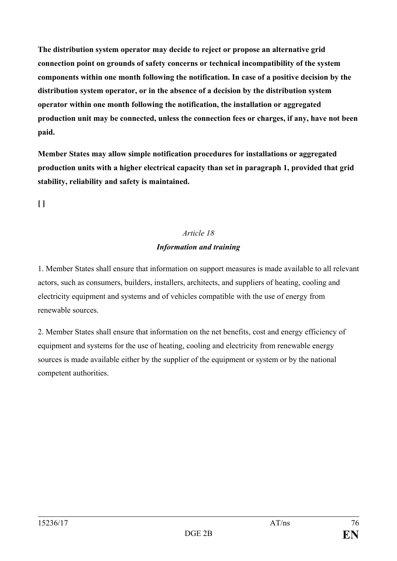**The distribution system operator may decide to reject or propose an alternative grid connection point on grounds of safety concerns or technical incompatibility of the system components within one month following the notification. In case of a positive decision by the distribution system operator, or in the absence of a decision by the distribution system operator within one month following the notification, the installation or aggregated production unit may be connected, unless the connection fees or charges, if any, have not been paid.**

**Member States may allow simple notification procedures for installations or aggregated production units with a higher electrical capacity than set in paragraph 1, provided that grid stability, reliability and safety is maintained.**

**[ ]**

# *Article 18 Information and training*

1. Member States shall ensure that information on support measures is made available to all relevant actors, such as consumers, builders, installers, architects, and suppliers of heating, cooling and electricity equipment and systems and of vehicles compatible with the use of energy from renewable sources.

2. Member States shall ensure that information on the net benefits, cost and energy efficiency of equipment and systems for the use of heating, cooling and electricity from renewable energy sources is made available either by the supplier of the equipment or system or by the national competent authorities.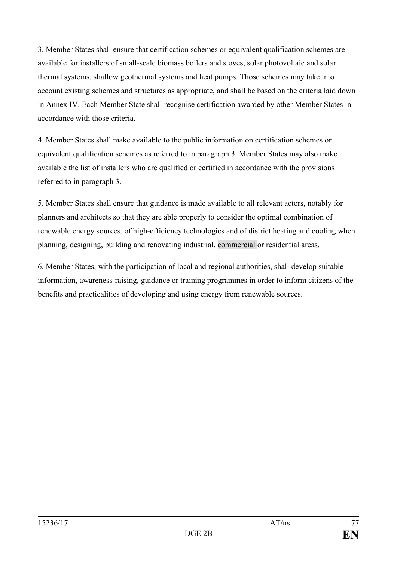3. Member States shall ensure that certification schemes or equivalent qualification schemes are available for installers of small-scale biomass boilers and stoves, solar photovoltaic and solar thermal systems, shallow geothermal systems and heat pumps. Those schemes may take into account existing schemes and structures as appropriate, and shall be based on the criteria laid down in Annex IV. Each Member State shall recognise certification awarded by other Member States in accordance with those criteria.

4. Member States shall make available to the public information on certification schemes or equivalent qualification schemes as referred to in paragraph 3. Member States may also make available the list of installers who are qualified or certified in accordance with the provisions referred to in paragraph 3.

5. Member States shall ensure that guidance is made available to all relevant actors, notably for planners and architects so that they are able properly to consider the optimal combination of renewable energy sources, of high-efficiency technologies and of district heating and cooling when planning, designing, building and renovating industrial, commercial or residential areas.

6. Member States, with the participation of local and regional authorities, shall develop suitable information, awareness-raising, guidance or training programmes in order to inform citizens of the benefits and practicalities of developing and using energy from renewable sources.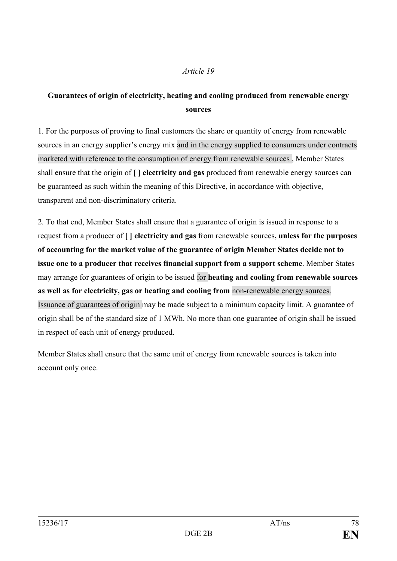### *Article 19*

### **Guarantees of origin of electricity, heating and cooling produced from renewable energy sources**

1. For the purposes of proving to final customers the share or quantity of energy from renewable sources in an energy supplier's energy mix and in the energy supplied to consumers under contracts marketed with reference to the consumption of energy from renewable sources , Member States shall ensure that the origin of **[ ] electricity and gas** produced from renewable energy sources can be guaranteed as such within the meaning of this Directive, in accordance with objective, transparent and non-discriminatory criteria.

2. To that end, Member States shall ensure that a guarantee of origin is issued in response to a request from a producer of **[ ] electricity and gas** from renewable sources**, unless for the purposes of accounting for the market value of the guarantee of origin Member States decide not to issue one to a producer that receives financial support from a support scheme**. Member States may arrange for guarantees of origin to be issued for **heating and cooling from renewable sources as well as for electricity, gas or heating and cooling from** non-renewable energy sources. Issuance of guarantees of origin may be made subject to a minimum capacity limit. A guarantee of origin shall be of the standard size of 1 MWh. No more than one guarantee of origin shall be issued in respect of each unit of energy produced.

Member States shall ensure that the same unit of energy from renewable sources is taken into account only once.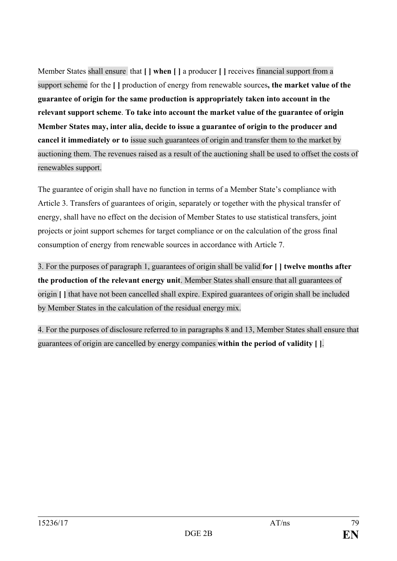Member States shall ensure that **[ ] when [ ]** a producer **[ ]** receives financial support from a support scheme for the **[ ]** production of energy from renewable sources**, the market value of the guarantee of origin for the same production is appropriately taken into account in the relevant support scheme**. **To take into account the market value of the guarantee of origin Member States may, inter alia, decide to issue a guarantee of origin to the producer and cancel it immediately or to** issue such guarantees of origin and transfer them to the market by auctioning them. The revenues raised as a result of the auctioning shall be used to offset the costs of renewables support.

The guarantee of origin shall have no function in terms of a Member State's compliance with Article 3. Transfers of guarantees of origin, separately or together with the physical transfer of energy, shall have no effect on the decision of Member States to use statistical transfers, joint projects or joint support schemes for target compliance or on the calculation of the gross final consumption of energy from renewable sources in accordance with Article 7.

3. For the purposes of paragraph 1, guarantees of origin shall be valid **for [ ] twelve months after the production of the relevant energy unit**. Member States shall ensure that all guarantees of origin **[ ]** that have not been cancelled shall expire. Expired guarantees of origin shall be included by Member States in the calculation of the residual energy mix.

4. For the purposes of disclosure referred to in paragraphs 8 and 13, Member States shall ensure that guarantees of origin are cancelled by energy companies **within the period of validity [ ]**.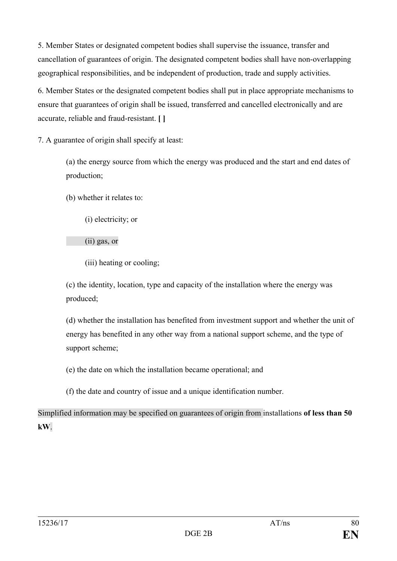5. Member States or designated competent bodies shall supervise the issuance, transfer and cancellation of guarantees of origin. The designated competent bodies shall have non-overlapping geographical responsibilities, and be independent of production, trade and supply activities.

6. Member States or the designated competent bodies shall put in place appropriate mechanisms to ensure that guarantees of origin shall be issued, transferred and cancelled electronically and are accurate, reliable and fraud-resistant. **[ ]**

7. A guarantee of origin shall specify at least:

(a) the energy source from which the energy was produced and the start and end dates of production;

(b) whether it relates to:

(i) electricity; or

(ii) gas, or

(iii) heating or cooling;

(c) the identity, location, type and capacity of the installation where the energy was produced;

(d) whether the installation has benefited from investment support and whether the unit of energy has benefited in any other way from a national support scheme, and the type of support scheme;

(e) the date on which the installation became operational; and

(f) the date and country of issue and a unique identification number.

Simplified information may be specified on guarantees of origin from installations **of less than 50 kW**.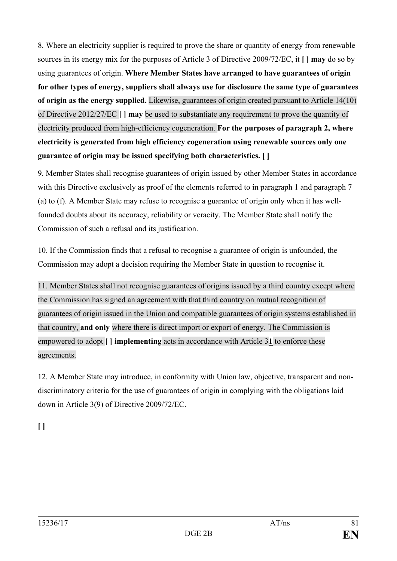8. Where an electricity supplier is required to prove the share or quantity of energy from renewable sources in its energy mix for the purposes of Article 3 of Directive 2009/72/EC, it **[ ] may** do so by using guarantees of origin. **Where Member States have arranged to have guarantees of origin for other types of energy, suppliers shall always use for disclosure the same type of guarantees of origin as the energy supplied.** Likewise, guarantees of origin created pursuant to Article 14(10) of Directive 2012/27/EC **[ ] may** be used to substantiate any requirement to prove the quantity of electricity produced from high-efficiency cogeneration. **For the purposes of paragraph 2, where electricity is generated from high efficiency cogeneration using renewable sources only one guarantee of origin may be issued specifying both characteristics. [ ]**

9. Member States shall recognise guarantees of origin issued by other Member States in accordance with this Directive exclusively as proof of the elements referred to in paragraph 1 and paragraph 7 (a) to (f). A Member State may refuse to recognise a guarantee of origin only when it has wellfounded doubts about its accuracy, reliability or veracity. The Member State shall notify the Commission of such a refusal and its justification.

10. If the Commission finds that a refusal to recognise a guarantee of origin is unfounded, the Commission may adopt a decision requiring the Member State in question to recognise it.

11. Member States shall not recognise guarantees of origins issued by a third country except where the Commission has signed an agreement with that third country on mutual recognition of guarantees of origin issued in the Union and compatible guarantees of origin systems established in that country, **and only** where there is direct import or export of energy. The Commission is empowered to adopt **[ ] implementing** acts in accordance with Article 3**1** to enforce these agreements.

12. A Member State may introduce, in conformity with Union law, objective, transparent and nondiscriminatory criteria for the use of guarantees of origin in complying with the obligations laid down in Article 3(9) of Directive 2009/72/EC.

**[ ]**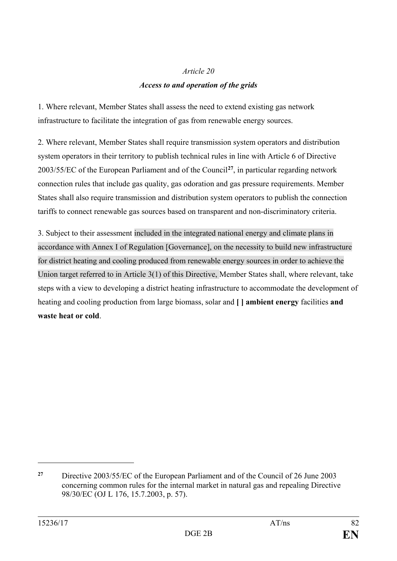# *Article 20 Access to and operation of the grids*

1. Where relevant, Member States shall assess the need to extend existing gas network infrastructure to facilitate the integration of gas from renewable energy sources.

2. Where relevant, Member States shall require transmission system operators and distribution system operators in their territory to publish technical rules in line with Article 6 of Directive 2003/55/EC of the European Parliament and of the Council**[27](#page-81-0)**, in particular regarding network connection rules that include gas quality, gas odoration and gas pressure requirements. Member States shall also require transmission and distribution system operators to publish the connection tariffs to connect renewable gas sources based on transparent and non-discriminatory criteria.

3. Subject to their assessment included in the integrated national energy and climate plans in accordance with Annex I of Regulation [Governance], on the necessity to build new infrastructure for district heating and cooling produced from renewable energy sources in order to achieve the Union target referred to in Article 3(1) of this Directive, Member States shall, where relevant, take steps with a view to developing a district heating infrastructure to accommodate the development of heating and cooling production from large biomass, solar and **[ ] ambient energy** facilities **and waste heat or cold**.

 $\overline{a}$ 

<span id="page-81-0"></span>**<sup>27</sup>** Directive 2003/55/EC of the European Parliament and of the Council of 26 June 2003 concerning common rules for the internal market in natural gas and repealing Directive 98/30/EC (OJ L 176, 15.7.2003, p. 57).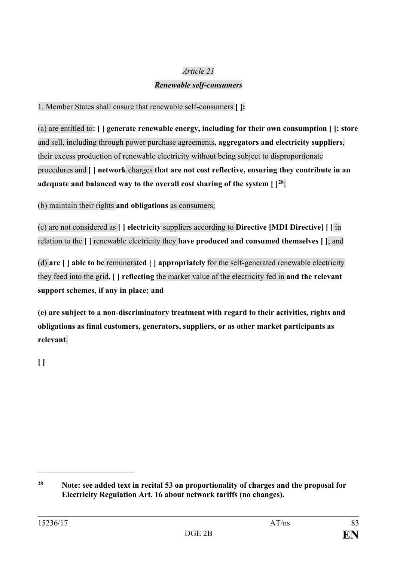### *Article 21*

### *Renewable self-consumers*

1. Member States shall ensure that renewable self-consumers **[ ]:**

(a) are entitled to**: [ ] generate renewable energy, including for their own consumption [ ]; store** and sell, including through power purchase agreements**, aggregators and electricity suppliers**, their excess production of renewable electricity without being subject to disproportionate procedures and **[ ] network** charges **that are not cost reflective, ensuring they contribute in an adequate and balanced way to the overall cost sharing of the system [ ][28](#page-82-0)**;

(b) maintain their rights **and obligations** as consumers;

(c) are not considered as **[ ] electricity** suppliers according to **Directive [MDI Directive] [ ]** in relation to the **[ ]** renewable electricity they **have produced and consumed themselves [ ]**; and

(d) **are [ ] able to be** remunerat**ed [ ] appropriately** for the self-generated renewable electricity they feed into the grid**, [ ] reflecting** the market value of the electricity fed in **and the relevant support schemes, if any in place; and**

**(e) are subject to a non-discriminatory treatment with regard to their activities, rights and obligations as final customers, generators, suppliers, or as other market participants as relevant**.

**[ ]**

 $\overline{a}$ 

<span id="page-82-0"></span>**<sup>28</sup> Note: see added text in recital 53 on proportionality of charges and the proposal for Electricity Regulation Art. 16 about network tariffs (no changes).**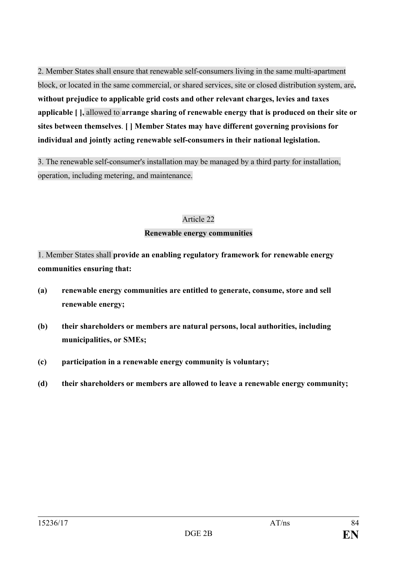2. Member States shall ensure that renewable self-consumers living in the same multi-apartment block, or located in the same commercial, or shared services, site or closed distribution system, are**, without prejudice to applicable grid costs and other relevant charges, levies and taxes applicable [ ],** allowed to **arrange sharing of renewable energy that is produced on their site or sites between themselves**. **[ ] Member States may have different governing provisions for individual and jointly acting renewable self-consumers in their national legislation.**

3. The renewable self-consumer's installation may be managed by a third party for installation, operation, including metering, and maintenance.

#### Article 22

#### **Renewable energy communities**

1. Member States shall **provide an enabling regulatory framework for renewable energy communities ensuring that:**

- **(a) renewable energy communities are entitled to generate, consume, store and sell renewable energy;**
- **(b) their shareholders or members are natural persons, local authorities, including municipalities, or SMEs;**
- **(c) participation in a renewable energy community is voluntary;**
- **(d) their shareholders or members are allowed to leave a renewable energy community;**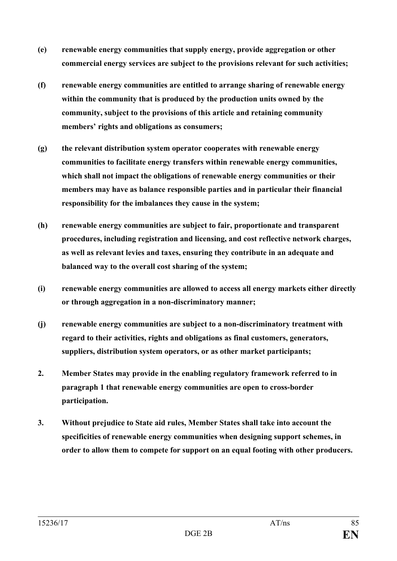- **(e) renewable energy communities that supply energy, provide aggregation or other commercial energy services are subject to the provisions relevant for such activities;**
- **(f) renewable energy communities are entitled to arrange sharing of renewable energy within the community that is produced by the production units owned by the community, subject to the provisions of this article and retaining community members' rights and obligations as consumers;**
- **(g) the relevant distribution system operator cooperates with renewable energy communities to facilitate energy transfers within renewable energy communities, which shall not impact the obligations of renewable energy communities or their members may have as balance responsible parties and in particular their financial responsibility for the imbalances they cause in the system;**
- **(h) renewable energy communities are subject to fair, proportionate and transparent procedures, including registration and licensing, and cost reflective network charges, as well as relevant levies and taxes, ensuring they contribute in an adequate and balanced way to the overall cost sharing of the system;**
- **(i) renewable energy communities are allowed to access all energy markets either directly or through aggregation in a non-discriminatory manner;**
- **(j) renewable energy communities are subject to a non-discriminatory treatment with regard to their activities, rights and obligations as final customers, generators, suppliers, distribution system operators, or as other market participants;**
- **2. Member States may provide in the enabling regulatory framework referred to in paragraph 1 that renewable energy communities are open to cross-border participation.**
- **3. Without prejudice to State aid rules, Member States shall take into account the specificities of renewable energy communities when designing support schemes, in order to allow them to compete for support on an equal footing with other producers.**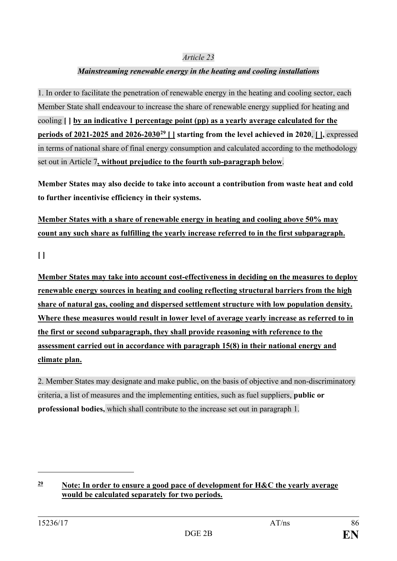#### *Article 23*

### *Mainstreaming renewable energy in the heating and cooling installations*

1. In order to facilitate the penetration of renewable energy in the heating and cooling sector, each Member State shall endeavour to increase the share of renewable energy supplied for heating and cooling **[ ] by an indicative 1 percentage point (pp) as a yearly average calculated for the periods of 2021-2025 and 2026-2030[29](#page-85-0) [ ] starting from the level achieved in 2020**, **[ ],** expressed in terms of national share of final energy consumption and calculated according to the methodology set out in Article 7**, without prejudice to the fourth sub-paragraph below**.

**Member States may also decide to take into account a contribution from waste heat and cold to further incentivise efficiency in their systems.**

**Member States with a share of renewable energy in heating and cooling above 50% may count any such share as fulfilling the yearly increase referred to in the first subparagraph.**

**[ ]**

**Member States may take into account cost-effectiveness in deciding on the measures to deploy renewable energy sources in heating and cooling reflecting structural barriers from the high share of natural gas, cooling and dispersed settlement structure with low population density. Where these measures would result in lower level of average yearly increase as referred to in the first or second subparagraph, they shall provide reasoning with reference to the assessment carried out in accordance with paragraph 15(8) in their national energy and climate plan.**

2. Member States may designate and make public, on the basis of objective and non-discriminatory criteria, a list of measures and the implementing entities, such as fuel suppliers, **public or professional bodies,** which shall contribute to the increase set out in paragraph 1.

 $\overline{a}$ 

<span id="page-85-0"></span>**<sup>29</sup> Note: In order to ensure a good pace of development for H&C the yearly average would be calculated separately for two periods.**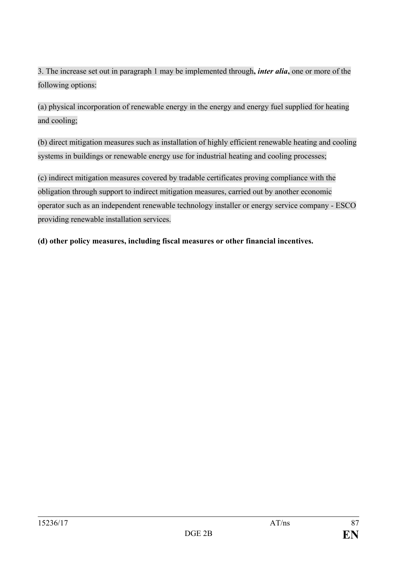3. The increase set out in paragraph 1 may be implemented through**,** *inter alia***,** one or more of the following options:

(a) physical incorporation of renewable energy in the energy and energy fuel supplied for heating and cooling;

(b) direct mitigation measures such as installation of highly efficient renewable heating and cooling systems in buildings or renewable energy use for industrial heating and cooling processes;

(c) indirect mitigation measures covered by tradable certificates proving compliance with the obligation through support to indirect mitigation measures, carried out by another economic operator such as an independent renewable technology installer or energy service company - ESCO providing renewable installation services.

**(d) other policy measures, including fiscal measures or other financial incentives.**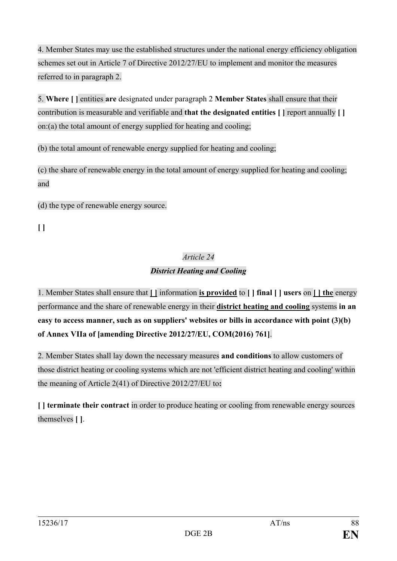4. Member States may use the established structures under the national energy efficiency obligation schemes set out in Article 7 of Directive 2012/27/EU to implement and monitor the measures referred to in paragraph 2.

5. **Where [ ]** entities **are** designated under paragraph 2 **Member States** shall ensure that their contribution is measurable and verifiable and **that the designated entities [ ]** report annually **[ ]** on:(a) the total amount of energy supplied for heating and cooling;

(b) the total amount of renewable energy supplied for heating and cooling;

(c) the share of renewable energy in the total amount of energy supplied for heating and cooling; and

(d) the type of renewable energy source.

**[ ]**

### *Article 24 District Heating and Cooling*

1. Member States shall ensure that **[ ]** information **is provided** to **[ ] final [ ] users** on **[ ] the** energy performance and the share of renewable energy in their **district heating and cooling** systems **in an easy to access manner, such as on suppliers' websites or bills in accordance with point (3)(b) of Annex VIIa of [amending Directive 2012/27/EU, COM(2016) 761]**.

2. Member States shall lay down the necessary measures **and conditions** to allow customers of those district heating or cooling systems which are not 'efficient district heating and cooling' within the meaning of Article 2(41) of Directive 2012/27/EU to**:**

**[ ] terminate their contract** in order to produce heating or cooling from renewable energy sources themselves **[ ]**.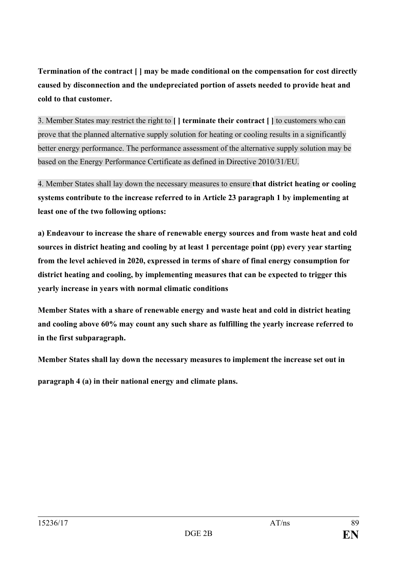**Termination of the contract [ ] may be made conditional on the compensation for cost directly caused by disconnection and the undepreciated portion of assets needed to provide heat and cold to that customer.**

3. Member States may restrict the right to **[ ] terminate their contract [ ]** to customers who can prove that the planned alternative supply solution for heating or cooling results in a significantly better energy performance. The performance assessment of the alternative supply solution may be based on the Energy Performance Certificate as defined in Directive 2010/31/EU.

4. Member States shall lay down the necessary measures to ensure **that district heating or cooling systems contribute to the increase referred to in Article 23 paragraph 1 by implementing at least one of the two following options:**

**a) Endeavour to increase the share of renewable energy sources and from waste heat and cold sources in district heating and cooling by at least 1 percentage point (pp) every year starting from the level achieved in 2020, expressed in terms of share of final energy consumption for district heating and cooling, by implementing measures that can be expected to trigger this yearly increase in years with normal climatic conditions**

**Member States with a share of renewable energy and waste heat and cold in district heating and cooling above 60% may count any such share as fulfilling the yearly increase referred to in the first subparagraph.**

**Member States shall lay down the necessary measures to implement the increase set out in**

**paragraph 4 (a) in their national energy and climate plans.**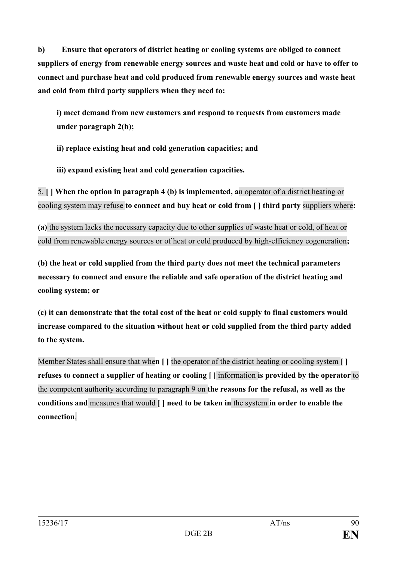**b) Ensure that operators of district heating or cooling systems are obliged to connect suppliers of energy from renewable energy sources and waste heat and cold or have to offer to connect and purchase heat and cold produced from renewable energy sources and waste heat and cold from third party suppliers when they need to:**

**i) meet demand from new customers and respond to requests from customers made under paragraph 2(b);**

**ii) replace existing heat and cold generation capacities; and** 

**iii) expand existing heat and cold generation capacities.** 

5. **[ ] When the option in paragraph 4 (b) is implemented, a**n operator of a district heating or cooling system may refuse **to connect and buy heat or cold from [ ] third party** suppliers where**:**

**(a)** the system lacks the necessary capacity due to other supplies of waste heat or cold, of heat or cold from renewable energy sources or of heat or cold produced by high-efficiency cogeneration**;**

**(b) the heat or cold supplied from the third party does not meet the technical parameters necessary to connect and ensure the reliable and safe operation of the district heating and cooling system; or**

**(c) it can demonstrate that the total cost of the heat or cold supply to final customers would increase compared to the situation without heat or cold supplied from the third party added to the system.**

Member States shall ensure that whe**n [ ]** the operator of the district heating or cooling system **[ ] refuses to connect a supplier of heating or cooling [ ]** information **is provided by the operator** to the competent authority according to paragraph 9 on **the reasons for the refusal, as well as the conditions and** measures that would **[ ] need to be taken in** the system **in order to enable the connection**.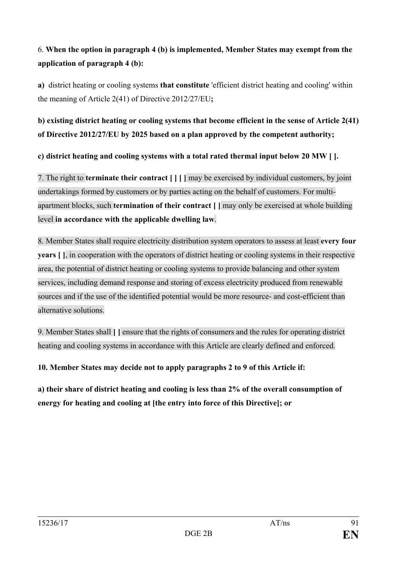# 6. **When the option in paragraph 4 (b) is implemented, Member States may exempt from the application of paragraph 4 (b):**

**a)** district heating or cooling systems **that constitute** 'efficient district heating and cooling' within the meaning of Article 2(41) of Directive 2012/27/EU**;**

## **b) existing district heating or cooling systems that become efficient in the sense of Article 2(41) of Directive 2012/27/EU by 2025 based on a plan approved by the competent authority;**

**c) district heating and cooling systems with a total rated thermal input below 20 MW [ ].**

7. The right to **terminate their contract [ ] [ ]** may be exercised by individual customers, by joint undertakings formed by customers or by parties acting on the behalf of customers. For multiapartment blocks, such **termination of their contract [ ]** may only be exercised at whole building level **in accordance with the applicable dwelling law**.

8. Member States shall require electricity distribution system operators to assess at least **every four years** [1], in cooperation with the operators of district heating or cooling systems in their respective area, the potential of district heating or cooling systems to provide balancing and other system services, including demand response and storing of excess electricity produced from renewable sources and if the use of the identified potential would be more resource- and cost-efficient than alternative solutions.

9. Member States shall **[ ]** ensure that the rights of consumers and the rules for operating district heating and cooling systems in accordance with this Article are clearly defined and enforced.

**10. Member States may decide not to apply paragraphs 2 to 9 of this Article if:**

**a) their share of district heating and cooling is less than 2% of the overall consumption of energy for heating and cooling at [the entry into force of this Directive]; or**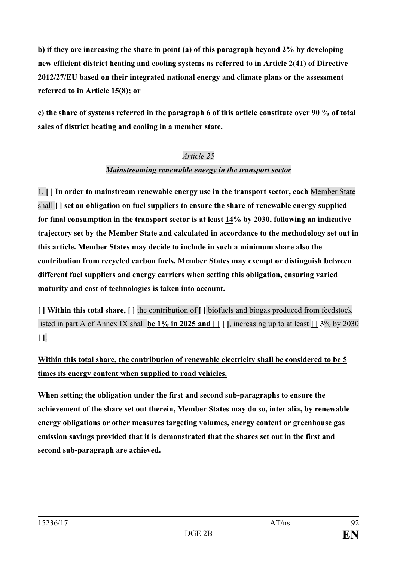**b) if they are increasing the share in point (a) of this paragraph beyond 2% by developing new efficient district heating and cooling systems as referred to in Article 2(41) of Directive 2012/27/EU based on their integrated national energy and climate plans or the assessment referred to in Article 15(8); or**

**c) the share of systems referred in the paragraph 6 of this article constitute over 90 % of total sales of district heating and cooling in a member state.**

### *Article 25*

### *Mainstreaming renewable energy in the transport sector*

1. **[ ] In order to mainstream renewable energy use in the transport sector, each** Member State shall **[ ] set an obligation on fuel suppliers to ensure the share of renewable energy supplied for final consumption in the transport sector is at least 14% by 2030, following an indicative trajectory set by the Member State and calculated in accordance to the methodology set out in this article. Member States may decide to include in such a minimum share also the contribution from recycled carbon fuels. Member States may exempt or distinguish between different fuel suppliers and energy carriers when setting this obligation, ensuring varied maturity and cost of technologies is taken into account.** 

**[ ] Within this total share, [ ]** the contribution of **[ ]** biofuels and biogas produced from feedstock listed in part A of Annex IX shall **be 1% in 2025 and []** [], increasing up to at least  $\boxed{13\%}$  by 2030 **[ ]**.

**Within this total share, the contribution of renewable electricity shall be considered to be 5 times its energy content when supplied to road vehicles.**

**When setting the obligation under the first and second sub-paragraphs to ensure the achievement of the share set out therein, Member States may do so, inter alia, by renewable energy obligations or other measures targeting volumes, energy content or greenhouse gas emission savings provided that it is demonstrated that the shares set out in the first and second sub-paragraph are achieved.**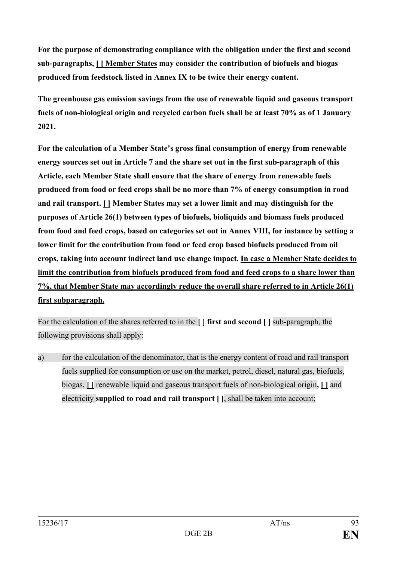**For the purpose of demonstrating compliance with the obligation under the first and second sub-paragraphs, [ ] Member States may consider the contribution of biofuels and biogas produced from feedstock listed in Annex IX to be twice their energy content.**

**The greenhouse gas emission savings from the use of renewable liquid and gaseous transport fuels of non-biological origin and recycled carbon fuels shall be at least 70% as of 1 January 2021.**

**For the calculation of a Member State's gross final consumption of energy from renewable energy sources set out in Article 7 and the share set out in the first sub-paragraph of this Article, each Member State shall ensure that the share of energy from renewable fuels produced from food or feed crops shall be no more than 7% of energy consumption in road and rail transport. [ ] Member States may set a lower limit and may distinguish for the purposes of Article 26(1) between types of biofuels, bioliquids and biomass fuels produced from food and feed crops, based on categories set out in Annex VIII, for instance by setting a lower limit for the contribution from food or feed crop based biofuels produced from oil crops, taking into account indirect land use change impact. In case a Member State decides to limit the contribution from biofuels produced from food and feed crops to a share lower than 7%, that Member State may accordingly reduce the overall share referred to in Article 26(1) first subparagraph.**

For the calculation of the shares referred to in the **[ ] first and second [ ]** sub-paragraph, the following provisions shall apply:

a) for the calculation of the denominator, that is the energy content of road and rail transport fuels supplied for consumption or use on the market, petrol, diesel, natural gas, biofuels, biogas, **[ ]** renewable liquid and gaseous transport fuels of non-biological origin**, [ ]** and electricity **supplied to road and rail transport [ ]**, shall be taken into account;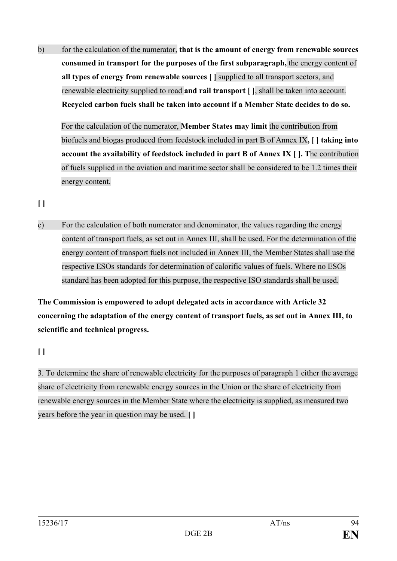b) for the calculation of the numerator, **that is the amount of energy from renewable sources consumed in transport for the purposes of the first subparagraph,** the energy content of **all types of energy from renewable sources [ ]** supplied to all transport sectors, and renewable electricity supplied to road **and rail transport [ ]**, shall be taken into account. **Recycled carbon fuels shall be taken into account if a Member State decides to do so.**

For the calculation of the numerator, **Member States may limit** the contribution from biofuels and biogas produced from feedstock included in part B of Annex IX**, [ ] taking into account the availability of feedstock included in part B of Annex IX [ ]. T**he contribution of fuels supplied in the aviation and maritime sector shall be considered to be 1.2 times their energy content.

**[ ]**

c) For the calculation of both numerator and denominator, the values regarding the energy content of transport fuels, as set out in Annex III, shall be used. For the determination of the energy content of transport fuels not included in Annex III, the Member States shall use the respective ESOs standards for determination of calorific values of fuels. Where no ESOs standard has been adopted for this purpose, the respective ISO standards shall be used.

**The Commission is empowered to adopt delegated acts in accordance with Article 32 concerning the adaptation of the energy content of transport fuels, as set out in Annex III, to scientific and technical progress.**

**[ ]**

3. To determine the share of renewable electricity for the purposes of paragraph 1 either the average share of electricity from renewable energy sources in the Union or the share of electricity from renewable energy sources in the Member State where the electricity is supplied, as measured two years before the year in question may be used. **[ ]**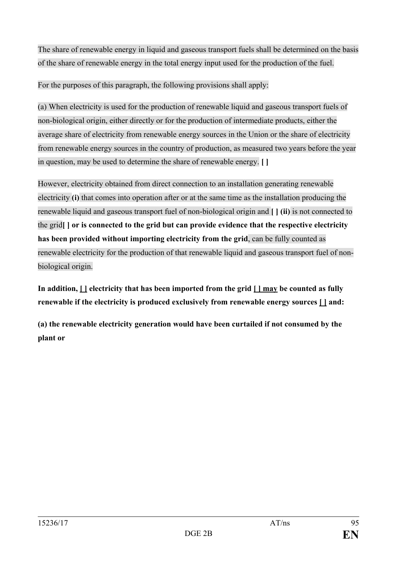The share of renewable energy in liquid and gaseous transport fuels shall be determined on the basis of the share of renewable energy in the total energy input used for the production of the fuel.

For the purposes of this paragraph, the following provisions shall apply:

(a) When electricity is used for the production of renewable liquid and gaseous transport fuels of non-biological origin, either directly or for the production of intermediate products, either the average share of electricity from renewable energy sources in the Union or the share of electricity from renewable energy sources in the country of production, as measured two years before the year in question, may be used to determine the share of renewable energy. **[ ]**

However, electricity obtained from direct connection to an installation generating renewable electricity **(i)** that comes into operation after or at the same time as the installation producing the renewable liquid and gaseous transport fuel of non-biological origin and **[ ] (ii)** is not connected to the grid**[ ] or is connected to the grid but can provide evidence that the respective electricity has been provided without importing electricity from the grid**, can be fully counted as renewable electricity for the production of that renewable liquid and gaseous transport fuel of nonbiological origin.

**In addition, [ ] electricity that has been imported from the grid [ ] may be counted as fully renewable if the electricity is produced exclusively from renewable energy sources [ ] and:**

**(a) the renewable electricity generation would have been curtailed if not consumed by the plant or**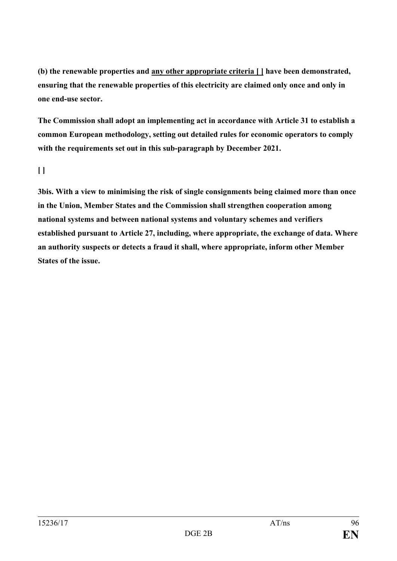**(b) the renewable properties and any other appropriate criteria [ ] have been demonstrated, ensuring that the renewable properties of this electricity are claimed only once and only in one end-use sector.**

**The Commission shall adopt an implementing act in accordance with Article 31 to establish a common European methodology, setting out detailed rules for economic operators to comply with the requirements set out in this sub-paragraph by December 2021.**

### **[ ]**

**3bis. With a view to minimising the risk of single consignments being claimed more than once in the Union, Member States and the Commission shall strengthen cooperation among national systems and between national systems and voluntary schemes and verifiers established pursuant to Article 27, including, where appropriate, the exchange of data. Where an authority suspects or detects a fraud it shall, where appropriate, inform other Member States of the issue.**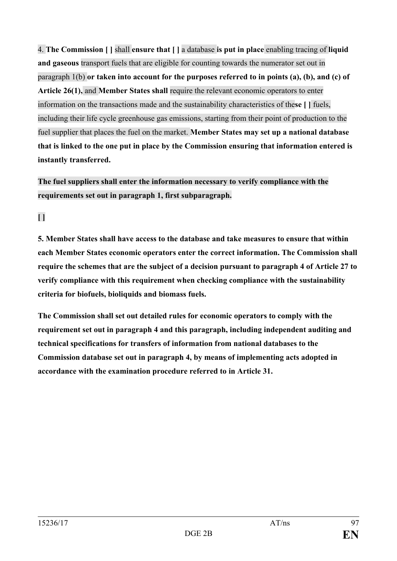4. **The Commission [ ]** shall **ensure that [ ]** a database **is put in place** enabling tracing of **liquid and gaseous** transport fuels that are eligible for counting towards the numerator set out in paragraph 1(b) **or taken into account for the purposes referred to in points (a), (b), and (c) of Article 26(1),** and **Member States shall** require the relevant economic operators to enter information on the transactions made and the sustainability characteristics of the**se [ ]** fuels, including their life cycle greenhouse gas emissions, starting from their point of production to the fuel supplier that places the fuel on the market. **Member States may set up a national database that is linked to the one put in place by the Commission ensuring that information entered is instantly transferred.** 

# **The fuel suppliers shall enter the information necessary to verify compliance with the requirements set out in paragraph 1, first subparagraph.**

**[ ]**

**5. Member States shall have access to the database and take measures to ensure that within each Member States economic operators enter the correct information. The Commission shall require the schemes that are the subject of a decision pursuant to paragraph 4 of Article 27 to verify compliance with this requirement when checking compliance with the sustainability criteria for biofuels, bioliquids and biomass fuels.**

**The Commission shall set out detailed rules for economic operators to comply with the requirement set out in paragraph 4 and this paragraph, including independent auditing and technical specifications for transfers of information from national databases to the Commission database set out in paragraph 4, by means of implementing acts adopted in accordance with the examination procedure referred to in Article 31.**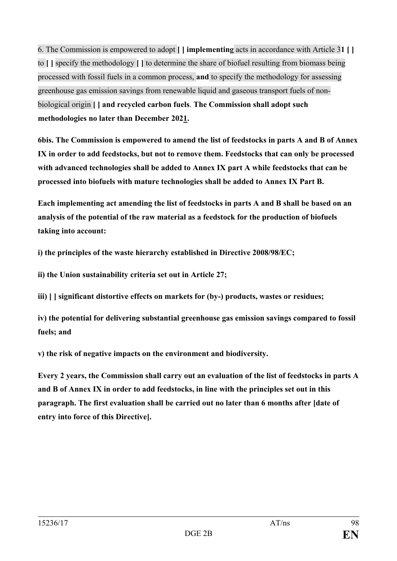6. The Commission is empowered to adopt **[ ] implementing** acts in accordance with Article 3**1 [ ]** to **[ ]** specify the methodology **[ ]** to determine the share of biofuel resulting from biomass being processed with fossil fuels in a common process, **and** to specify the methodology for assessing greenhouse gas emission savings from renewable liquid and gaseous transport fuels of nonbiological origin **[ ] and recycled carbon fuels**. **The Commission shall adopt such methodologies no later than December 2021.**

**6bis. The Commission is empowered to amend the list of feedstocks in parts A and B of Annex IX in order to add feedstocks, but not to remove them. Feedstocks that can only be processed with advanced technologies shall be added to Annex IX part A while feedstocks that can be processed into biofuels with mature technologies shall be added to Annex IX Part B.**

**Each implementing act amending the list of feedstocks in parts A and B shall be based on an analysis of the potential of the raw material as a feedstock for the production of biofuels taking into account:**

**i) the principles of the waste hierarchy established in Directive 2008/98/EC;**

**ii) the Union sustainability criteria set out in Article 27;** 

**iii) [ ] significant distortive effects on markets for (by-) products, wastes or residues;**

**iv) the potential for delivering substantial greenhouse gas emission savings compared to fossil fuels; and**

**v) the risk of negative impacts on the environment and biodiversity.**

**Every 2 years, the Commission shall carry out an evaluation of the list of feedstocks in parts A and B of Annex IX in order to add feedstocks, in line with the principles set out in this paragraph. The first evaluation shall be carried out no later than 6 months after [date of entry into force of this Directive].**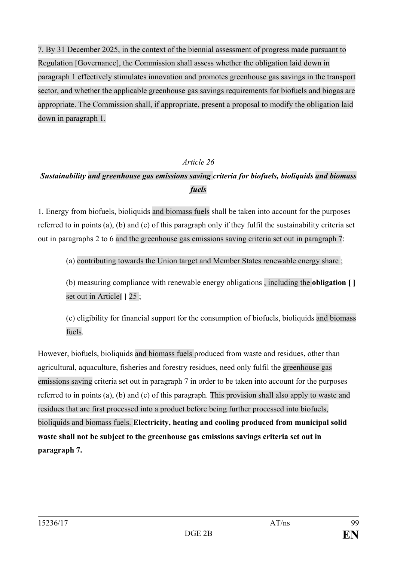7. By 31 December 2025, in the context of the biennial assessment of progress made pursuant to Regulation [Governance], the Commission shall assess whether the obligation laid down in paragraph 1 effectively stimulates innovation and promotes greenhouse gas savings in the transport sector, and whether the applicable greenhouse gas savings requirements for biofuels and biogas are appropriate. The Commission shall, if appropriate, present a proposal to modify the obligation laid down in paragraph 1.

#### *Article 26*

# *Sustainability and greenhouse gas emissions saving criteria for biofuels, bioliquids and biomass fuels*

1. Energy from biofuels, bioliquids and biomass fuels shall be taken into account for the purposes referred to in points (a), (b) and (c) of this paragraph only if they fulfil the sustainability criteria set out in paragraphs 2 to 6 and the greenhouse gas emissions saving criteria set out in paragraph 7:

(a) contributing towards the Union target and Member States renewable energy share ;

(b) measuring compliance with renewable energy obligations , including the **obligation [ ]** set out in Article**[ ]** 25 ;

(c) eligibility for financial support for the consumption of biofuels, bioliquids and biomass fuels.

However, biofuels, bioliquids and biomass fuels produced from waste and residues, other than agricultural, aquaculture, fisheries and forestry residues, need only fulfil the greenhouse gas emissions saving criteria set out in paragraph 7 in order to be taken into account for the purposes referred to in points (a), (b) and (c) of this paragraph. This provision shall also apply to waste and residues that are first processed into a product before being further processed into biofuels, bioliquids and biomass fuels. **Electricity, heating and cooling produced from municipal solid waste shall not be subject to the greenhouse gas emissions savings criteria set out in paragraph 7.**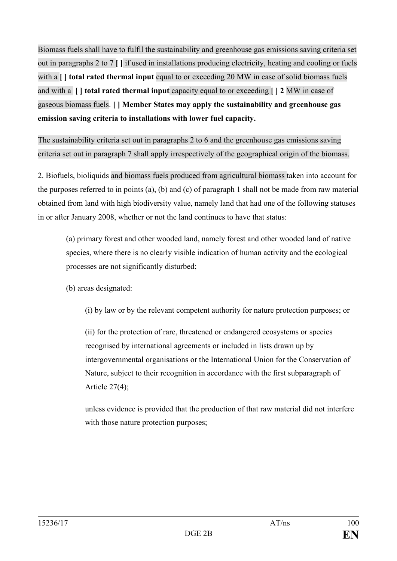Biomass fuels shall have to fulfil the sustainability and greenhouse gas emissions saving criteria set out in paragraphs 2 to 7 **[ ]** if used in installations producing electricity, heating and cooling or fuels with a **[ ] total rated thermal input** equal to or exceeding 20 MW in case of solid biomass fuels and with a **[ ] total rated thermal input** capacity equal to or exceeding **[ ] 2** MW in case of gaseous biomass fuels. **[ ] Member States may apply the sustainability and greenhouse gas emission saving criteria to installations with lower fuel capacity.**

The sustainability criteria set out in paragraphs 2 to 6 and the greenhouse gas emissions saving criteria set out in paragraph 7 shall apply irrespectively of the geographical origin of the biomass.

2. Biofuels, bioliquids and biomass fuels produced from agricultural biomass taken into account for the purposes referred to in points (a), (b) and (c) of paragraph 1 shall not be made from raw material obtained from land with high biodiversity value, namely land that had one of the following statuses in or after January 2008, whether or not the land continues to have that status:

(a) primary forest and other wooded land, namely forest and other wooded land of native species, where there is no clearly visible indication of human activity and the ecological processes are not significantly disturbed;

(b) areas designated:

(i) by law or by the relevant competent authority for nature protection purposes; or

(ii) for the protection of rare, threatened or endangered ecosystems or species recognised by international agreements or included in lists drawn up by intergovernmental organisations or the International Union for the Conservation of Nature, subject to their recognition in accordance with the first subparagraph of Article 27(4);

unless evidence is provided that the production of that raw material did not interfere with those nature protection purposes;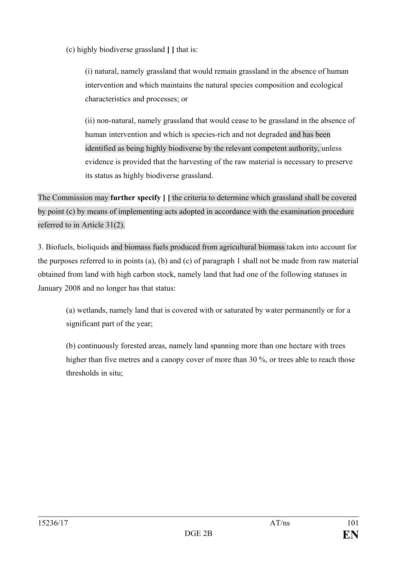(c) highly biodiverse grassland **[ ]** that is:

(i) natural, namely grassland that would remain grassland in the absence of human intervention and which maintains the natural species composition and ecological characteristics and processes; or

(ii) non-natural, namely grassland that would cease to be grassland in the absence of human intervention and which is species-rich and not degraded and has been identified as being highly biodiverse by the relevant competent authority, unless evidence is provided that the harvesting of the raw material is necessary to preserve its status as highly biodiverse grassland.

The Commission may **further specify [ ]** the criteria to determine which grassland shall be covered by point (c) by means of implementing acts adopted in accordance with the examination procedure referred to in Article 31(2).

3. Biofuels, bioliquids and biomass fuels produced from agricultural biomass taken into account for the purposes referred to in points (a), (b) and (c) of paragraph 1 shall not be made from raw material obtained from land with high carbon stock, namely land that had one of the following statuses in January 2008 and no longer has that status:

(a) wetlands, namely land that is covered with or saturated by water permanently or for a significant part of the year;

(b) continuously forested areas, namely land spanning more than one hectare with trees higher than five metres and a canopy cover of more than 30 %, or trees able to reach those thresholds in situ;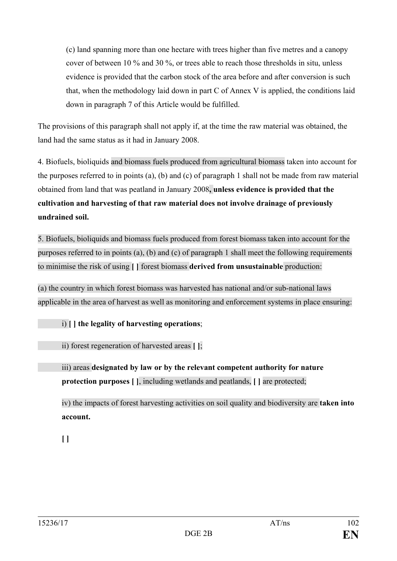(c) land spanning more than one hectare with trees higher than five metres and a canopy cover of between 10 % and 30 %, or trees able to reach those thresholds in situ, unless evidence is provided that the carbon stock of the area before and after conversion is such that, when the methodology laid down in part C of Annex V is applied, the conditions laid down in paragraph 7 of this Article would be fulfilled.

The provisions of this paragraph shall not apply if, at the time the raw material was obtained, the land had the same status as it had in January 2008.

4. Biofuels, bioliquids and biomass fuels produced from agricultural biomass taken into account for the purposes referred to in points (a), (b) and (c) of paragraph 1 shall not be made from raw material obtained from land that was peatland in January 2008**, unless evidence is provided that the cultivation and harvesting of that raw material does not involve drainage of previously undrained soil.**

5. Biofuels, bioliquids and biomass fuels produced from forest biomass taken into account for the purposes referred to in points (a), (b) and (c) of paragraph 1 shall meet the following requirements to minimise the risk of using **[ ]** forest biomass **derived from unsustainable** production:

(a) the country in which forest biomass was harvested has national and/or sub-national laws applicable in the area of harvest as well as monitoring and enforcement systems in place ensuring:

i) **[ ] the legality of harvesting operations**;

ii) forest regeneration of harvested areas **[ ]**;

iii) areas **designated by law or by the relevant competent authority for nature protection purposes [ ]**, including wetlands and peatlands, **[ ]** are protected;

iv) the impacts of forest harvesting activities on soil quality and biodiversity are **taken into account.** 

**[ ]**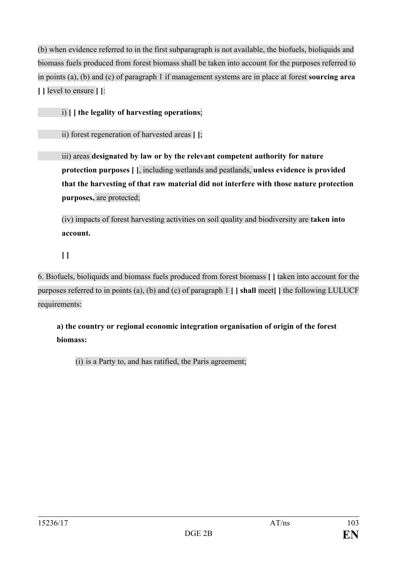(b) when evidence referred to in the first subparagraph is not available, the biofuels, bioliquids and biomass fuels produced from forest biomass shall be taken into account for the purposes referred to in points (a), (b) and (c) of paragraph 1 if management systems are in place at forest **sourcing area [ ]** level to ensure **[ ]**:

i) **[ ] the legality of harvesting operations**;

ii) forest regeneration of harvested areas **[ ]**;

iii) areas **designated by law or by the relevant competent authority for nature protection purposes [ ]**, including wetlands and peatlands, **unless evidence is provided that the harvesting of that raw material did not interfere with those nature protection purposes,** are protected;

(iv) impacts of forest harvesting activities on soil quality and biodiversity are **taken into account.** 

**[ ]**

6. Biofuels, bioliquids and biomass fuels produced from forest biomass **[ ]** taken into account for the purposes referred to in points (a), (b) and (c) of paragraph 1 **[ ] shall** meet**[ ]** the following LULUCF requirements:

**a) the country or regional economic integration organisation of origin of the forest biomass:**

(i) is a Party to, and has ratified, the Paris agreement;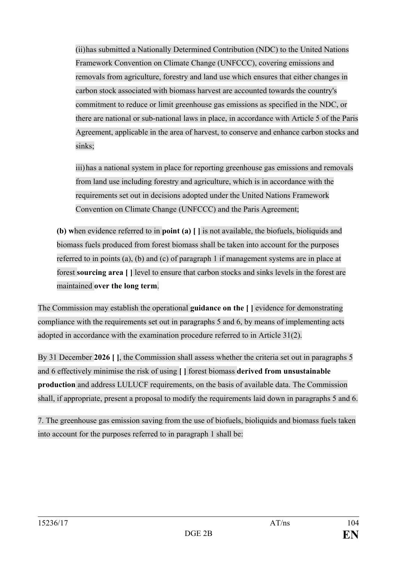(ii)has submitted a Nationally Determined Contribution (NDC) to the United Nations Framework Convention on Climate Change (UNFCCC), covering emissions and removals from agriculture, forestry and land use which ensures that either changes in carbon stock associated with biomass harvest are accounted towards the country's commitment to reduce or limit greenhouse gas emissions as specified in the NDC, or there are national or sub-national laws in place, in accordance with Article 5 of the Paris Agreement, applicable in the area of harvest, to conserve and enhance carbon stocks and sinks;

iii)has a national system in place for reporting greenhouse gas emissions and removals from land use including forestry and agriculture, which is in accordance with the requirements set out in decisions adopted under the United Nations Framework Convention on Climate Change (UNFCCC) and the Paris Agreement;

**(b) w**hen evidence referred to in **point (a) [ ]** is not available, the biofuels, bioliquids and biomass fuels produced from forest biomass shall be taken into account for the purposes referred to in points (a), (b) and (c) of paragraph 1 if management systems are in place at forest **sourcing area [ ]** level to ensure that carbon stocks and sinks levels in the forest are maintained **over the long term**.

The Commission may establish the operational **guidance on the [ ]** evidence for demonstrating compliance with the requirements set out in paragraphs 5 and 6, by means of implementing acts adopted in accordance with the examination procedure referred to in Article 31(2).

By 31 December **2026 [ ]**, the Commission shall assess whether the criteria set out in paragraphs 5 and 6 effectively minimise the risk of using **[ ]** forest biomass **derived from unsustainable production** and address LULUCF requirements, on the basis of available data. The Commission shall, if appropriate, present a proposal to modify the requirements laid down in paragraphs 5 and 6.

7. The greenhouse gas emission saving from the use of biofuels, bioliquids and biomass fuels taken into account for the purposes referred to in paragraph 1 shall be: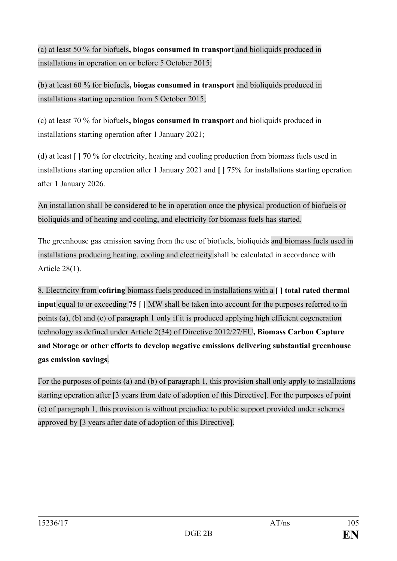(a) at least 50 % for biofuels**, biogas consumed in transport** and bioliquids produced in installations in operation on or before 5 October 2015;

(b) at least 60 % for biofuels**, biogas consumed in transport** and bioliquids produced in installations starting operation from 5 October 2015;

(c) at least 70 % for biofuels**, biogas consumed in transport** and bioliquids produced in installations starting operation after 1 January 2021;

(d) at least **[ ] 7**0 % for electricity, heating and cooling production from biomass fuels used in installations starting operation after 1 January 2021 and **[ ] 7**5% for installations starting operation after 1 January 2026.

An installation shall be considered to be in operation once the physical production of biofuels or bioliquids and of heating and cooling, and electricity for biomass fuels has started.

The greenhouse gas emission saving from the use of biofuels, bioliquids and biomass fuels used in installations producing heating, cooling and electricity shall be calculated in accordance with Article 28(1).

8. Electricity from **cofiring** biomass fuels produced in installations with a **[ ] total rated thermal input** equal to or exceeding **75 [ ]** MW shall be taken into account for the purposes referred to in points (a), (b) and (c) of paragraph 1 only if it is produced applying high efficient cogeneration technology as defined under Article 2(34) of Directive 2012/27/EU**, Biomass Carbon Capture and Storage or other efforts to develop negative emissions delivering substantial greenhouse gas emission savings**.

For the purposes of points (a) and (b) of paragraph 1, this provision shall only apply to installations starting operation after [3 years from date of adoption of this Directive]. For the purposes of point (c) of paragraph 1, this provision is without prejudice to public support provided under schemes approved by [3 years after date of adoption of this Directive].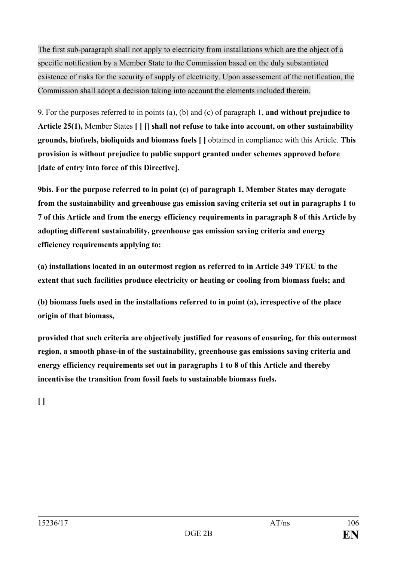The first sub-paragraph shall not apply to electricity from installations which are the object of a specific notification by a Member State to the Commission based on the duly substantiated existence of risks for the security of supply of electricity. Upon assessement of the notification, the Commission shall adopt a decision taking into account the elements included therein.

9. For the purposes referred to in points (a), (b) and (c) of paragraph 1, **and without prejudice to Article 25(1),** Member States **[ ] [] shall not refuse to take into account, on other sustainability grounds, biofuels, bioliquids and biomass fuels [ ]** obtained in compliance with this Article. **This provision is without prejudice to public support granted under schemes approved before [date of entry into force of this Directive].**

**9bis. For the purpose referred to in point (c) of paragraph 1, Member States may derogate from the sustainability and greenhouse gas emission saving criteria set out in paragraphs 1 to 7 of this Article and from the energy efficiency requirements in paragraph 8 of this Article by adopting different sustainability, greenhouse gas emission saving criteria and energy efficiency requirements applying to:**

**(a) installations located in an outermost region as referred to in Article 349 TFEU to the extent that such facilities produce electricity or heating or cooling from biomass fuels; and**

**(b) biomass fuels used in the installations referred to in point (a), irrespective of the place origin of that biomass,**

**provided that such criteria are objectively justified for reasons of ensuring, for this outermost region, a smooth phase-in of the sustainability, greenhouse gas emissions saving criteria and energy efficiency requirements set out in paragraphs 1 to 8 of this Article and thereby incentivise the transition from fossil fuels to sustainable biomass fuels.**

**[ ]**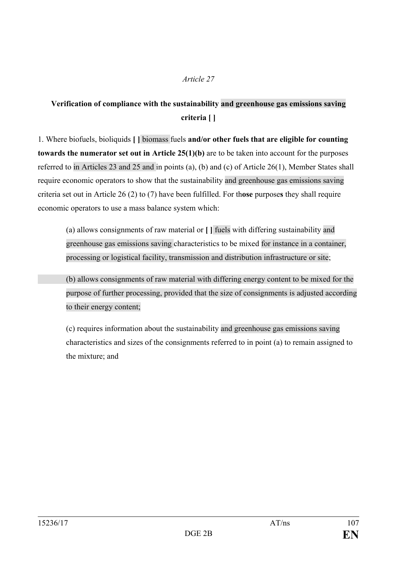#### *Article 27*

### **Verification of compliance with the sustainability and greenhouse gas emissions saving criteria [ ]**

1. Where biofuels, bioliquids **[ ]** biomass fuels **and/or other fuels that are eligible for counting towards the numerator set out in Article 25(1)(b)** are to be taken into account for the purposes referred to in Articles 23 and 25 and in points (a), (b) and (c) of Article 26(1), Member States shall require economic operators to show that the sustainability and greenhouse gas emissions saving criteria set out in Article 26 (2) to (7) have been fulfilled. For th**ose** purpose**s** they shall require economic operators to use a mass balance system which:

(a) allows consignments of raw material or **[ ]** fuels with differing sustainability and greenhouse gas emissions saving characteristics to be mixed for instance in a container, processing or logistical facility, transmission and distribution infrastructure or site;

(b) allows consignments of raw material with differing energy content to be mixed for the purpose of further processing, provided that the size of consignments is adjusted according to their energy content;

(c) requires information about the sustainability and greenhouse gas emissions saving characteristics and sizes of the consignments referred to in point (a) to remain assigned to the mixture; and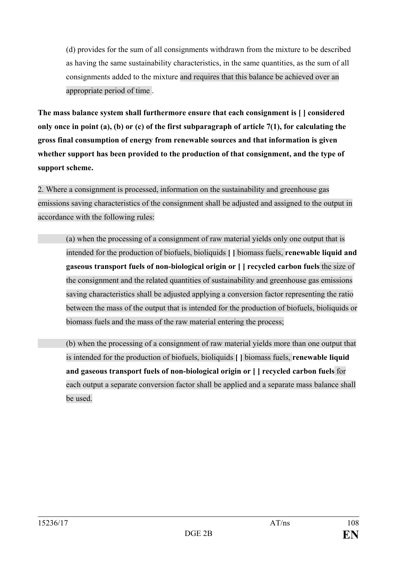(d) provides for the sum of all consignments withdrawn from the mixture to be described as having the same sustainability characteristics, in the same quantities, as the sum of all consignments added to the mixture and requires that this balance be achieved over an appropriate period of time .

**The mass balance system shall furthermore ensure that each consignment is [ ] considered only once in point (a), (b) or (c) of the first subparagraph of article 7(1), for calculating the gross final consumption of energy from renewable sources and that information is given whether support has been provided to the production of that consignment, and the type of support scheme.**

2. Where a consignment is processed, information on the sustainability and greenhouse gas emissions saving characteristics of the consignment shall be adjusted and assigned to the output in accordance with the following rules:

(a) when the processing of a consignment of raw material yields only one output that is intended for the production of biofuels, bioliquids **[ ]** biomass fuels, **renewable liquid and gaseous transport fuels of non-biological origin or [ ] recycled carbon fuels** the size of the consignment and the related quantities of sustainability and greenhouse gas emissions saving characteristics shall be adjusted applying a conversion factor representing the ratio between the mass of the output that is intended for the production of biofuels, bioliquids or biomass fuels and the mass of the raw material entering the process;

(b) when the processing of a consignment of raw material yields more than one output that is intended for the production of biofuels, bioliquids **[ ]** biomass fuels, **renewable liquid and gaseous transport fuels of non-biological origin or [ ] recycled carbon fuels** for each output a separate conversion factor shall be applied and a separate mass balance shall be used.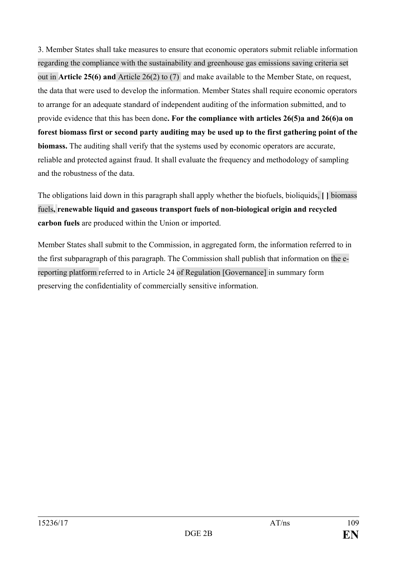3. Member States shall take measures to ensure that economic operators submit reliable information regarding the compliance with the sustainability and greenhouse gas emissions saving criteria set out in **Article 25(6) and** Article 26(2) to (7) and make available to the Member State, on request, the data that were used to develop the information. Member States shall require economic operators to arrange for an adequate standard of independent auditing of the information submitted, and to provide evidence that this has been done**. For the compliance with articles 26(5)a and 26(6)a on forest biomass first or second party auditing may be used up to the first gathering point of the biomass.** The auditing shall verify that the systems used by economic operators are accurate, reliable and protected against fraud. It shall evaluate the frequency and methodology of sampling and the robustness of the data.

The obligations laid down in this paragraph shall apply whether the biofuels, bioliquids, **[ ]** biomass fuels**, renewable liquid and gaseous transport fuels of non-biological origin and recycled carbon fuels** are produced within the Union or imported.

Member States shall submit to the Commission, in aggregated form, the information referred to in the first subparagraph of this paragraph. The Commission shall publish that information on the ereporting platform referred to in Article 24 of Regulation [Governance] in summary form preserving the confidentiality of commercially sensitive information.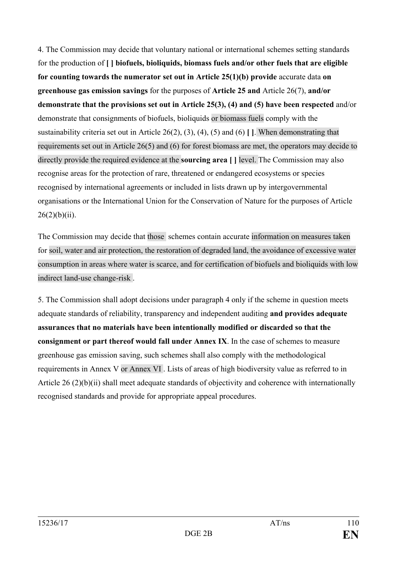4. The Commission may decide that voluntary national or international schemes setting standards for the production of **[ ] biofuels, bioliquids, biomass fuels and/or other fuels that are eligible for counting towards the numerator set out in Article 25(1)(b) provide** accurate data **on greenhouse gas emission savings** for the purposes of **Article 25 and** Article 26(7), **and/or demonstrate that the provisions set out in Article 25(3), (4) and (5) have been respected** and/or demonstrate that consignments of biofuels, bioliquids or biomass fuels comply with the sustainability criteria set out in Article 26(2), (3), (4), (5) and (6) **[ ]**. When demonstrating that requirements set out in Article 26(5) and (6) for forest biomass are met, the operators may decide to directly provide the required evidence at the **sourcing area [ ]** level. The Commission may also recognise areas for the protection of rare, threatened or endangered ecosystems or species recognised by international agreements or included in lists drawn up by intergovernmental organisations or the International Union for the Conservation of Nature for the purposes of Article  $26(2)(b)(ii)$ .

The Commission may decide that those schemes contain accurate information on measures taken for soil, water and air protection, the restoration of degraded land, the avoidance of excessive water consumption in areas where water is scarce, and for certification of biofuels and bioliquids with low indirect land-use change-risk .

5. The Commission shall adopt decisions under paragraph 4 only if the scheme in question meets adequate standards of reliability, transparency and independent auditing **and provides adequate assurances that no materials have been intentionally modified or discarded so that the consignment or part thereof would fall under Annex IX**. In the case of schemes to measure greenhouse gas emission saving, such schemes shall also comply with the methodological requirements in Annex V or Annex VI . Lists of areas of high biodiversity value as referred to in Article 26 (2)(b)(ii) shall meet adequate standards of objectivity and coherence with internationally recognised standards and provide for appropriate appeal procedures.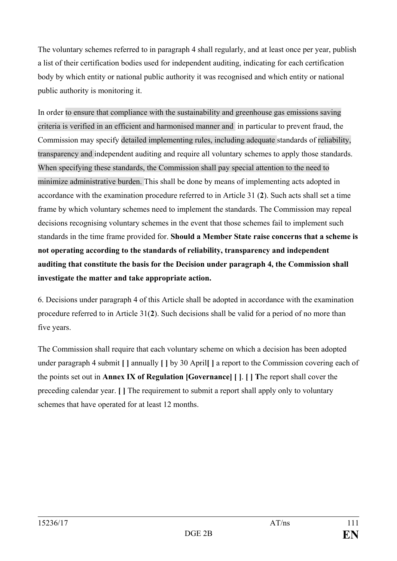The voluntary schemes referred to in paragraph 4 shall regularly, and at least once per year, publish a list of their certification bodies used for independent auditing, indicating for each certification body by which entity or national public authority it was recognised and which entity or national public authority is monitoring it.

In order to ensure that compliance with the sustainability and greenhouse gas emissions saving criteria is verified in an efficient and harmonised manner and in particular to prevent fraud, the Commission may specify detailed implementing rules, including adequate standards of reliability, transparency and independent auditing and require all voluntary schemes to apply those standards. When specifying these standards, the Commission shall pay special attention to the need to minimize administrative burden. This shall be done by means of implementing acts adopted in accordance with the examination procedure referred to in Article 31 (**2**). Such acts shall set a time frame by which voluntary schemes need to implement the standards. The Commission may repeal decisions recognising voluntary schemes in the event that those schemes fail to implement such standards in the time frame provided for. **Should a Member State raise concerns that a scheme is not operating according to the standards of reliability, transparency and independent auditing that constitute the basis for the Decision under paragraph 4, the Commission shall investigate the matter and take appropriate action.**

6. Decisions under paragraph 4 of this Article shall be adopted in accordance with the examination procedure referred to in Article 31(**2**). Such decisions shall be valid for a period of no more than five years.

The Commission shall require that each voluntary scheme on which a decision has been adopted under paragraph 4 submit **[ ]** annually **[ ]** by 30 April**[ ]** a report to the Commission covering each of the points set out in **Annex IX of Regulation [Governance] [ ]**. **[ ] T**he report shall cover the preceding calendar year. **[ ]** The requirement to submit a report shall apply only to voluntary schemes that have operated for at least 12 months.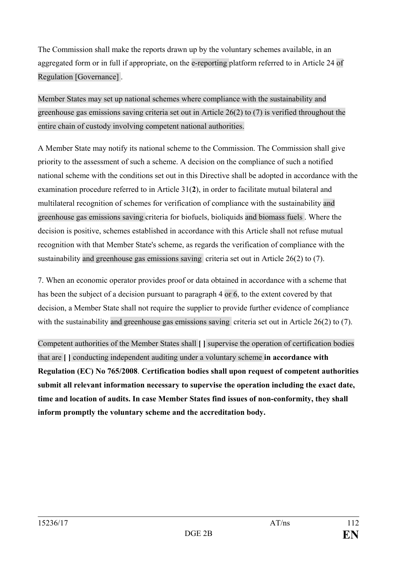The Commission shall make the reports drawn up by the voluntary schemes available, in an aggregated form or in full if appropriate, on the e-reporting platform referred to in Article 24 of Regulation [Governance] .

Member States may set up national schemes where compliance with the sustainability and greenhouse gas emissions saving criteria set out in Article 26(2) to (7) is verified throughout the entire chain of custody involving competent national authorities.

A Member State may notify its national scheme to the Commission. The Commission shall give priority to the assessment of such a scheme. A decision on the compliance of such a notified national scheme with the conditions set out in this Directive shall be adopted in accordance with the examination procedure referred to in Article 31(**2**), in order to facilitate mutual bilateral and multilateral recognition of schemes for verification of compliance with the sustainability and greenhouse gas emissions saving criteria for biofuels, bioliquids and biomass fuels . Where the decision is positive, schemes established in accordance with this Article shall not refuse mutual recognition with that Member State's scheme, as regards the verification of compliance with the sustainability and greenhouse gas emissions saving criteria set out in Article 26(2) to (7).

7. When an economic operator provides proof or data obtained in accordance with a scheme that has been the subject of a decision pursuant to paragraph 4 or 6, to the extent covered by that decision, a Member State shall not require the supplier to provide further evidence of compliance with the sustainability and greenhouse gas emissions saying criteria set out in Article 26(2) to (7).

Competent authorities of the Member States shall **[ ]** supervise the operation of certification bodies that are **[ ]** conducting independent auditing under a voluntary scheme **in accordance with Regulation (EC) No 765/2008**. **Certification bodies shall upon request of competent authorities submit all relevant information necessary to supervise the operation including the exact date, time and location of audits. In case Member States find issues of non-conformity, they shall inform promptly the voluntary scheme and the accreditation body.**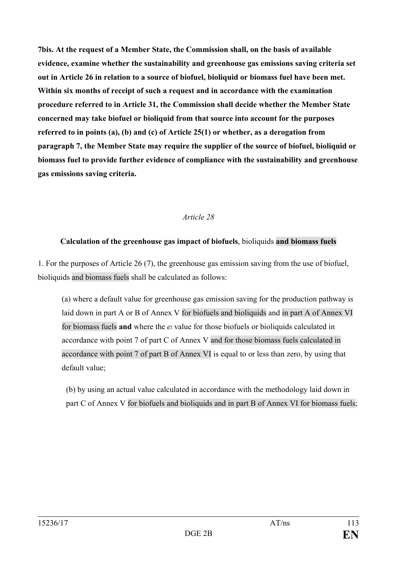**7bis. At the request of a Member State, the Commission shall, on the basis of available evidence, examine whether the sustainability and greenhouse gas emissions saving criteria set out in Article 26 in relation to a source of biofuel, bioliquid or biomass fuel have been met. Within six months of receipt of such a request and in accordance with the examination procedure referred to in Article 31, the Commission shall decide whether the Member State concerned may take biofuel or bioliquid from that source into account for the purposes referred to in points (a), (b) and (c) of Article 25(1) or whether, as a derogation from paragraph 7, the Member State may require the supplier of the source of biofuel, bioliquid or biomass fuel to provide further evidence of compliance with the sustainability and greenhouse gas emissions saving criteria.**

### *Article 28*

### **Calculation of the greenhouse gas impact of biofuels**, bioliquids **and biomass fuels**

1. For the purposes of Article 26 (7), the greenhouse gas emission saving from the use of biofuel, bioliquids and biomass fuels shall be calculated as follows:

(a) where a default value for greenhouse gas emission saving for the production pathway is laid down in part A or B of Annex V for biofuels and bioliquids and in part A of Annex VI for biomass fuels **and** where the *el* value for those biofuels or bioliquids calculated in accordance with point 7 of part C of Annex V and for those biomass fuels calculated in accordance with point 7 of part B of Annex VI is equal to or less than zero, by using that default value;

(b) by using an actual value calculated in accordance with the methodology laid down in part C of Annex V for biofuels and bioliquids and in part B of Annex VI for biomass fuels;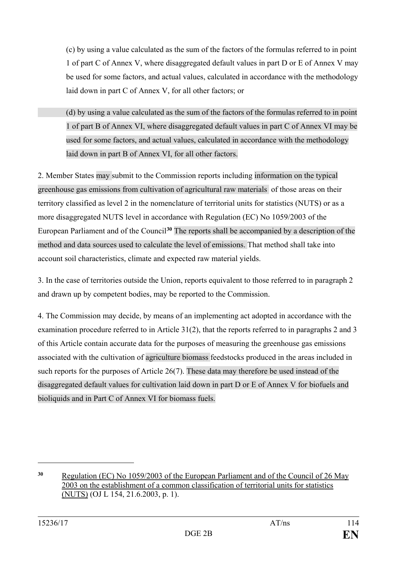(c) by using a value calculated as the sum of the factors of the formulas referred to in point 1 of part C of Annex V, where disaggregated default values in part D or E of Annex V may be used for some factors, and actual values, calculated in accordance with the methodology laid down in part C of Annex V, for all other factors; or

(d) by using a value calculated as the sum of the factors of the formulas referred to in point 1 of part B of Annex VI, where disaggregated default values in part C of Annex VI may be used for some factors, and actual values, calculated in accordance with the methodology laid down in part B of Annex VI, for all other factors.

2. Member States may submit to the Commission reports including information on the typical greenhouse gas emissions from cultivation of agricultural raw materials of those areas on their territory classified as level 2 in the nomenclature of territorial units for statistics (NUTS) or as a more disaggregated NUTS level in accordance with Regulation (EC) No 1059/2003 of the European Parliament and of the Council**[30](#page-113-0)** The reports shall be accompanied by a description of the method and data sources used to calculate the level of emissions. That method shall take into account soil characteristics, climate and expected raw material yields.

3. In the case of territories outside the Union, reports equivalent to those referred to in paragraph 2 and drawn up by competent bodies, may be reported to the Commission.

4. The Commission may decide, by means of an implementing act adopted in accordance with the examination procedure referred to in Article 31(2), that the reports referred to in paragraphs 2 and 3 of this Article contain accurate data for the purposes of measuring the greenhouse gas emissions associated with the cultivation of agriculture biomass feedstocks produced in the areas included in such reports for the purposes of Article 26(7). These data may therefore be used instead of the disaggregated default values for cultivation laid down in part D or E of Annex V for biofuels and bioliquids and in Part C of Annex VI for biomass fuels.

 $\overline{a}$ 

<span id="page-113-0"></span>**<sup>30</sup>** [Regulation \(EC\) No 1059/2003 of the European Parliament and of the Council of 26 May](http://eur-lex.europa.eu/legal-content/AUTO/?uri=CELEX:32003R1059&qid=1487587354916&rid=1)  [2003 on the establishment of a common classification of territorial](http://eur-lex.europa.eu/legal-content/AUTO/?uri=CELEX:32003R1059&qid=1487587354916&rid=1) units for statistics [\(NUTS\)](http://eur-lex.europa.eu/legal-content/AUTO/?uri=CELEX:32003R1059&qid=1487587354916&rid=1) (OJ L 154, 21.6.2003, p. 1).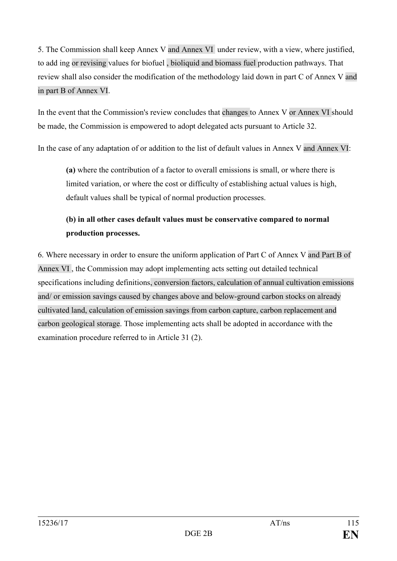5. The Commission shall keep Annex V and Annex VI under review, with a view, where justified, to add ing or revising values for biofuel , bioliquid and biomass fuel production pathways. That review shall also consider the modification of the methodology laid down in part C of Annex V and in part B of Annex VI.

In the event that the Commission's review concludes that changes to Annex V or Annex VI should be made, the Commission is empowered to adopt delegated acts pursuant to Article 32.

In the case of any adaptation of or addition to the list of default values in Annex V and Annex VI:

**(a)** where the contribution of a factor to overall emissions is small, or where there is limited variation, or where the cost or difficulty of establishing actual values is high, default values shall be typical of normal production processes.

# **(b) in all other cases default values must be conservative compared to normal production processes.**

6. Where necessary in order to ensure the uniform application of Part C of Annex V and Part B of Annex VI , the Commission may adopt implementing acts setting out detailed technical specifications including definitions, conversion factors, calculation of annual cultivation emissions and/ or emission savings caused by changes above and below-ground carbon stocks on already cultivated land, calculation of emission savings from carbon capture, carbon replacement and carbon geological storage. Those implementing acts shall be adopted in accordance with the examination procedure referred to in Article 31 (2).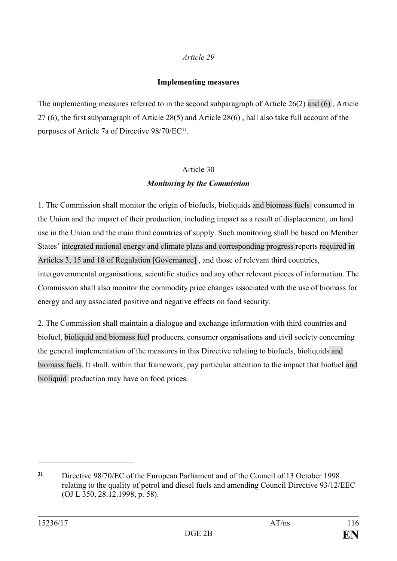### **Implementing measures**

The implementing measures referred to in the second subparagraph of Article 26(2) and (6) , Article 27 (6), the first subparagraph of Article 28(5) and Article 28(6) , hall also take full account of the purposes of Article 7a of Directive 98/70/EC[31.](#page-115-0)

# Article 30 *Monitoring by the Commission*

1. The Commission shall monitor the origin of biofuels, bioliquids and biomass fuels consumed in the Union and the impact of their production, including impact as a result of displacement, on land use in the Union and the main third countries of supply. Such monitoring shall be based on Member States' integrated national energy and climate plans and corresponding progress reports required in Articles 3, 15 and 18 of Regulation [Governance] , and those of relevant third countries, intergovernmental organisations, scientific studies and any other relevant pieces of information. The Commission shall also monitor the commodity price changes associated with the use of biomass for energy and any associated positive and negative effects on food security.

2. The Commission shall maintain a dialogue and exchange information with third countries and biofuel, bioliquid and biomass fuel producers, consumer organisations and civil society concerning the general implementation of the measures in this Directive relating to biofuels, bioliquids and biomass fuels. It shall, within that framework, pay particular attention to the impact that biofuel and bioliquid production may have on food prices.

 $\overline{a}$ 

<span id="page-115-0"></span>**<sup>31</sup>** Directive 98/70/EC of the European Parliament and of the Council of 13 October 1998 relating to the quality of petrol and diesel fuels and amending Council Directive 93/12/EEC (OJ L 350, 28.12.1998, p. 58).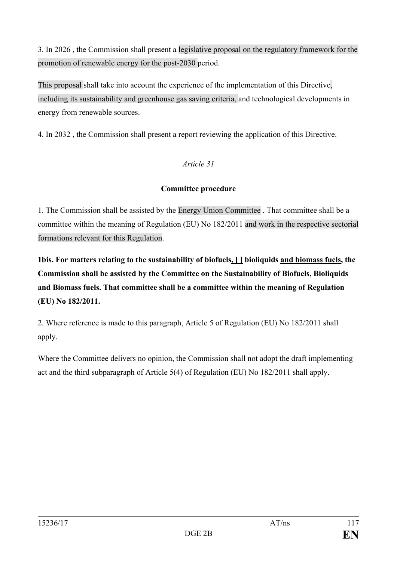3. In 2026 , the Commission shall present a legislative proposal on the regulatory framework for the promotion of renewable energy for the post-2030 period.

This proposal shall take into account the experience of the implementation of this Directive, including its sustainability and greenhouse gas saving criteria, and technological developments in energy from renewable sources.

4. In 2032 , the Commission shall present a report reviewing the application of this Directive.

# *Article 31*

## **Committee procedure**

1. The Commission shall be assisted by the Energy Union Committee . That committee shall be a committee within the meaning of Regulation (EU) No 182/2011 and work in the respective sectorial formations relevant for this Regulation.

**1bis. For matters relating to the sustainability of biofuels, [ ] bioliquids and biomass fuels, the Commission shall be assisted by the Committee on the Sustainability of Biofuels, Bioliquids and Biomass fuels. That committee shall be a committee within the meaning of Regulation (EU) No 182/2011.**

2. Where reference is made to this paragraph, Article 5 of Regulation (EU) No 182/2011 shall apply.

Where the Committee delivers no opinion, the Commission shall not adopt the draft implementing act and the third subparagraph of Article 5(4) of Regulation (EU) No 182/2011 shall apply.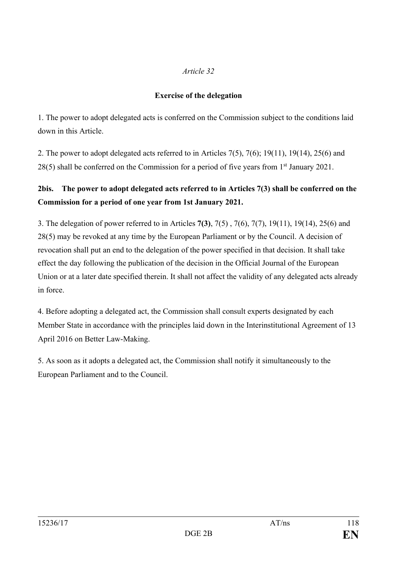# **Exercise of the delegation**

1. The power to adopt delegated acts is conferred on the Commission subject to the conditions laid down in this Article.

2. The power to adopt delegated acts referred to in Articles 7(5), 7(6); 19(11), 19(14), 25(6) and 28(5) shall be conferred on the Commission for a period of five years from 1<sup>st</sup> January 2021.

# **2bis. The power to adopt delegated acts referred to in Articles 7(3) shall be conferred on the Commission for a period of one year from 1st January 2021.**

3. The delegation of power referred to in Articles **7(3)**, 7(5) , 7(6), 7(7), 19(11), 19(14), 25(6) and 28(5) may be revoked at any time by the European Parliament or by the Council. A decision of revocation shall put an end to the delegation of the power specified in that decision. It shall take effect the day following the publication of the decision in the Official Journal of the European Union or at a later date specified therein. It shall not affect the validity of any delegated acts already in force.

4. Before adopting a delegated act, the Commission shall consult experts designated by each Member State in accordance with the principles laid down in the Interinstitutional Agreement of 13 April 2016 on Better Law-Making.

5. As soon as it adopts a delegated act, the Commission shall notify it simultaneously to the European Parliament and to the Council.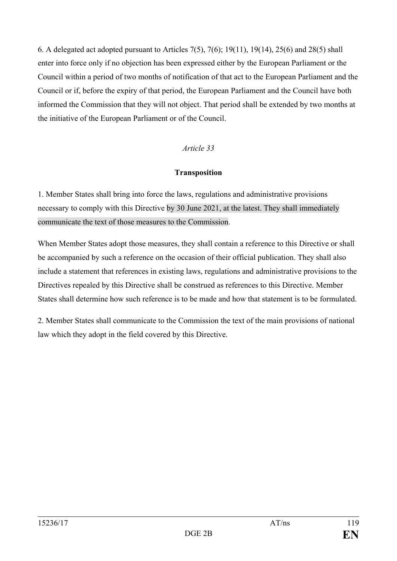6. A delegated act adopted pursuant to Articles 7(5), 7(6); 19(11), 19(14), 25(6) and 28(5) shall enter into force only if no objection has been expressed either by the European Parliament or the Council within a period of two months of notification of that act to the European Parliament and the Council or if, before the expiry of that period, the European Parliament and the Council have both informed the Commission that they will not object. That period shall be extended by two months at the initiative of the European Parliament or of the Council.

## *Article 33*

### **Transposition**

1. Member States shall bring into force the laws, regulations and administrative provisions necessary to comply with this Directive by 30 June 2021, at the latest. They shall immediately communicate the text of those measures to the Commission.

When Member States adopt those measures, they shall contain a reference to this Directive or shall be accompanied by such a reference on the occasion of their official publication. They shall also include a statement that references in existing laws, regulations and administrative provisions to the Directives repealed by this Directive shall be construed as references to this Directive. Member States shall determine how such reference is to be made and how that statement is to be formulated.

2. Member States shall communicate to the Commission the text of the main provisions of national law which they adopt in the field covered by this Directive.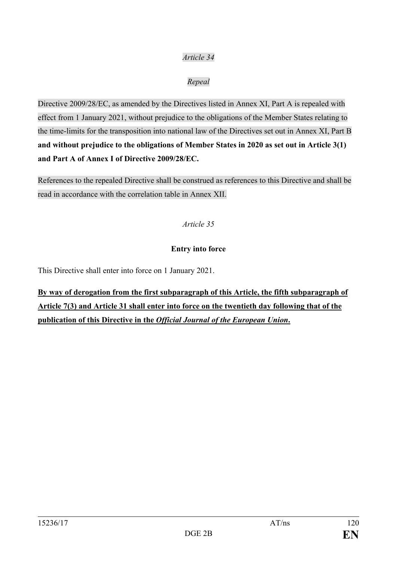## *Repeal*

Directive 2009/28/EC, as amended by the Directives listed in Annex XI, Part A is repealed with effect from 1 January 2021, without prejudice to the obligations of the Member States relating to the time-limits for the transposition into national law of the Directives set out in Annex XI, Part B **and without prejudice to the obligations of Member States in 2020 as set out in Article 3(1) and Part A of Annex I of Directive 2009/28/EC.**

References to the repealed Directive shall be construed as references to this Directive and shall be read in accordance with the correlation table in Annex XII.

### *Article 35*

### **Entry into force**

This Directive shall enter into force on 1 January 2021.

**By way of derogation from the first subparagraph of this Article, the fifth subparagraph of Article 7(3) and Article 31 shall enter into force on the twentieth day following that of the publication of this Directive in the** *Official Journal of the European Union***.**